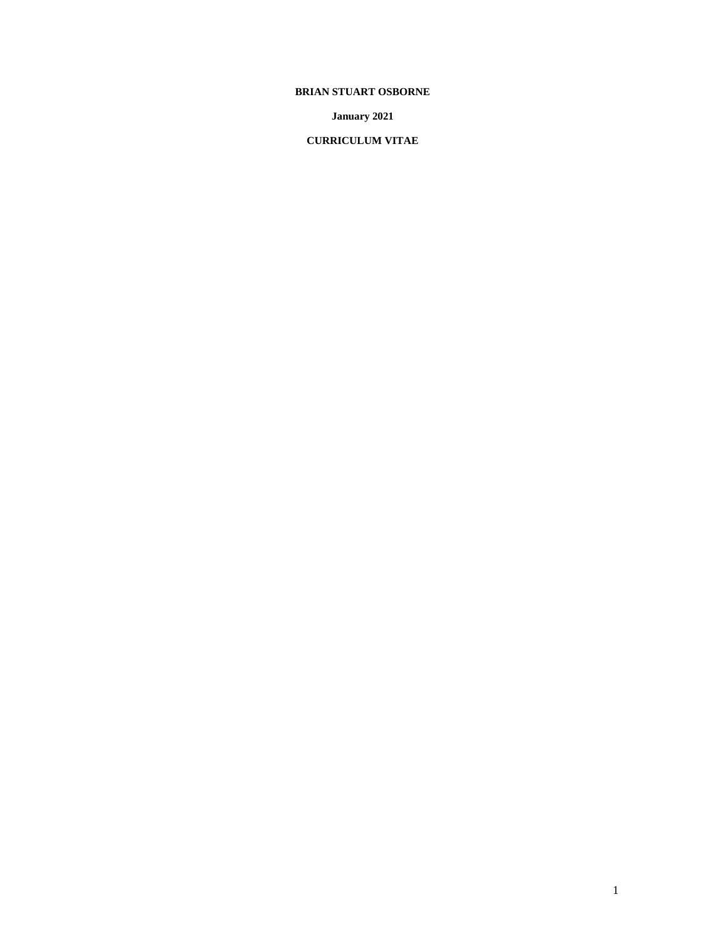# **BRIAN STUART OSBORNE**

**January 2021**

**CURRICULUM VITAE**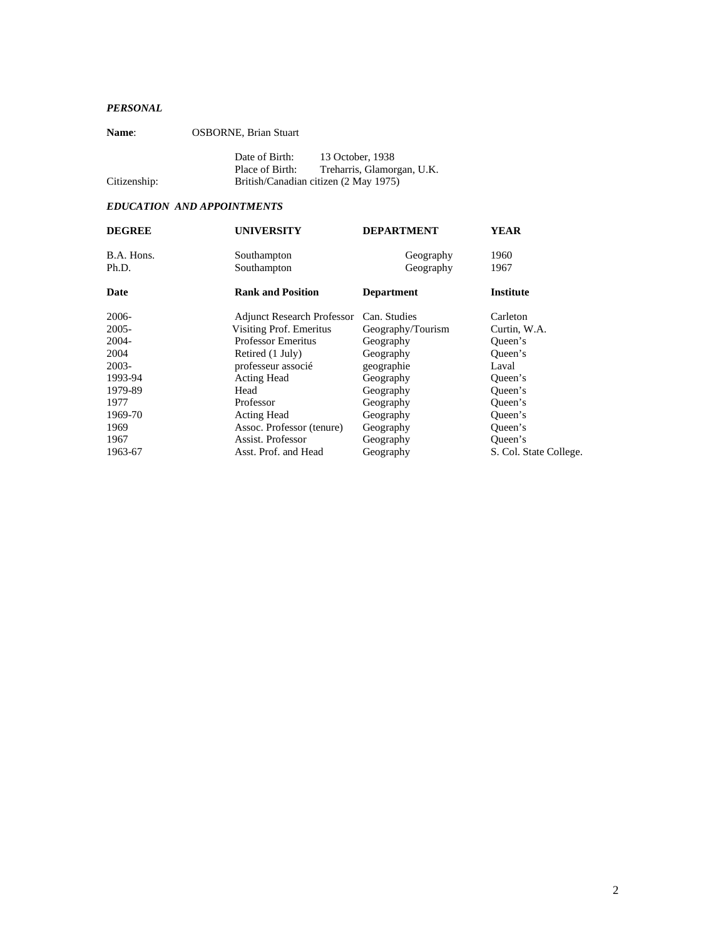# *PERSONAL*

| <b>Name:</b> | <b>OSBORNE, Brian Stuart</b>          |                                                |
|--------------|---------------------------------------|------------------------------------------------|
|              | Date of Birth:<br>Place of Birth:     | 13 October, 1938<br>Treharris, Glamorgan, U.K. |
| Citizenship: | British/Canadian citizen (2 May 1975) |                                                |

# *EDUCATION AND APPOINTMENTS*

| <b>DEGREE</b> | <b>UNIVERSITY</b>                             | <b>DEPARTMENT</b> | YEAR                   |  |
|---------------|-----------------------------------------------|-------------------|------------------------|--|
| B.A. Hons.    | Southampton                                   | Geography         | 1960                   |  |
| Ph.D.         | Southampton                                   | Geography         | 1967                   |  |
| Date          | <b>Rank and Position</b><br><b>Department</b> |                   | Institute              |  |
| 2006-         | <b>Adjunct Research Professor</b>             | Can. Studies      | Carleton               |  |
| 2005-         | Visiting Prof. Emeritus                       | Geography/Tourism | Curtin, W.A.           |  |
| 2004-         | <b>Professor Emeritus</b>                     | Geography         | Queen's                |  |
| 2004          | Retired (1 July)                              | Geography         | Queen's                |  |
| 2003-         | professeur associé                            | geographie        | Laval                  |  |
| 1993-94       | <b>Acting Head</b>                            | Geography         | Queen's                |  |
| 1979-89       | Head                                          | Geography         | Queen's                |  |
| 1977          | Professor                                     | Geography         | Queen's                |  |
| 1969-70       | <b>Acting Head</b>                            | Geography         | Oueen's                |  |
| 1969          | Assoc. Professor (tenure)                     | Geography         | Oueen's                |  |
| 1967          | Assist. Professor                             | Geography         | Oueen's                |  |
| 1963-67       | Asst. Prof. and Head                          | Geography         | S. Col. State College. |  |
|               |                                               |                   |                        |  |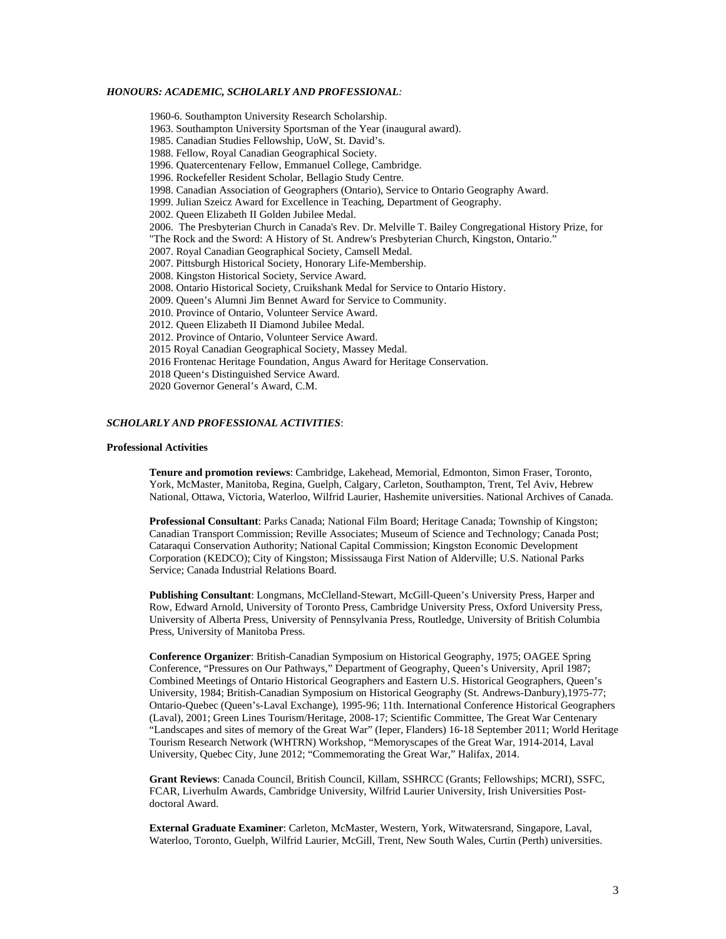## *HONOURS: ACADEMIC, SCHOLARLY AND PROFESSIONAL:*

1960-6. Southampton University Research Scholarship. 1963. Southampton University Sportsman of the Year (inaugural award). 1985. Canadian Studies Fellowship, UoW, St. David's. 1988. Fellow, Royal Canadian Geographical Society. 1996. Quatercentenary Fellow, Emmanuel College, Cambridge. 1996. Rockefeller Resident Scholar, Bellagio Study Centre. 1998. Canadian Association of Geographers (Ontario), Service to Ontario Geography Award. 1999. Julian Szeicz Award for Excellence in Teaching, Department of Geography. 2002. Queen Elizabeth II Golden Jubilee Medal. 2006. The Presbyterian Church in Canada's Rev. Dr. Melville T. Bailey Congregational History Prize, for "The Rock and the Sword: A History of St. Andrew's Presbyterian Church, Kingston, Ontario." 2007. Royal Canadian Geographical Society, Camsell Medal. 2007. Pittsburgh Historical Society, Honorary Life-Membership. 2008. Kingston Historical Society, Service Award. 2008. Ontario Historical Society, Cruikshank Medal for Service to Ontario History. 2009. Queen's Alumni Jim Bennet Award for Service to Community. 2010. Province of Ontario, Volunteer Service Award. 2012. Queen Elizabeth II Diamond Jubilee Medal. 2012. Province of Ontario, Volunteer Service Award. 2015 Royal Canadian Geographical Society, Massey Medal. 2016 Frontenac Heritage Foundation, Angus Award for Heritage Conservation. 2018 Queen's Distinguished Service Award. 2020 Governor General's Award, C.M.

# *SCHOLARLY AND PROFESSIONAL ACTIVITIES*:

#### **Professional Activities**

**Tenure and promotion reviews**: Cambridge, Lakehead, Memorial, Edmonton, Simon Fraser, Toronto, York, McMaster, Manitoba, Regina, Guelph, Calgary, Carleton, Southampton, Trent, Tel Aviv, Hebrew National, Ottawa, Victoria, Waterloo, Wilfrid Laurier, Hashemite universities. National Archives of Canada.

**Professional Consultant**: Parks Canada; National Film Board; Heritage Canada; Township of Kingston; Canadian Transport Commission; Reville Associates; Museum of Science and Technology; Canada Post; Cataraqui Conservation Authority; National Capital Commission; Kingston Economic Development Corporation (KEDCO); City of Kingston; Mississauga First Nation of Alderville; U.S. National Parks Service; Canada Industrial Relations Board.

**Publishing Consultant**: Longmans, McClelland-Stewart, McGill-Queen's University Press, Harper and Row, Edward Arnold, University of Toronto Press, Cambridge University Press, Oxford University Press, University of Alberta Press, University of Pennsylvania Press, Routledge, University of British Columbia Press, University of Manitoba Press.

**Conference Organizer**: British-Canadian Symposium on Historical Geography, 1975; OAGEE Spring Conference, "Pressures on Our Pathways," Department of Geography, Queen's University, April 1987; Combined Meetings of Ontario Historical Geographers and Eastern U.S. Historical Geographers, Queen's University, 1984; British-Canadian Symposium on Historical Geography (St. Andrews-Danbury),1975-77; Ontario-Quebec (Queen's-Laval Exchange), 1995-96; 11th. International Conference Historical Geographers (Laval), 2001; Green Lines Tourism/Heritage, 2008-17; Scientific Committee, The Great War Centenary "Landscapes and sites of memory of the Great War" (Ieper, Flanders) 16-18 September 2011; World Heritage Tourism Research Network (WHTRN) Workshop, "Memoryscapes of the Great War, 1914-2014, Laval University, Quebec City, June 2012; "Commemorating the Great War," Halifax, 2014.

**Grant Reviews**: Canada Council, British Council, Killam, SSHRCC (Grants; Fellowships; MCRI), SSFC, FCAR, Liverhulm Awards, Cambridge University, Wilfrid Laurier University, Irish Universities Postdoctoral Award.

**External Graduate Examiner**: Carleton, McMaster, Western, York, Witwatersrand, Singapore, Laval, Waterloo, Toronto, Guelph, Wilfrid Laurier, McGill, Trent, New South Wales, Curtin (Perth) universities.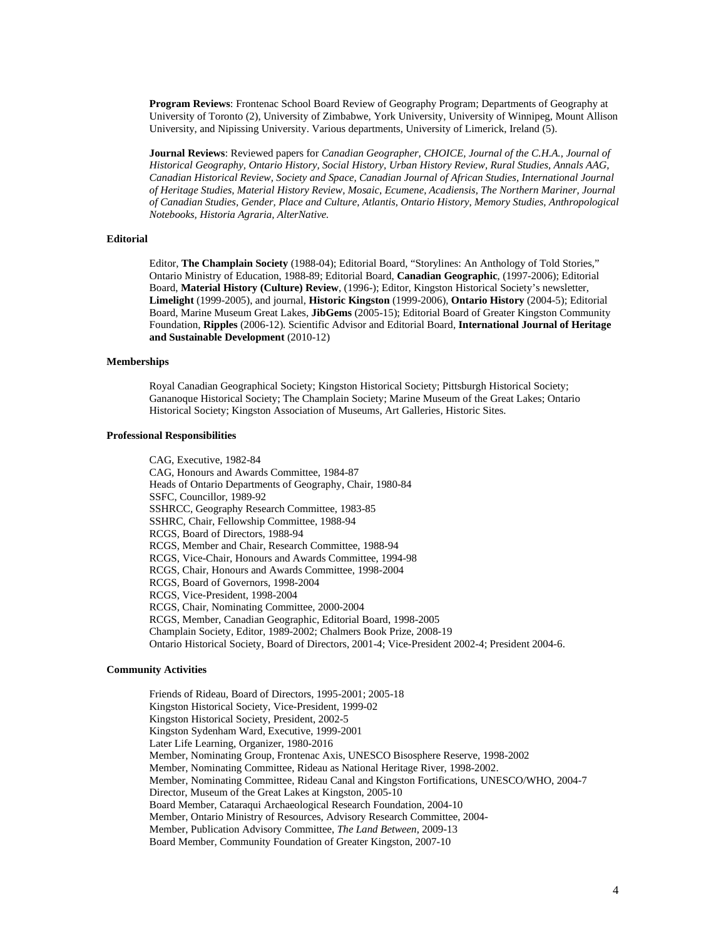**Program Reviews**: Frontenac School Board Review of Geography Program; Departments of Geography at University of Toronto (2), University of Zimbabwe, York University, University of Winnipeg, Mount Allison University, and Nipissing University. Various departments, University of Limerick, Ireland (5).

**Journal Reviews**: Reviewed papers for *Canadian Geographer, CHOICE, Journal of the C.H.A., Journal of Historical Geography, Ontario History, Social History, Urban History Review, Rural Studies, Annals AAG, Canadian Historical Review, Society and Space, Canadian Journal of African Studies, International Journal of Heritage Studies, Material History Review, Mosaic, Ecumene, Acadiensis, The Northern Mariner, Journal of Canadian Studies, Gender, Place and Culture, Atlantis, Ontario History, Memory Studies, Anthropological Notebooks, Historia Agraria, AlterNative.*

# **Editorial**

Editor, **The Champlain Society** (1988-04); Editorial Board, "Storylines: An Anthology of Told Stories," Ontario Ministry of Education, 1988-89; Editorial Board, **Canadian Geographic**, (1997-2006); Editorial Board, **Material History (Culture) Review**, (1996-); Editor, Kingston Historical Society's newsletter, **Limelight** (1999-2005), and journal, **Historic Kingston** (1999-2006), **Ontario History** (2004-5); Editorial Board, Marine Museum Great Lakes, **JibGems** (2005-15); Editorial Board of Greater Kingston Community Foundation, **Ripples** (2006-12). Scientific Advisor and Editorial Board, **International Journal of Heritage and Sustainable Development** (2010-12)

#### **Memberships**

Royal Canadian Geographical Society; Kingston Historical Society; Pittsburgh Historical Society; Gananoque Historical Society; The Champlain Society; Marine Museum of the Great Lakes; Ontario Historical Society; Kingston Association of Museums, Art Galleries, Historic Sites.

# **Professional Responsibilities**

CAG, Executive, 1982-84 CAG, Honours and Awards Committee, 1984-87 Heads of Ontario Departments of Geography, Chair, 1980-84 SSFC, Councillor, 1989-92 SSHRCC, Geography Research Committee, 1983-85 SSHRC, Chair, Fellowship Committee, 1988-94 RCGS, Board of Directors, 1988-94 RCGS, Member and Chair, Research Committee, 1988-94 RCGS, Vice-Chair, Honours and Awards Committee, 1994-98 RCGS, Chair, Honours and Awards Committee, 1998-2004 RCGS, Board of Governors, 1998-2004 RCGS, Vice-President, 1998-2004 RCGS, Chair, Nominating Committee, 2000-2004 RCGS, Member, Canadian Geographic, Editorial Board, 1998-2005 Champlain Society, Editor, 1989-2002; Chalmers Book Prize, 2008-19 Ontario Historical Society, Board of Directors, 2001-4; Vice-President 2002-4; President 2004-6.

#### **Community Activities**

Friends of Rideau, Board of Directors, 1995-2001; 2005-18 Kingston Historical Society, Vice-President, 1999-02 Kingston Historical Society, President, 2002-5 Kingston Sydenham Ward, Executive, 1999-2001 Later Life Learning, Organizer, 1980-2016 Member, Nominating Group, Frontenac Axis, UNESCO Bisosphere Reserve, 1998-2002 Member, Nominating Committee, Rideau as National Heritage River, 1998-2002. Member, Nominating Committee, Rideau Canal and Kingston Fortifications, UNESCO/WHO, 2004-7 Director, Museum of the Great Lakes at Kingston, 2005-10 Board Member, Cataraqui Archaeological Research Foundation, 2004-10 Member, Ontario Ministry of Resources, Advisory Research Committee, 2004- Member, Publication Advisory Committee, *The Land Between*, 2009-13 Board Member, Community Foundation of Greater Kingston, 2007-10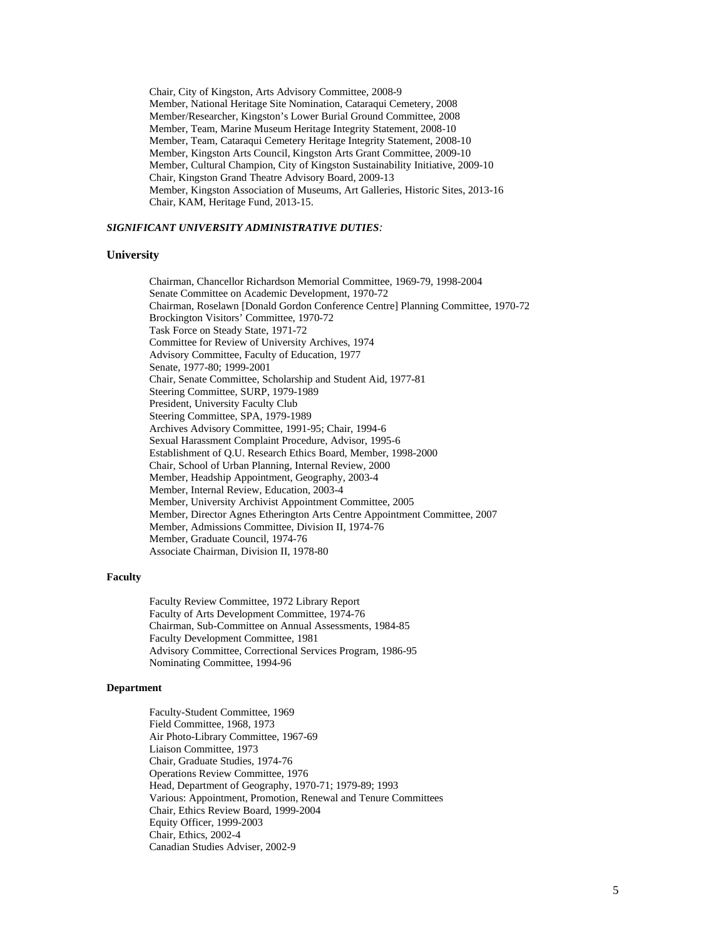Chair, City of Kingston, Arts Advisory Committee, 2008-9 Member, National Heritage Site Nomination, Cataraqui Cemetery, 2008 Member/Researcher, Kingston's Lower Burial Ground Committee, 2008 Member, Team, Marine Museum Heritage Integrity Statement, 2008-10 Member, Team, Cataraqui Cemetery Heritage Integrity Statement, 2008-10 Member, Kingston Arts Council, Kingston Arts Grant Committee, 2009-10 Member, Cultural Champion, City of Kingston Sustainability Initiative, 2009-10 Chair, Kingston Grand Theatre Advisory Board, 2009-13 Member, Kingston Association of Museums, Art Galleries, Historic Sites, 2013-16 Chair, KAM, Heritage Fund, 2013-15.

### *SIGNIFICANT UNIVERSITY ADMINISTRATIVE DUTIES:*

# **University**

Chairman, Chancellor Richardson Memorial Committee, 1969-79, 1998-2004 Senate Committee on Academic Development, 1970-72 Chairman, Roselawn [Donald Gordon Conference Centre] Planning Committee, 1970-72 Brockington Visitors' Committee, 1970-72 Task Force on Steady State, 1971-72 Committee for Review of University Archives, 1974 Advisory Committee, Faculty of Education, 1977 Senate, 1977-80; 1999-2001 Chair, Senate Committee, Scholarship and Student Aid, 1977-81 Steering Committee, SURP, 1979-1989 President, University Faculty Club Steering Committee, SPA, 1979-1989 Archives Advisory Committee, 1991-95; Chair, 1994-6 Sexual Harassment Complaint Procedure, Advisor, 1995-6 Establishment of Q.U. Research Ethics Board, Member, 1998-2000 Chair, School of Urban Planning, Internal Review, 2000 Member, Headship Appointment, Geography, 2003-4 Member, Internal Review, Education, 2003-4 Member, University Archivist Appointment Committee, 2005 Member, Director Agnes Etherington Arts Centre Appointment Committee, 2007 Member, Admissions Committee, Division II, 1974-76 Member, Graduate Council, 1974-76 Associate Chairman, Division II, 1978-80

# **Faculty**

Faculty Review Committee, 1972 Library Report Faculty of Arts Development Committee, 1974-76 Chairman, Sub-Committee on Annual Assessments, 1984-85 Faculty Development Committee, 1981 Advisory Committee, Correctional Services Program, 1986-95 Nominating Committee, 1994-96

#### **Department**

Faculty-Student Committee, 1969 Field Committee, 1968, 1973 Air Photo-Library Committee, 1967-69 Liaison Committee, 1973 Chair, Graduate Studies, 1974-76 Operations Review Committee, 1976 Head, Department of Geography, 1970-71; 1979-89; 1993 Various: Appointment, Promotion, Renewal and Tenure Committees Chair, Ethics Review Board, 1999-2004 Equity Officer, 1999-2003 Chair, Ethics, 2002-4 Canadian Studies Adviser, 2002-9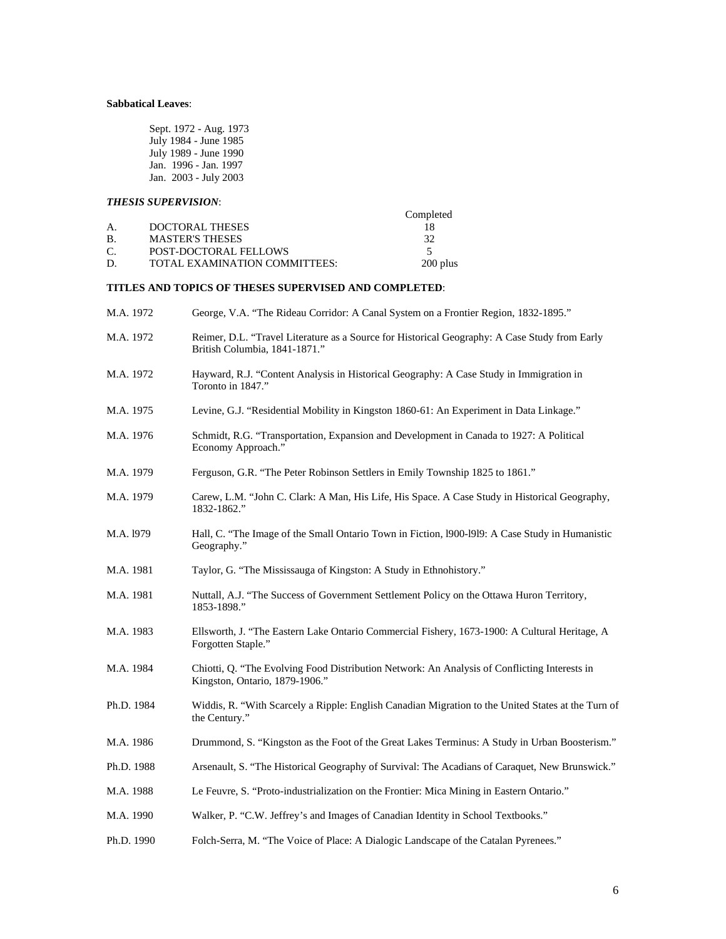# **Sabbatical Leaves**:

| Sept. 1972 - Aug. 1973 |
|------------------------|
| July 1984 - June 1985  |
| July 1989 - June 1990  |
| Jan. 1996 - Jan. 1997  |
| Jan. 2003 - July 2003  |

# *THESIS SUPERVISION*:

| Completed |
|-----------|
|           |
| 32        |
|           |
| 200 plus  |
|           |

# **TITLES AND TOPICS OF THESES SUPERVISED AND COMPLETED**:

| M.A. 1972  | George, V.A. "The Rideau Corridor: A Canal System on a Frontier Region, 1832-1895."                                            |
|------------|--------------------------------------------------------------------------------------------------------------------------------|
| M.A. 1972  | Reimer, D.L. "Travel Literature as a Source for Historical Geography: A Case Study from Early<br>British Columbia, 1841-1871." |
| M.A. 1972  | Hayward, R.J. "Content Analysis in Historical Geography: A Case Study in Immigration in<br>Toronto in 1847."                   |
| M.A. 1975  | Levine, G.J. "Residential Mobility in Kingston 1860-61: An Experiment in Data Linkage."                                        |
| M.A. 1976  | Schmidt, R.G. "Transportation, Expansion and Development in Canada to 1927: A Political<br>Economy Approach."                  |
| M.A. 1979  | Ferguson, G.R. "The Peter Robinson Settlers in Emily Township 1825 to 1861."                                                   |
| M.A. 1979  | Carew, L.M. "John C. Clark: A Man, His Life, His Space. A Case Study in Historical Geography,<br>1832-1862."                   |
| M.A. 1979  | Hall, C. "The Image of the Small Ontario Town in Fiction, 1900-1919: A Case Study in Humanistic<br>Geography."                 |
| M.A. 1981  | Taylor, G. "The Mississauga of Kingston: A Study in Ethnohistory."                                                             |
| M.A. 1981  | Nuttall, A.J. "The Success of Government Settlement Policy on the Ottawa Huron Territory,<br>1853-1898."                       |
| M.A. 1983  | Ellsworth, J. "The Eastern Lake Ontario Commercial Fishery, 1673-1900: A Cultural Heritage, A<br>Forgotten Staple."            |
| M.A. 1984  | Chiotti, Q. "The Evolving Food Distribution Network: An Analysis of Conflicting Interests in<br>Kingston, Ontario, 1879-1906." |
| Ph.D. 1984 | Widdis, R. "With Scarcely a Ripple: English Canadian Migration to the United States at the Turn of<br>the Century."            |
| M.A. 1986  | Drummond, S. "Kingston as the Foot of the Great Lakes Terminus: A Study in Urban Boosterism."                                  |
| Ph.D. 1988 | Arsenault, S. "The Historical Geography of Survival: The Acadians of Caraquet, New Brunswick."                                 |
| M.A. 1988  | Le Feuvre, S. "Proto-industrialization on the Frontier: Mica Mining in Eastern Ontario."                                       |
| M.A. 1990  | Walker, P. "C.W. Jeffrey's and Images of Canadian Identity in School Textbooks."                                               |
| Ph.D. 1990 | Folch-Serra, M. "The Voice of Place: A Dialogic Landscape of the Catalan Pyrenees."                                            |
|            |                                                                                                                                |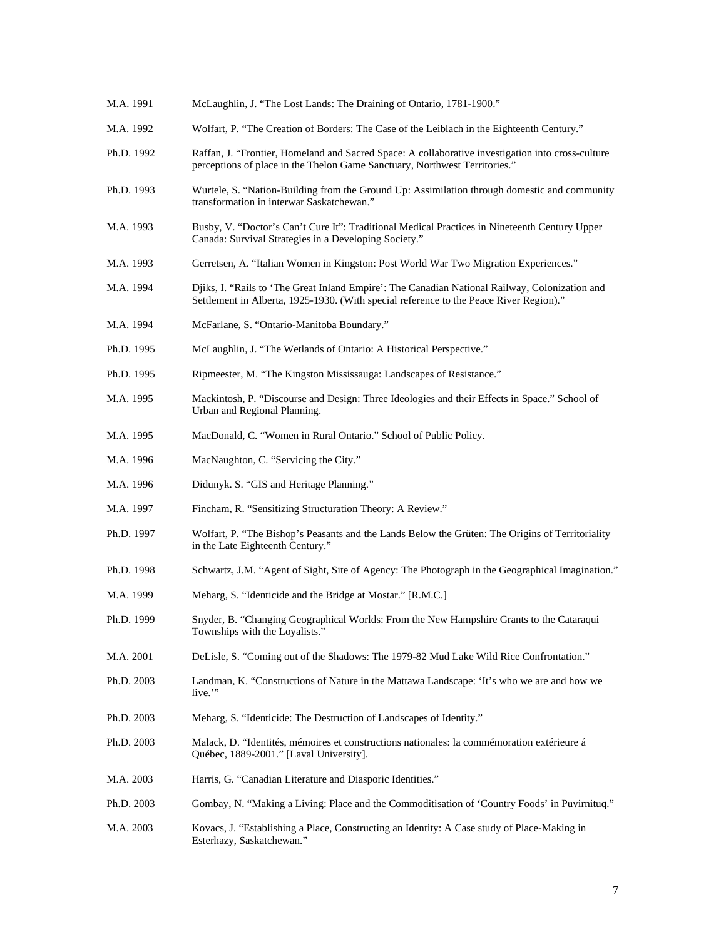M.A. 1991 McLaughlin, J. "The Lost Lands: The Draining of Ontario, 1781-1900." M.A. 1992 Wolfart, P. "The Creation of Borders: The Case of the Leiblach in the Eighteenth Century." Ph.D. 1992 Raffan, J. "Frontier, Homeland and Sacred Space: A collaborative investigation into cross-culture perceptions of place in the Thelon Game Sanctuary, Northwest Territories." Ph.D. 1993 Wurtele, S. "Nation-Building from the Ground Up: Assimilation through domestic and community transformation in interwar Saskatchewan." M.A. 1993 Busby, V. "Doctor's Can't Cure It": Traditional Medical Practices in Nineteenth Century Upper Canada: Survival Strategies in a Developing Society." M.A. 1993 Gerretsen, A. "Italian Women in Kingston: Post World War Two Migration Experiences." M.A. 1994 Djiks, I. "Rails to 'The Great Inland Empire': The Canadian National Railway, Colonization and Settlement in Alberta, 1925-1930. (With special reference to the Peace River Region)." M.A. 1994 McFarlane, S. "Ontario-Manitoba Boundary." Ph.D. 1995 McLaughlin, J. "The Wetlands of Ontario: A Historical Perspective." Ph.D. 1995 Ripmeester, M. "The Kingston Mississauga: Landscapes of Resistance." M.A. 1995 Mackintosh, P. "Discourse and Design: Three Ideologies and their Effects in Space." School of Urban and Regional Planning. M.A. 1995 MacDonald, C. "Women in Rural Ontario." School of Public Policy. M.A. 1996 MacNaughton, C. "Servicing the City." M.A. 1996 Didunyk. S. "GIS and Heritage Planning." M.A. 1997 Fincham, R. "Sensitizing Structuration Theory: A Review." Ph.D. 1997 Wolfart, P. "The Bishop's Peasants and the Lands Below the Grüten: The Origins of Territoriality in the Late Eighteenth Century." Ph.D. 1998 Schwartz, J.M. "Agent of Sight, Site of Agency: The Photograph in the Geographical Imagination." M.A. 1999 Meharg, S. "Identicide and the Bridge at Mostar." [R.M.C.] Ph.D. 1999 Snyder, B. "Changing Geographical Worlds: From the New Hampshire Grants to the Cataraqui Townships with the Loyalists." M.A. 2001 DeLisle, S. "Coming out of the Shadows: The 1979-82 Mud Lake Wild Rice Confrontation." Ph.D. 2003 Landman, K. "Constructions of Nature in the Mattawa Landscape: 'It's who we are and how we live." Ph.D. 2003 Meharg, S. "Identicide: The Destruction of Landscapes of Identity." Ph.D. 2003 Malack, D. "Identités, mémoires et constructions nationales: la commémoration extérieure á Québec, 1889-2001." [Laval University]. M.A. 2003 Harris, G. "Canadian Literature and Diasporic Identities." Ph.D. 2003 Gombay, N. "Making a Living: Place and the Commoditisation of 'Country Foods' in Puvirnituq." M.A. 2003 Kovacs, J. "Establishing a Place, Constructing an Identity: A Case study of Place-Making in Esterhazy, Saskatchewan."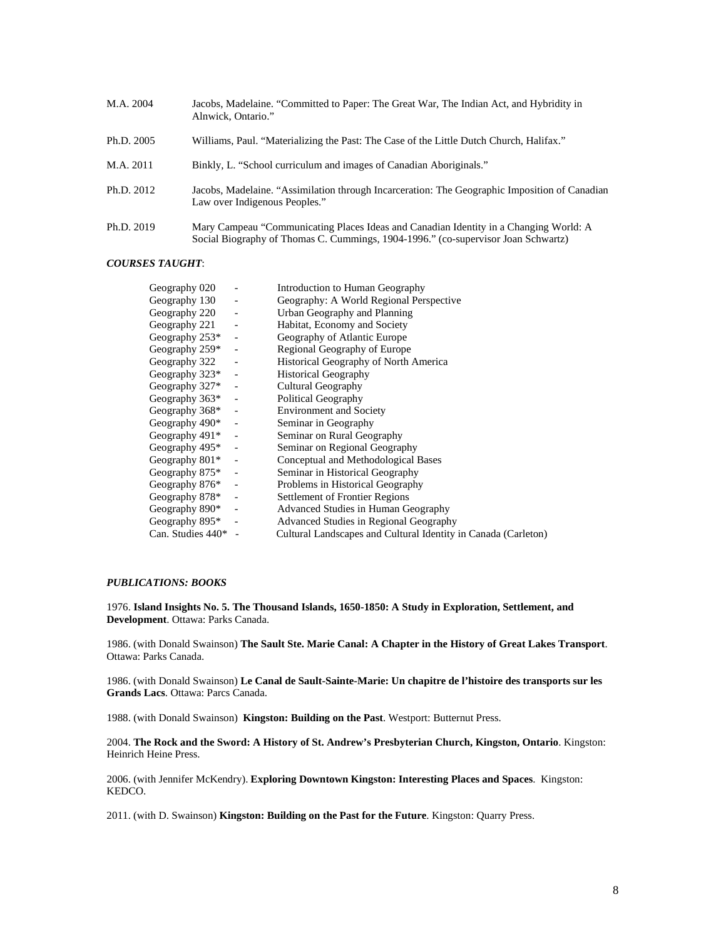| M.A. 2004  | Jacobs, Madelaine. "Committed to Paper: The Great War, The Indian Act, and Hybridity in<br>Alnwick, Ontario."                                                              |
|------------|----------------------------------------------------------------------------------------------------------------------------------------------------------------------------|
| Ph.D. 2005 | Williams, Paul. "Materializing the Past: The Case of the Little Dutch Church, Halifax."                                                                                    |
| M.A. 2011  | Binkly, L. "School curriculum and images of Canadian Aboriginals."                                                                                                         |
| Ph.D. 2012 | Jacobs, Madelaine. "Assimilation through Incarceration: The Geographic Imposition of Canadian<br>Law over Indigenous Peoples."                                             |
| Ph.D. 2019 | Mary Campeau "Communicating Places Ideas and Canadian Identity in a Changing World: A<br>Social Biography of Thomas C. Cummings, 1904-1996." (co-supervisor Joan Schwartz) |

# *COURSES TAUGHT*:

| Geography 020     |                              | Introduction to Human Geography                                |
|-------------------|------------------------------|----------------------------------------------------------------|
| Geography 130     | $\qquad \qquad \blacksquare$ | Geography: A World Regional Perspective                        |
| Geography 220     | $\blacksquare$               | Urban Geography and Planning                                   |
| Geography 221     | $\qquad \qquad \blacksquare$ | Habitat, Economy and Society                                   |
| Geography 253*    | $\blacksquare$               | Geography of Atlantic Europe                                   |
| Geography $259*$  | $\qquad \qquad -$            | Regional Geography of Europe                                   |
| Geography 322     | $\qquad \qquad \Box$         | Historical Geography of North America                          |
| Geography $323*$  | $\overline{\phantom{a}}$     | <b>Historical Geography</b>                                    |
| Geography 327*    | $\blacksquare$               | Cultural Geography                                             |
| Geography 363*    | $\blacksquare$               | Political Geography                                            |
| Geography 368*    | $\overline{\phantom{a}}$     | <b>Environment and Society</b>                                 |
| Geography 490*    | $\overline{\phantom{a}}$     | Seminar in Geography                                           |
| Geography 491*    | $\blacksquare$               | Seminar on Rural Geography                                     |
| Geography 495*    | $\overline{\phantom{a}}$     | Seminar on Regional Geography                                  |
| Geography $801*$  | $\overline{\phantom{a}}$     | Conceptual and Methodological Bases                            |
| Geography $875*$  | $\qquad \qquad \blacksquare$ | Seminar in Historical Geography                                |
| Geography 876*    |                              | Problems in Historical Geography                               |
| Geography 878*    | $\blacksquare$               | Settlement of Frontier Regions                                 |
| Geography 890*    | $\qquad \qquad \Box$         | Advanced Studies in Human Geography                            |
| Geography 895*    | $\overline{\phantom{a}}$     | Advanced Studies in Regional Geography                         |
| Can. Studies 440* |                              | Cultural Landscapes and Cultural Identity in Canada (Carleton) |

# *PUBLICATIONS: BOOKS*

1976. **Island Insights No. 5. The Thousand Islands, 1650-1850: A Study in Exploration, Settlement, and Development**. Ottawa: Parks Canada.

1986. (with Donald Swainson) **The Sault Ste. Marie Canal: A Chapter in the History of Great Lakes Transport**. Ottawa: Parks Canada.

1986. (with Donald Swainson) **Le Canal de Sault-Sainte-Marie: Un chapitre de l'histoire des transports sur les Grands Lacs**. Ottawa: Parcs Canada.

1988. (with Donald Swainson) **Kingston: Building on the Past**. Westport: Butternut Press.

2004. **The Rock and the Sword: A History of St. Andrew's Presbyterian Church, Kingston, Ontario**. Kingston: Heinrich Heine Press.

2006. (with Jennifer McKendry). **Exploring Downtown Kingston: Interesting Places and Spaces**. Kingston: KEDCO.

2011. (with D. Swainson) **Kingston: Building on the Past for the Future**. Kingston: Quarry Press.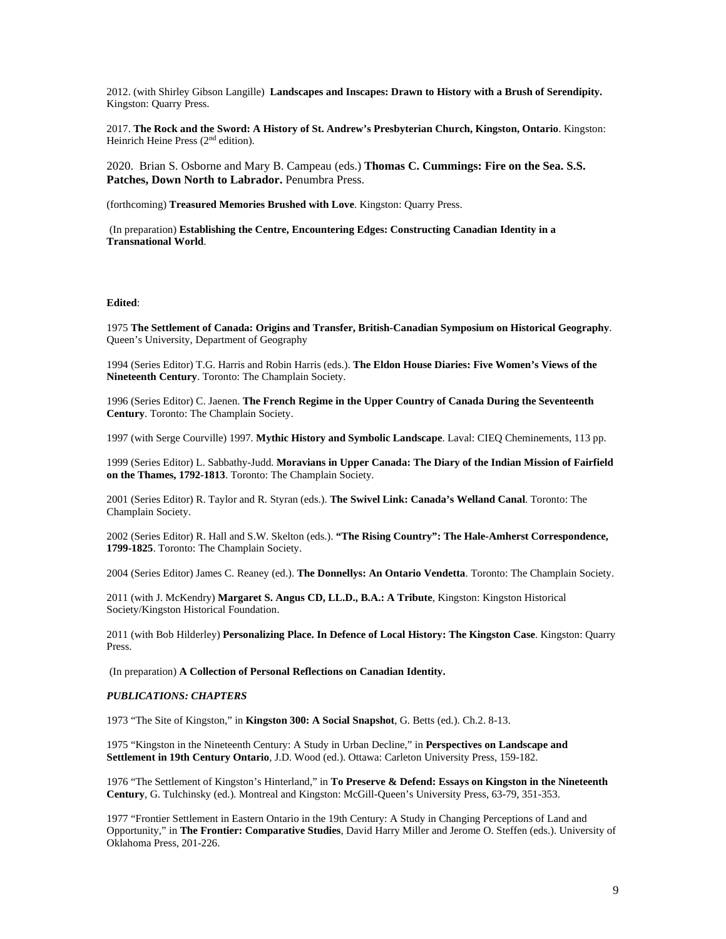2012. (with Shirley Gibson Langille) **Landscapes and Inscapes: Drawn to History with a Brush of Serendipity.**  Kingston: Quarry Press.

2017. **The Rock and the Sword: A History of St. Andrew's Presbyterian Church, Kingston, Ontario**. Kingston: Heinrich Heine Press (2<sup>nd</sup> edition).

2020. Brian S. Osborne and Mary B. Campeau (eds.) **Thomas C. Cummings: Fire on the Sea. S.S. Patches, Down North to Labrador.** Penumbra Press.

(forthcoming) **Treasured Memories Brushed with Love**. Kingston: Quarry Press.

(In preparation) **Establishing the Centre, Encountering Edges: Constructing Canadian Identity in a Transnational World**.

#### **Edited**:

1975 **The Settlement of Canada: Origins and Transfer, British-Canadian Symposium on Historical Geography**. Queen's University, Department of Geography

1994 (Series Editor) T.G. Harris and Robin Harris (eds.). **The Eldon House Diaries: Five Women's Views of the Nineteenth Century**. Toronto: The Champlain Society.

1996 (Series Editor) C. Jaenen. **The French Regime in the Upper Country of Canada During the Seventeenth Century**. Toronto: The Champlain Society.

1997 (with Serge Courville) 1997. **Mythic History and Symbolic Landscape**. Laval: CIEQ Cheminements, 113 pp.

1999 (Series Editor) L. Sabbathy-Judd. **Moravians in Upper Canada: The Diary of the Indian Mission of Fairfield on the Thames, 1792-1813**. Toronto: The Champlain Society.

2001 (Series Editor) R. Taylor and R. Styran (eds.). **The Swivel Link: Canada's Welland Canal**. Toronto: The Champlain Society.

2002 (Series Editor) R. Hall and S.W. Skelton (eds.). **"The Rising Country": The Hale-Amherst Correspondence, 1799-1825**. Toronto: The Champlain Society.

2004 (Series Editor) James C. Reaney (ed.). **The Donnellys: An Ontario Vendetta**. Toronto: The Champlain Society.

2011 (with J. McKendry) **Margaret S. Angus CD, LL.D., B.A.: A Tribute**, Kingston: Kingston Historical Society/Kingston Historical Foundation.

2011 (with Bob Hilderley) **Personalizing Place. In Defence of Local History: The Kingston Case**. Kingston: Quarry Press.

(In preparation) **A Collection of Personal Reflections on Canadian Identity.**

### *PUBLICATIONS: CHAPTERS*

1973 "The Site of Kingston," in **Kingston 300: A Social Snapshot**, G. Betts (ed.). Ch.2. 8-13.

1975 "Kingston in the Nineteenth Century: A Study in Urban Decline," in **Perspectives on Landscape and Settlement in 19th Century Ontario**, J.D. Wood (ed.). Ottawa: Carleton University Press, 159-182.

1976 "The Settlement of Kingston's Hinterland," in **To Preserve & Defend: Essays on Kingston in the Nineteenth Century**, G. Tulchinsky (ed.). Montreal and Kingston: McGill-Queen's University Press, 63-79, 351-353.

1977 "Frontier Settlement in Eastern Ontario in the 19th Century: A Study in Changing Perceptions of Land and Opportunity," in **The Frontier: Comparative Studies**, David Harry Miller and Jerome O. Steffen (eds.). University of Oklahoma Press, 201-226.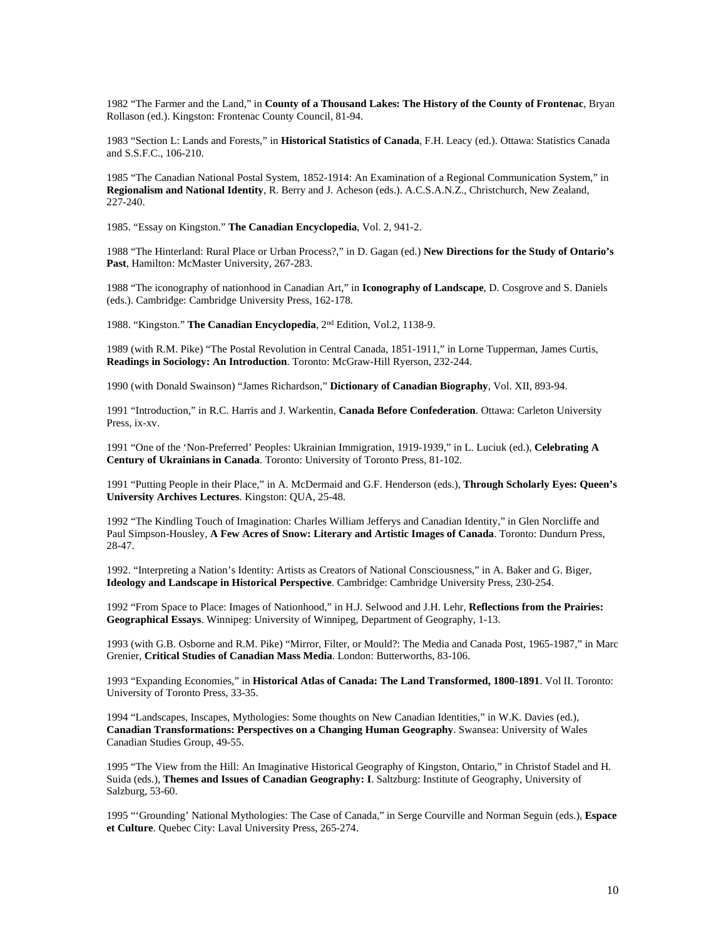1982 "The Farmer and the Land," in **County of a Thousand Lakes: The History of the County of Frontenac**, Bryan Rollason (ed.). Kingston: Frontenac County Council, 81-94.

1983 "Section L: Lands and Forests," in **Historical Statistics of Canada**, F.H. Leacy (ed.). Ottawa: Statistics Canada and S.S.F.C., 106-210.

1985 "The Canadian National Postal System, 1852-1914: An Examination of a Regional Communication System," in **Regionalism and National Identity**, R. Berry and J. Acheson (eds.). A.C.S.A.N.Z., Christchurch, New Zealand, 227-240.

1985. "Essay on Kingston." **The Canadian Encyclopedia**, Vol. 2, 941-2.

1988 "The Hinterland: Rural Place or Urban Process?," in D. Gagan (ed.) **New Directions for the Study of Ontario's Past**, Hamilton: McMaster University, 267-283.

1988 "The iconography of nationhood in Canadian Art," in **Iconography of Landscape**, D. Cosgrove and S. Daniels (eds.). Cambridge: Cambridge University Press, 162-178.

1988. "Kingston." **The Canadian Encyclopedia**, 2nd Edition, Vol.2, 1138-9.

1989 (with R.M. Pike) "The Postal Revolution in Central Canada, 1851-1911," in Lorne Tupperman, James Curtis, **Readings in Sociology: An Introduction**. Toronto: McGraw-Hill Ryerson, 232-244.

1990 (with Donald Swainson) "James Richardson," **Dictionary of Canadian Biography**, Vol. XII, 893-94.

1991 "Introduction," in R.C. Harris and J. Warkentin, **Canada Before Confederation**. Ottawa: Carleton University Press, ix-xv.

1991 "One of the 'Non-Preferred' Peoples: Ukrainian Immigration, 1919-1939," in L. Luciuk (ed.), **Celebrating A Century of Ukrainians in Canada**. Toronto: University of Toronto Press, 81-102.

1991 "Putting People in their Place," in A. McDermaid and G.F. Henderson (eds.), **Through Scholarly Eyes: Queen's University Archives Lectures**. Kingston: QUA, 25-48.

1992 "The Kindling Touch of Imagination: Charles William Jefferys and Canadian Identity," in Glen Norcliffe and Paul Simpson-Housley, **A Few Acres of Snow: Literary and Artistic Images of Canada**. Toronto: Dundurn Press, 28-47.

1992. "Interpreting a Nation's Identity: Artists as Creators of National Consciousness," in A. Baker and G. Biger, **Ideology and Landscape in Historical Perspective**. Cambridge: Cambridge University Press, 230-254.

1992 "From Space to Place: Images of Nationhood," in H.J. Selwood and J.H. Lehr, **Reflections from the Prairies: Geographical Essays**. Winnipeg: University of Winnipeg, Department of Geography, 1-13.

1993 (with G.B. Osborne and R.M. Pike) "Mirror, Filter, or Mould?: The Media and Canada Post, 1965-1987," in Marc Grenier, **Critical Studies of Canadian Mass Media**. London: Butterworths, 83-106.

1993 "Expanding Economies," in **Historical Atlas of Canada: The Land Transformed, 1800-1891**. Vol II. Toronto: University of Toronto Press, 33-35.

1994 "Landscapes, Inscapes, Mythologies: Some thoughts on New Canadian Identities," in W.K. Davies (ed.), **Canadian Transformations: Perspectives on a Changing Human Geography**. Swansea: University of Wales Canadian Studies Group, 49-55.

1995 "The View from the Hill: An Imaginative Historical Geography of Kingston, Ontario," in Christof Stadel and H. Suida (eds.), **Themes and Issues of Canadian Geography: I**. Saltzburg: Institute of Geography, University of Salzburg, 53-60.

1995 "'Grounding' National Mythologies: The Case of Canada," in Serge Courville and Norman Seguin (eds.), **Espace et Culture**. Quebec City: Laval University Press, 265-274.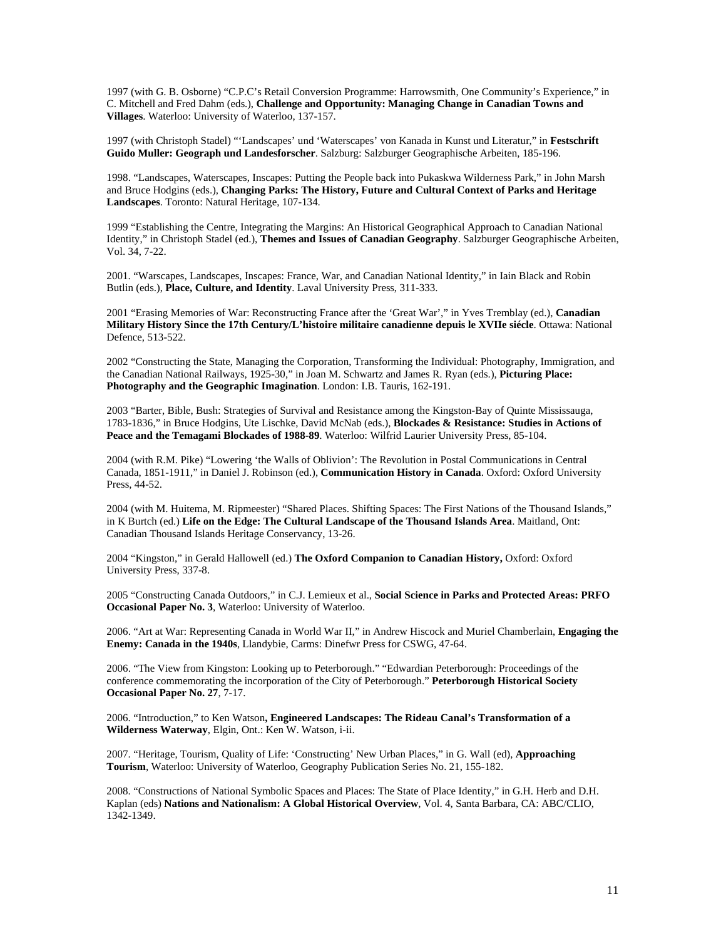1997 (with G. B. Osborne) "C.P.C's Retail Conversion Programme: Harrowsmith, One Community's Experience," in C. Mitchell and Fred Dahm (eds.), **Challenge and Opportunity: Managing Change in Canadian Towns and Villages**. Waterloo: University of Waterloo, 137-157.

1997 (with Christoph Stadel) "'Landscapes' und 'Waterscapes' von Kanada in Kunst und Literatur," in **Festschrift Guido Muller: Geograph und Landesforscher**. Salzburg: Salzburger Geographische Arbeiten, 185-196.

1998. "Landscapes, Waterscapes, Inscapes: Putting the People back into Pukaskwa Wilderness Park," in John Marsh and Bruce Hodgins (eds.), **Changing Parks: The History, Future and Cultural Context of Parks and Heritage Landscapes**. Toronto: Natural Heritage, 107-134.

1999 "Establishing the Centre, Integrating the Margins: An Historical Geographical Approach to Canadian National Identity," in Christoph Stadel (ed.), **Themes and Issues of Canadian Geography**. Salzburger Geographische Arbeiten, Vol. 34, 7-22.

2001. "Warscapes, Landscapes, Inscapes: France, War, and Canadian National Identity," in Iain Black and Robin Butlin (eds.), **Place, Culture, and Identity**. Laval University Press, 311-333.

2001 "Erasing Memories of War: Reconstructing France after the 'Great War'," in Yves Tremblay (ed.), **Canadian Military History Since the 17th Century/L'histoire militaire canadienne depuis le XVIIe siécle**. Ottawa: National Defence, 513-522.

2002 "Constructing the State, Managing the Corporation, Transforming the Individual: Photography, Immigration, and the Canadian National Railways, 1925-30," in Joan M. Schwartz and James R. Ryan (eds.), **Picturing Place: Photography and the Geographic Imagination**. London: I.B. Tauris, 162-191.

2003 "Barter, Bible, Bush: Strategies of Survival and Resistance among the Kingston-Bay of Quinte Mississauga, 1783-1836," in Bruce Hodgins, Ute Lischke, David McNab (eds.), **Blockades & Resistance: Studies in Actions of Peace and the Temagami Blockades of 1988-89**. Waterloo: Wilfrid Laurier University Press, 85-104.

2004 (with R.M. Pike) "Lowering 'the Walls of Oblivion': The Revolution in Postal Communications in Central Canada, 1851-1911," in Daniel J. Robinson (ed.), **Communication History in Canada**. Oxford: Oxford University Press, 44-52.

2004 (with M. Huitema, M. Ripmeester) "Shared Places. Shifting Spaces: The First Nations of the Thousand Islands," in K Burtch (ed.) **Life on the Edge: The Cultural Landscape of the Thousand Islands Area**. Maitland, Ont: Canadian Thousand Islands Heritage Conservancy, 13-26.

2004 "Kingston," in Gerald Hallowell (ed.) **The Oxford Companion to Canadian History,** Oxford: Oxford University Press, 337-8.

2005 "Constructing Canada Outdoors," in C.J. Lemieux et al., **Social Science in Parks and Protected Areas: PRFO Occasional Paper No. 3**, Waterloo: University of Waterloo.

2006. "Art at War: Representing Canada in World War II," in Andrew Hiscock and Muriel Chamberlain, **Engaging the Enemy: Canada in the 1940s**, Llandybie, Carms: Dinefwr Press for CSWG, 47-64.

2006. "The View from Kingston: Looking up to Peterborough." "Edwardian Peterborough: Proceedings of the conference commemorating the incorporation of the City of Peterborough." **Peterborough Historical Society Occasional Paper No. 27**, 7-17.

2006. "Introduction," to Ken Watson**, Engineered Landscapes: The Rideau Canal's Transformation of a Wilderness Waterway**, Elgin, Ont.: Ken W. Watson, i-ii.

2007. "Heritage, Tourism, Quality of Life: 'Constructing' New Urban Places," in G. Wall (ed), **Approaching Tourism**, Waterloo: University of Waterloo, Geography Publication Series No. 21, 155-182.

2008. "Constructions of National Symbolic Spaces and Places: The State of Place Identity," in G.H. Herb and D.H. Kaplan (eds) **Nations and Nationalism: A Global Historical Overview**, Vol. 4, Santa Barbara, CA: ABC/CLIO, 1342-1349.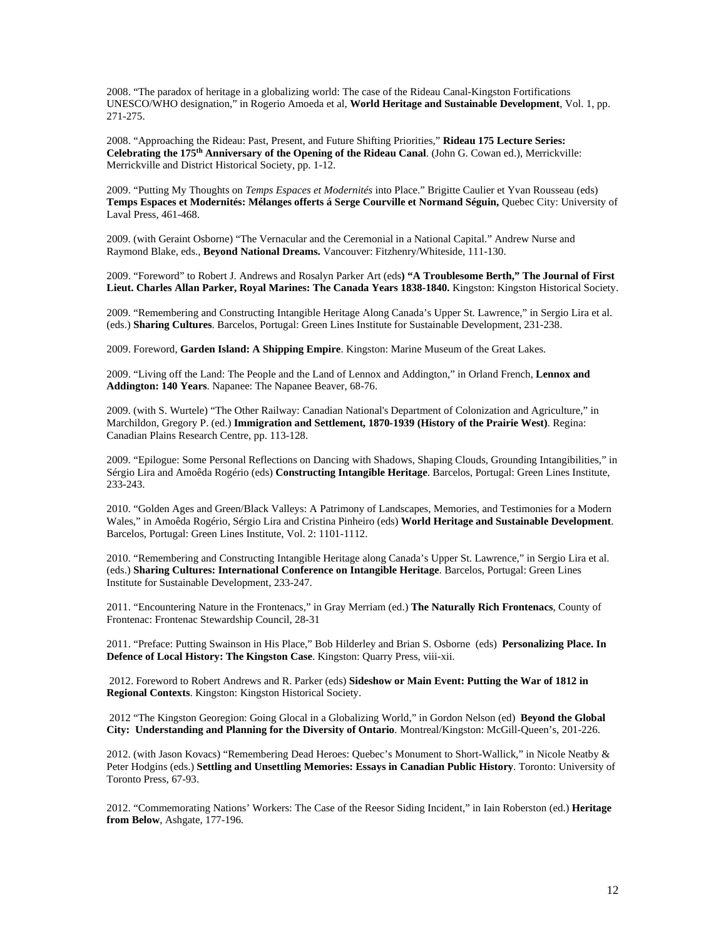2008. "The paradox of heritage in a globalizing world: The case of the Rideau Canal-Kingston Fortifications UNESCO/WHO designation," in Rogerio Amoeda et al, **World Heritage and Sustainable Development**, Vol. 1, pp. 271-275.

2008. "Approaching the Rideau: Past, Present, and Future Shifting Priorities," **Rideau 175 Lecture Series: Celebrating the 175th Anniversary of the Opening of the Rideau Canal**. (John G. Cowan ed.), Merrickville: Merrickville and District Historical Society, pp. 1-12.

2009. "Putting My Thoughts on *Temps Espaces et Modernités* into Place." Brigitte Caulier et Yvan Rousseau (eds) **Temps Espaces et Modernités: Mélanges offerts á Serge Courville et Normand Séguin,** Quebec City: University of Laval Press, 461-468.

2009. (with Geraint Osborne) "The Vernacular and the Ceremonial in a National Capital." Andrew Nurse and Raymond Blake, eds., **Beyond National Dreams.** Vancouver: Fitzhenry/Whiteside, 111-130.

2009. "Foreword" to Robert J. Andrews and Rosalyn Parker Art (eds**) "A Troublesome Berth," The Journal of First Lieut. Charles Allan Parker, Royal Marines: The Canada Years 1838-1840.** Kingston: Kingston Historical Society.

2009. "Remembering and Constructing Intangible Heritage Along Canada's Upper St. Lawrence," in Sergio Lira et al. (eds.) **Sharing Cultures**. Barcelos, Portugal: Green Lines Institute for Sustainable Development, 231-238.

2009. Foreword, **Garden Island: A Shipping Empire**. Kingston: Marine Museum of the Great Lakes.

2009. "Living off the Land: The People and the Land of Lennox and Addington," in Orland French, **Lennox and Addington: 140 Years**. Napanee: The Napanee Beaver, 68-76.

2009. (with S. Wurtele) "The Other Railway: Canadian National's Department of Colonization and Agriculture," in Marchildon, Gregory P. (ed.) **Immigration and Settlement, 1870-1939 (History of the Prairie West)**. Regina: Canadian Plains Research Centre, pp. 113-128.

2009. "Epilogue: Some Personal Reflections on Dancing with Shadows, Shaping Clouds, Grounding Intangibilities," in Sérgio Lira and Amoêda Rogério (eds) **Constructing Intangible Heritage**. Barcelos, Portugal: Green Lines Institute, 233-243.

2010. "Golden Ages and Green/Black Valleys: A Patrimony of Landscapes, Memories, and Testimonies for a Modern Wales," in Amoêda Rogério, Sérgio Lira and Cristina Pinheiro (eds) **World Heritage and Sustainable Development**. Barcelos, Portugal: Green Lines Institute, Vol. 2: 1101-1112.

2010. "Remembering and Constructing Intangible Heritage along Canada's Upper St. Lawrence," in Sergio Lira et al. (eds.) **Sharing Cultures: International Conference on Intangible Heritage**. Barcelos, Portugal: Green Lines Institute for Sustainable Development, 233-247.

2011. "Encountering Nature in the Frontenacs," in Gray Merriam (ed.) **The Naturally Rich Frontenacs**, County of Frontenac: Frontenac Stewardship Council, 28-31

2011. "Preface: Putting Swainson in His Place," Bob Hilderley and Brian S. Osborne (eds) **Personalizing Place. In Defence of Local History: The Kingston Case**. Kingston: Quarry Press, viii-xii.

2012. Foreword to Robert Andrews and R. Parker (eds) **Sideshow or Main Event: Putting the War of 1812 in Regional Contexts**. Kingston: Kingston Historical Society.

2012 "The Kingston Georegion: Going Glocal in a Globalizing World," in Gordon Nelson (ed) **Beyond the Global City: Understanding and Planning for the Diversity of Ontario**. Montreal/Kingston: McGill-Queen's, 201-226.

2012. (with Jason Kovacs) "Remembering Dead Heroes: Quebec's Monument to Short-Wallick," in Nicole Neatby & Peter Hodgins (eds.) **Settling and Unsettling Memories: Essays in Canadian Public History**. Toronto: University of Toronto Press, 67-93.

2012. "Commemorating Nations' Workers: The Case of the Reesor Siding Incident," in Iain Roberston (ed.) **Heritage from Below**, Ashgate, 177-196.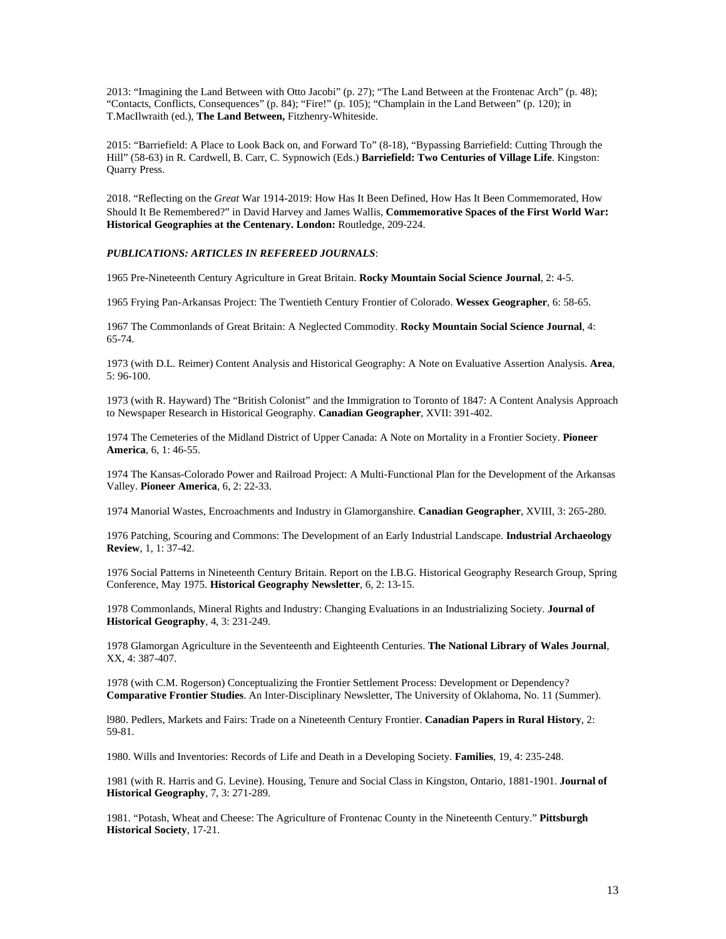2013: "Imagining the Land Between with Otto Jacobi" (p. 27); "The Land Between at the Frontenac Arch" (p. 48); "Contacts, Conflicts, Consequences" (p. 84); "Fire!" (p. 105); "Champlain in the Land Between" (p. 120); in T.MacIlwraith (ed.), **The Land Between,** Fitzhenry-Whiteside.

2015: "Barriefield: A Place to Look Back on, and Forward To" (8-18), "Bypassing Barriefield: Cutting Through the Hill" (58-63) in R. Cardwell, B. Carr, C. Sypnowich (Eds.) **Barriefield: Two Centuries of Village Life**. Kingston: Quarry Press.

2018. "Reflecting on the *Great* War 1914-2019: How Has It Been Defined, How Has It Been Commemorated, How Should It Be Remembered?" in David Harvey and James Wallis, **Commemorative Spaces of the First World War: Historical Geographies at the Centenary. London:** Routledge, 209-224.

*PUBLICATIONS: ARTICLES IN REFEREED JOURNALS*:

1965 Pre-Nineteenth Century Agriculture in Great Britain. **Rocky Mountain Social Science Journal**, 2: 4-5.

1965 Frying Pan-Arkansas Project: The Twentieth Century Frontier of Colorado. **Wessex Geographer**, 6: 58-65.

1967 The Commonlands of Great Britain: A Neglected Commodity. **Rocky Mountain Social Science Journal**, 4: 65-74.

1973 (with D.L. Reimer) Content Analysis and Historical Geography: A Note on Evaluative Assertion Analysis. **Area**, 5: 96-100.

1973 (with R. Hayward) The "British Colonist" and the Immigration to Toronto of 1847: A Content Analysis Approach to Newspaper Research in Historical Geography. **Canadian Geographer**, XVII: 391-402.

1974 The Cemeteries of the Midland District of Upper Canada: A Note on Mortality in a Frontier Society. **Pioneer America**, 6, 1: 46-55.

1974 The Kansas-Colorado Power and Railroad Project: A Multi-Functional Plan for the Development of the Arkansas Valley. **Pioneer America**, 6, 2: 22-33.

1974 Manorial Wastes, Encroachments and Industry in Glamorganshire. **Canadian Geographer**, XVIII, 3: 265-280.

1976 Patching, Scouring and Commons: The Development of an Early Industrial Landscape. **Industrial Archaeology Review**, 1, 1: 37-42.

1976 Social Patterns in Nineteenth Century Britain. Report on the I.B.G. Historical Geography Research Group, Spring Conference, May 1975. **Historical Geography Newsletter**, 6, 2: 13-15.

1978 Commonlands, Mineral Rights and Industry: Changing Evaluations in an Industrializing Society. **Journal of Historical Geography**, 4, 3: 231-249.

1978 Glamorgan Agriculture in the Seventeenth and Eighteenth Centuries. **The National Library of Wales Journal**, XX, 4: 387-407.

1978 (with C.M. Rogerson) Conceptualizing the Frontier Settlement Process: Development or Dependency? **Comparative Frontier Studies**. An Inter-Disciplinary Newsletter, The University of Oklahoma, No. 11 (Summer).

l980. Pedlers, Markets and Fairs: Trade on a Nineteenth Century Frontier. **Canadian Papers in Rural History**, 2: 59-81.

1980. Wills and Inventories: Records of Life and Death in a Developing Society. **Families**, 19, 4: 235-248.

1981 (with R. Harris and G. Levine). Housing, Tenure and Social Class in Kingston, Ontario, 1881-1901. **Journal of Historical Geography**, 7, 3: 271-289.

1981. "Potash, Wheat and Cheese: The Agriculture of Frontenac County in the Nineteenth Century." **Pittsburgh Historical Society**, 17-21.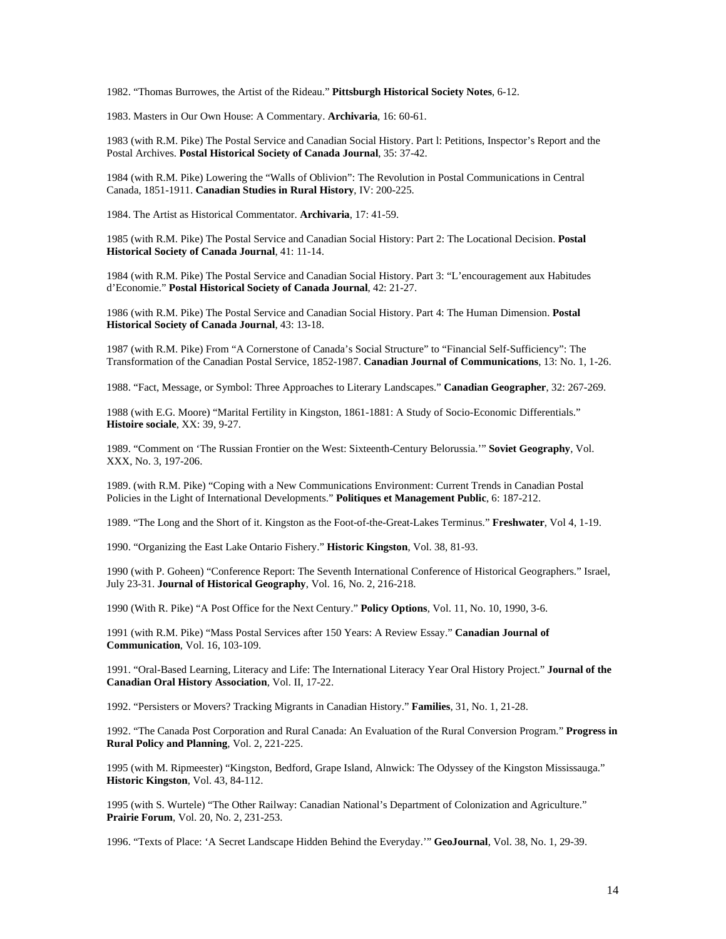1982. "Thomas Burrowes, the Artist of the Rideau." **Pittsburgh Historical Society Notes**, 6-12.

1983. Masters in Our Own House: A Commentary. **Archivaria**, 16: 60-61.

1983 (with R.M. Pike) The Postal Service and Canadian Social History. Part l: Petitions, Inspector's Report and the Postal Archives. **Postal Historical Society of Canada Journal**, 35: 37-42.

1984 (with R.M. Pike) Lowering the "Walls of Oblivion": The Revolution in Postal Communications in Central Canada, 1851-1911. **Canadian Studies in Rural History**, IV: 200-225.

1984. The Artist as Historical Commentator. **Archivaria**, 17: 41-59.

1985 (with R.M. Pike) The Postal Service and Canadian Social History: Part 2: The Locational Decision. **Postal Historical Society of Canada Journal**, 41: 11-14.

1984 (with R.M. Pike) The Postal Service and Canadian Social History. Part 3: "L'encouragement aux Habitudes d'Economie." **Postal Historical Society of Canada Journal**, 42: 21-27.

1986 (with R.M. Pike) The Postal Service and Canadian Social History. Part 4: The Human Dimension. **Postal Historical Society of Canada Journal**, 43: 13-18.

1987 (with R.M. Pike) From "A Cornerstone of Canada's Social Structure" to "Financial Self-Sufficiency": The Transformation of the Canadian Postal Service, 1852-1987. **Canadian Journal of Communications**, 13: No. 1, 1-26.

1988. "Fact, Message, or Symbol: Three Approaches to Literary Landscapes." **Canadian Geographer**, 32: 267-269.

1988 (with E.G. Moore) "Marital Fertility in Kingston, 1861-1881: A Study of Socio-Economic Differentials." **Histoire sociale**, XX: 39, 9-27.

1989. "Comment on 'The Russian Frontier on the West: Sixteenth-Century Belorussia.'" **Soviet Geography**, Vol. XXX, No. 3, 197-206.

1989. (with R.M. Pike) "Coping with a New Communications Environment: Current Trends in Canadian Postal Policies in the Light of International Developments." **Politiques et Management Public**, 6: 187-212.

1989. "The Long and the Short of it. Kingston as the Foot-of-the-Great-Lakes Terminus." **Freshwater**, Vol 4, 1-19.

1990. "Organizing the East Lake Ontario Fishery." **Historic Kingston**, Vol. 38, 81-93.

1990 (with P. Goheen) "Conference Report: The Seventh International Conference of Historical Geographers." Israel, July 23-31. **Journal of Historical Geography**, Vol. 16, No. 2, 216-218.

1990 (With R. Pike) "A Post Office for the Next Century." **Policy Options**, Vol. 11, No. 10, 1990, 3-6.

1991 (with R.M. Pike) "Mass Postal Services after 150 Years: A Review Essay." **Canadian Journal of Communication**, Vol. 16, 103-109.

1991. "Oral-Based Learning, Literacy and Life: The International Literacy Year Oral History Project." **Journal of the Canadian Oral History Association**, Vol. II, 17-22.

1992. "Persisters or Movers? Tracking Migrants in Canadian History." **Families**, 31, No. 1, 21-28.

1992. "The Canada Post Corporation and Rural Canada: An Evaluation of the Rural Conversion Program." **Progress in Rural Policy and Planning**, Vol. 2, 221-225.

1995 (with M. Ripmeester) "Kingston, Bedford, Grape Island, Alnwick: The Odyssey of the Kingston Mississauga." **Historic Kingston**, Vol. 43, 84-112.

1995 (with S. Wurtele) "The Other Railway: Canadian National's Department of Colonization and Agriculture." **Prairie Forum**, Vol. 20, No. 2, 231-253.

1996. "Texts of Place: 'A Secret Landscape Hidden Behind the Everyday.'" **GeoJournal**, Vol. 38, No. 1, 29-39.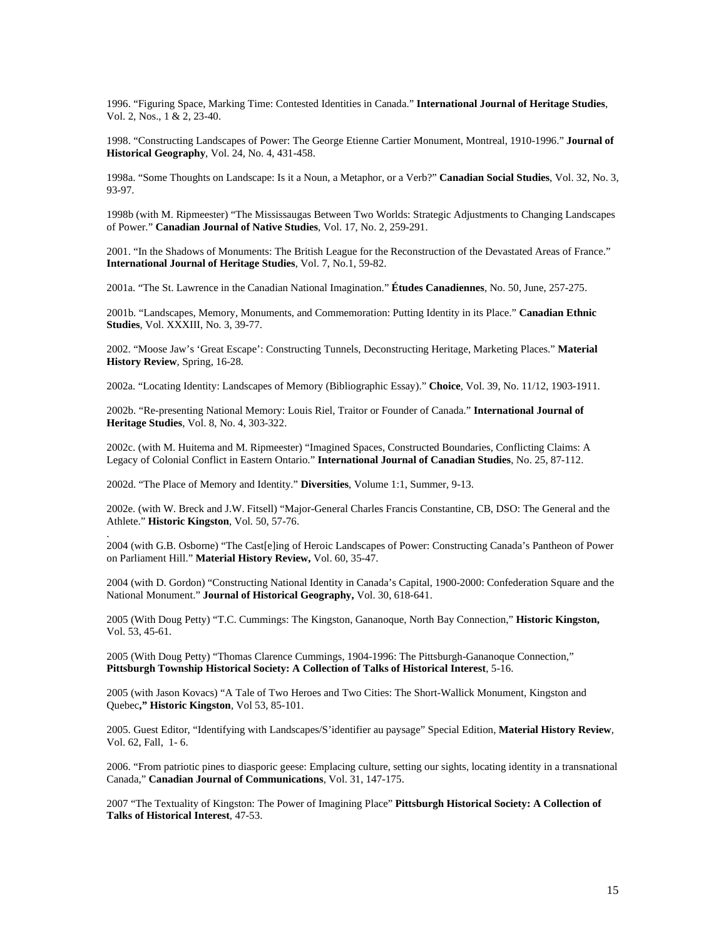1996. "Figuring Space, Marking Time: Contested Identities in Canada." **International Journal of Heritage Studies**, Vol. 2, Nos., 1 & 2, 23-40.

1998. "Constructing Landscapes of Power: The George Etienne Cartier Monument, Montreal, 1910-1996." **Journal of Historical Geography**, Vol. 24, No. 4, 431-458.

1998a. "Some Thoughts on Landscape: Is it a Noun, a Metaphor, or a Verb?" **Canadian Social Studies**, Vol. 32, No. 3, 93-97.

1998b (with M. Ripmeester) "The Mississaugas Between Two Worlds: Strategic Adjustments to Changing Landscapes of Power." **Canadian Journal of Native Studies**, Vol. 17, No. 2, 259-291.

2001. "In the Shadows of Monuments: The British League for the Reconstruction of the Devastated Areas of France." **International Journal of Heritage Studies**, Vol. 7, No.1, 59-82.

2001a. "The St. Lawrence in the Canadian National Imagination." **Études Canadiennes**, No. 50, June, 257-275.

2001b. "Landscapes, Memory, Monuments, and Commemoration: Putting Identity in its Place." **Canadian Ethnic Studies**, Vol. XXXIII, No. 3, 39-77.

2002. "Moose Jaw's 'Great Escape': Constructing Tunnels, Deconstructing Heritage, Marketing Places." **Material History Review**, Spring, 16-28.

2002a. "Locating Identity: Landscapes of Memory (Bibliographic Essay)." **Choice**, Vol. 39, No. 11/12, 1903-1911.

2002b. "Re-presenting National Memory: Louis Riel, Traitor or Founder of Canada." **International Journal of Heritage Studies**, Vol. 8, No. 4, 303-322.

2002c. (with M. Huitema and M. Ripmeester) "Imagined Spaces, Constructed Boundaries, Conflicting Claims: A Legacy of Colonial Conflict in Eastern Ontario." **International Journal of Canadian Studies**, No. 25, 87-112.

2002d. "The Place of Memory and Identity." **Diversities**, Volume 1:1, Summer, 9-13.

.

2002e. (with W. Breck and J.W. Fitsell) "Major-General Charles Francis Constantine, CB, DSO: The General and the Athlete." **Historic Kingston**, Vol. 50, 57-76.

2004 (with G.B. Osborne) "The Cast[e]ing of Heroic Landscapes of Power: Constructing Canada's Pantheon of Power on Parliament Hill." **Material History Review,** Vol. 60, 35-47.

2004 (with D. Gordon) "Constructing National Identity in Canada's Capital, 1900-2000: Confederation Square and the National Monument." **Journal of Historical Geography,** Vol. 30, 618-641.

2005 (With Doug Petty) "T.C. Cummings: The Kingston, Gananoque, North Bay Connection," **Historic Kingston,** Vol. 53, 45-61.

2005 (With Doug Petty) "Thomas Clarence Cummings, 1904-1996: The Pittsburgh-Gananoque Connection," **Pittsburgh Township Historical Society: A Collection of Talks of Historical Interest**, 5-16.

2005 (with Jason Kovacs) "A Tale of Two Heroes and Two Cities: The Short-Wallick Monument, Kingston and Quebec**," Historic Kingston**, Vol 53, 85-101.

2005. Guest Editor, "Identifying with Landscapes/S'identifier au paysage" Special Edition, **Material History Review**, Vol. 62, Fall, 1- 6.

2006. "From patriotic pines to diasporic geese: Emplacing culture, setting our sights, locating identity in a transnational Canada," **Canadian Journal of Communications**, Vol. 31, 147-175.

2007 "The Textuality of Kingston: The Power of Imagining Place" **Pittsburgh Historical Society: A Collection of Talks of Historical Interest**, 47-53.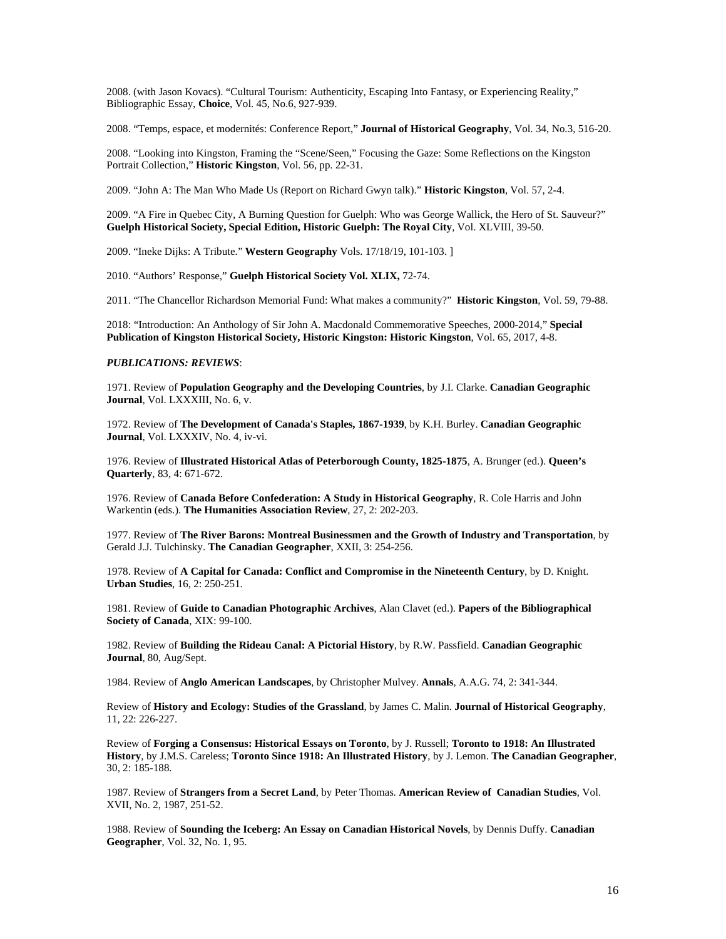2008. (with Jason Kovacs). "Cultural Tourism: Authenticity, Escaping Into Fantasy, or Experiencing Reality," Bibliographic Essay, **Choice**, Vol. 45, No.6, 927-939.

2008. "Temps, espace, et modernités: Conference Report," **Journal of Historical Geography**, Vol. 34, No.3, 516-20.

2008. "Looking into Kingston, Framing the "Scene/Seen," Focusing the Gaze: Some Reflections on the Kingston Portrait Collection," **Historic Kingston**, Vol. 56, pp. 22-31.

2009. "John A: The Man Who Made Us (Report on Richard Gwyn talk)." **Historic Kingston**, Vol. 57, 2-4.

2009. "A Fire in Quebec City, A Burning Question for Guelph: Who was George Wallick, the Hero of St. Sauveur?" **Guelph Historical Society, Special Edition, Historic Guelph: The Royal City**, Vol. XLVIII, 39-50.

2009. "Ineke Dijks: A Tribute." **Western Geography** Vols. 17/18/19, 101-103. ]

2010. "Authors' Response," **Guelph Historical Society Vol. XLIX,** 72-74.

2011. "The Chancellor Richardson Memorial Fund: What makes a community?" **Historic Kingston**, Vol. 59, 79-88.

2018: "Introduction: An Anthology of Sir John A. Macdonald Commemorative Speeches, 2000-2014," **Special Publication of Kingston Historical Society, Historic Kingston: Historic Kingston**, Vol. 65, 2017, 4-8.

### *PUBLICATIONS: REVIEWS*:

1971. Review of **Population Geography and the Developing Countries**, by J.I. Clarke. **Canadian Geographic Journal**, Vol. LXXXIII, No. 6, v.

1972. Review of **The Development of Canada's Staples, 1867-1939**, by K.H. Burley. **Canadian Geographic Journal**, Vol. LXXXIV, No. 4, iv-vi.

1976. Review of **Illustrated Historical Atlas of Peterborough County, 1825-1875**, A. Brunger (ed.). **Queen's Quarterly**, 83, 4: 671-672.

1976. Review of **Canada Before Confederation: A Study in Historical Geography**, R. Cole Harris and John Warkentin (eds.). **The Humanities Association Review**, 27, 2: 202-203.

1977. Review of **The River Barons: Montreal Businessmen and the Growth of Industry and Transportation**, by Gerald J.J. Tulchinsky. **The Canadian Geographer**, XXII, 3: 254-256.

1978. Review of **A Capital for Canada: Conflict and Compromise in the Nineteenth Century**, by D. Knight. **Urban Studies**, 16, 2: 250-251.

1981. Review of **Guide to Canadian Photographic Archives**, Alan Clavet (ed.). **Papers of the Bibliographical Society of Canada**, XIX: 99-100.

1982. Review of **Building the Rideau Canal: A Pictorial History**, by R.W. Passfield. **Canadian Geographic Journal**, 80, Aug/Sept.

1984. Review of **Anglo American Landscapes**, by Christopher Mulvey. **Annals**, A.A.G. 74, 2: 341-344.

Review of **History and Ecology: Studies of the Grassland**, by James C. Malin. **Journal of Historical Geography**, 11, 22: 226-227.

Review of **Forging a Consensus: Historical Essays on Toronto**, by J. Russell; **Toronto to 1918: An Illustrated History**, by J.M.S. Careless; **Toronto Since 1918: An Illustrated History**, by J. Lemon. **The Canadian Geographer**, 30, 2: 185-188.

1987. Review of **Strangers from a Secret Land**, by Peter Thomas. **American Review of Canadian Studies**, Vol. XVII, No. 2, 1987, 251-52.

1988. Review of **Sounding the Iceberg: An Essay on Canadian Historical Novels**, by Dennis Duffy. **Canadian Geographer**, Vol. 32, No. 1, 95.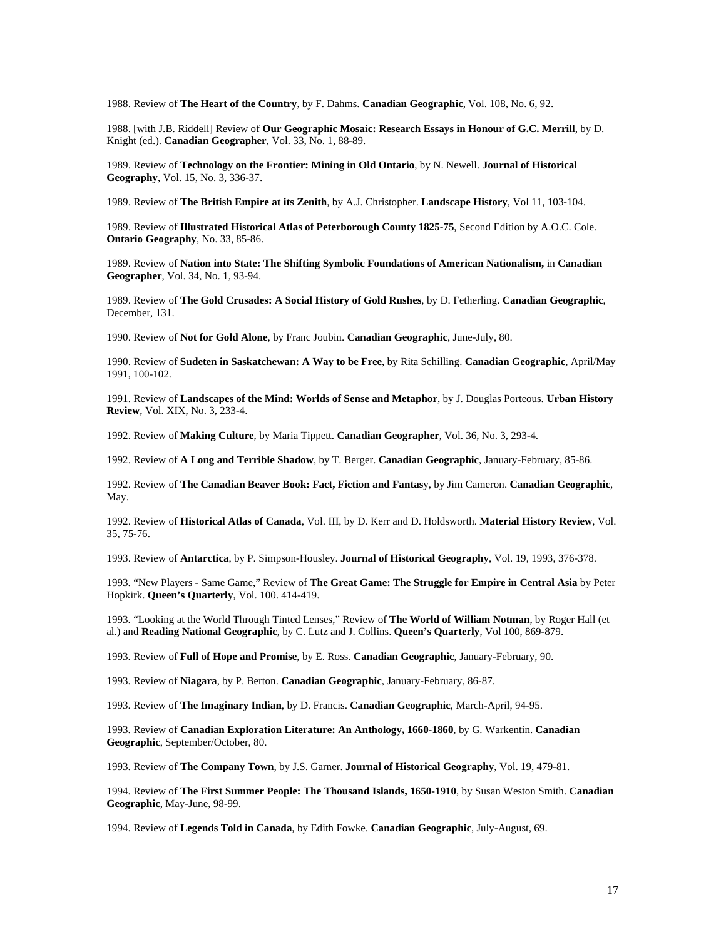1988. Review of **The Heart of the Country**, by F. Dahms. **Canadian Geographic**, Vol. 108, No. 6, 92.

1988. [with J.B. Riddell] Review of **Our Geographic Mosaic: Research Essays in Honour of G.C. Merrill**, by D. Knight (ed.). **Canadian Geographer**, Vol. 33, No. 1, 88-89.

1989. Review of **Technology on the Frontier: Mining in Old Ontario**, by N. Newell. **Journal of Historical Geography**, Vol. 15, No. 3, 336-37.

1989. Review of **The British Empire at its Zenith**, by A.J. Christopher. **Landscape History**, Vol 11, 103-104.

1989. Review of **Illustrated Historical Atlas of Peterborough County 1825-75**, Second Edition by A.O.C. Cole. **Ontario Geography**, No. 33, 85-86.

1989. Review of **Nation into State: The Shifting Symbolic Foundations of American Nationalism,** in **Canadian Geographer**, Vol. 34, No. 1, 93-94.

1989. Review of **The Gold Crusades: A Social History of Gold Rushes**, by D. Fetherling. **Canadian Geographic**, December, 131.

1990. Review of **Not for Gold Alone**, by Franc Joubin. **Canadian Geographic**, June-July, 80.

1990. Review of **Sudeten in Saskatchewan: A Way to be Free**, by Rita Schilling. **Canadian Geographic**, April/May 1991, 100-102.

1991. Review of **Landscapes of the Mind: Worlds of Sense and Metaphor**, by J. Douglas Porteous. **Urban History Review**, Vol. XIX, No. 3, 233-4.

1992. Review of **Making Culture**, by Maria Tippett. **Canadian Geographer**, Vol. 36, No. 3, 293-4.

1992. Review of **A Long and Terrible Shadow**, by T. Berger. **Canadian Geographic**, January-February, 85-86.

1992. Review of **The Canadian Beaver Book: Fact, Fiction and Fantas**y, by Jim Cameron. **Canadian Geographic**, May.

1992. Review of **Historical Atlas of Canada**, Vol. III, by D. Kerr and D. Holdsworth. **Material History Review**, Vol. 35, 75-76.

1993. Review of **Antarctica**, by P. Simpson-Housley. **Journal of Historical Geography**, Vol. 19, 1993, 376-378.

1993. "New Players - Same Game," Review of **The Great Game: The Struggle for Empire in Central Asia** by Peter Hopkirk. **Queen's Quarterly**, Vol. 100. 414-419.

1993. "Looking at the World Through Tinted Lenses," Review of **The World of William Notman**, by Roger Hall (et al.) and **Reading National Geographic**, by C. Lutz and J. Collins. **Queen's Quarterly**, Vol 100, 869-879.

1993. Review of **Full of Hope and Promise**, by E. Ross. **Canadian Geographic**, January-February, 90.

1993. Review of **Niagara**, by P. Berton. **Canadian Geographic**, January-February, 86-87.

1993. Review of **The Imaginary Indian**, by D. Francis. **Canadian Geographic**, March-April, 94-95.

1993. Review of **Canadian Exploration Literature: An Anthology, 1660-1860**, by G. Warkentin. **Canadian Geographic**, September/October, 80.

1993. Review of **The Company Town**, by J.S. Garner. **Journal of Historical Geography**, Vol. 19, 479-81.

1994. Review of **The First Summer People: The Thousand Islands, 1650-1910**, by Susan Weston Smith. **Canadian Geographic**, May-June, 98-99.

1994. Review of **Legends Told in Canada**, by Edith Fowke. **Canadian Geographic**, July-August, 69.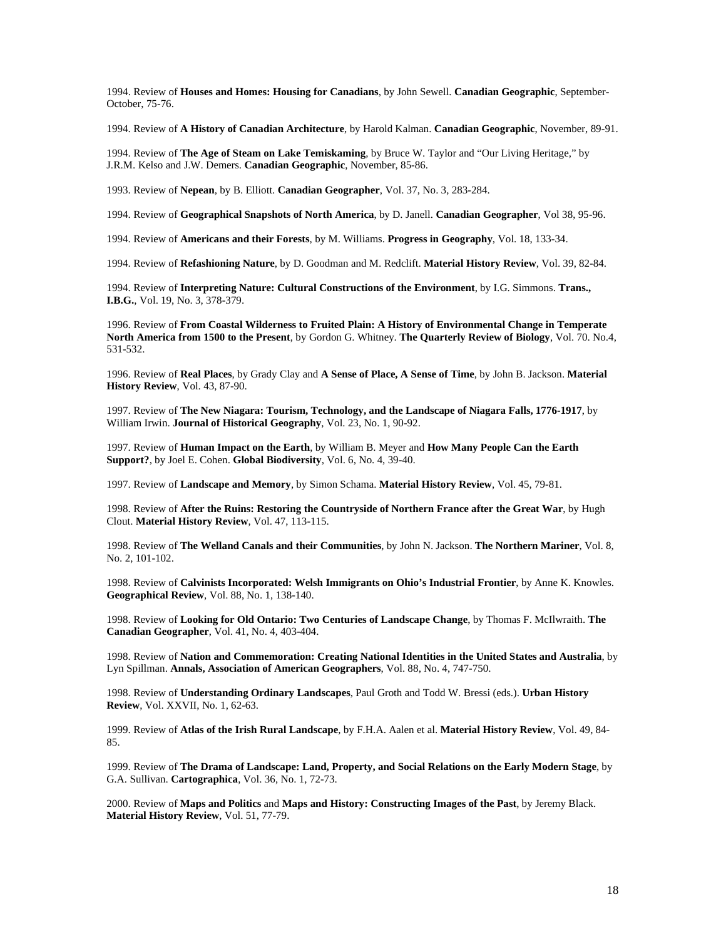1994. Review of **Houses and Homes: Housing for Canadians**, by John Sewell. **Canadian Geographic**, September-October, 75-76.

1994. Review of **A History of Canadian Architecture**, by Harold Kalman. **Canadian Geographic**, November, 89-91.

1994. Review of **The Age of Steam on Lake Temiskaming**, by Bruce W. Taylor and "Our Living Heritage," by J.R.M. Kelso and J.W. Demers. **Canadian Geographic**, November, 85-86.

1993. Review of **Nepean**, by B. Elliott. **Canadian Geographer**, Vol. 37, No. 3, 283-284.

1994. Review of **Geographical Snapshots of North America**, by D. Janell. **Canadian Geographer**, Vol 38, 95-96.

1994. Review of **Americans and their Forests**, by M. Williams. **Progress in Geography**, Vol. 18, 133-34.

1994. Review of **Refashioning Nature**, by D. Goodman and M. Redclift. **Material History Review**, Vol. 39, 82-84.

1994. Review of **Interpreting Nature: Cultural Constructions of the Environment**, by I.G. Simmons. **Trans., I.B.G.**, Vol. 19, No. 3, 378-379.

1996. Review of **From Coastal Wilderness to Fruited Plain: A History of Environmental Change in Temperate North America from 1500 to the Present**, by Gordon G. Whitney. **The Quarterly Review of Biology**, Vol. 70. No.4, 531-532.

1996. Review of **Real Places**, by Grady Clay and **A Sense of Place, A Sense of Time**, by John B. Jackson. **Material History Review**, Vol. 43, 87-90.

1997. Review of **The New Niagara: Tourism, Technology, and the Landscape of Niagara Falls, 1776-1917**, by William Irwin. **Journal of Historical Geography**, Vol. 23, No. 1, 90-92.

1997. Review of **Human Impact on the Earth**, by William B. Meyer and **How Many People Can the Earth Support?**, by Joel E. Cohen. **Global Biodiversity**, Vol. 6, No. 4, 39-40.

1997. Review of **Landscape and Memory**, by Simon Schama. **Material History Review**, Vol. 45, 79-81.

1998. Review of **After the Ruins: Restoring the Countryside of Northern France after the Great War**, by Hugh Clout. **Material History Review**, Vol. 47, 113-115.

1998. Review of **The Welland Canals and their Communities**, by John N. Jackson. **The Northern Mariner**, Vol. 8, No. 2, 101-102.

1998. Review of **Calvinists Incorporated: Welsh Immigrants on Ohio's Industrial Frontier**, by Anne K. Knowles. **Geographical Review**, Vol. 88, No. 1, 138-140.

1998. Review of **Looking for Old Ontario: Two Centuries of Landscape Change**, by Thomas F. McIlwraith. **The Canadian Geographer**, Vol. 41, No. 4, 403-404.

1998. Review of **Nation and Commemoration: Creating National Identities in the United States and Australia**, by Lyn Spillman. **Annals, Association of American Geographers**, Vol. 88, No. 4, 747-750.

1998. Review of **Understanding Ordinary Landscapes**, Paul Groth and Todd W. Bressi (eds.). **Urban History Review**, Vol. XXVII, No. 1, 62-63.

1999. Review of **Atlas of the Irish Rural Landscape**, by F.H.A. Aalen et al. **Material History Review**, Vol. 49, 84- 85.

1999. Review of **The Drama of Landscape: Land, Property, and Social Relations on the Early Modern Stage**, by G.A. Sullivan. **Cartographica**, Vol. 36, No. 1, 72-73.

2000. Review of **Maps and Politics** and **Maps and History: Constructing Images of the Past**, by Jeremy Black. **Material History Review**, Vol. 51, 77-79.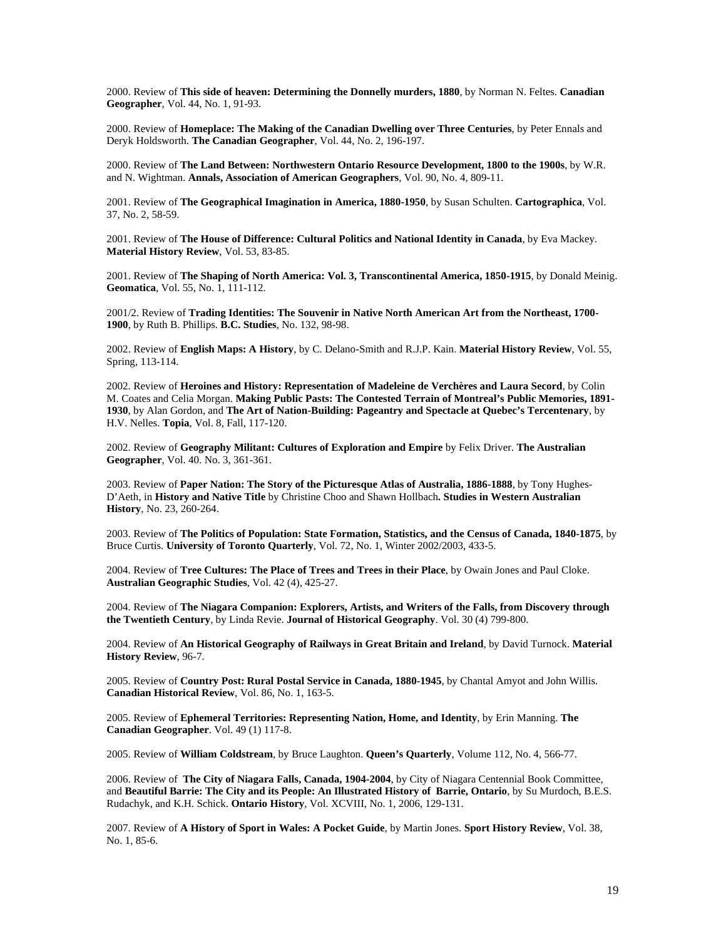2000. Review of **This side of heaven: Determining the Donnelly murders, 1880**, by Norman N. Feltes. **Canadian Geographer**, Vol. 44, No. 1, 91-93.

2000. Review of **Homeplace: The Making of the Canadian Dwelling over Three Centuries**, by Peter Ennals and Deryk Holdsworth. **The Canadian Geographer**, Vol. 44, No. 2, 196-197.

2000. Review of **The Land Between: Northwestern Ontario Resource Development, 1800 to the 1900s**, by W.R. and N. Wightman. **Annals, Association of American Geographers**, Vol. 90, No. 4, 809-11.

2001. Review of **The Geographical Imagination in America, 1880-1950**, by Susan Schulten. **Cartographica**, Vol. 37, No. 2, 58-59.

2001. Review of **The House of Difference: Cultural Politics and National Identity in Canada**, by Eva Mackey. **Material History Review**, Vol. 53, 83-85.

2001. Review of **The Shaping of North America: Vol. 3, Transcontinental America, 1850-1915**, by Donald Meinig. **Geomatica**, Vol. 55, No. 1, 111-112.

2001/2. Review of **Trading Identities: The Souvenir in Native North American Art from the Northeast, 1700- 1900**, by Ruth B. Phillips. **B.C. Studies**, No. 132, 98-98.

2002. Review of **English Maps: A History**, by C. Delano-Smith and R.J.P. Kain. **Material History Review**, Vol. 55, Spring, 113-114.

2002. Review of **Heroines and History: Representation of Madeleine de Verchères and Laura Secord**, by Colin M. Coates and Celia Morgan. **Making Public Pasts: The Contested Terrain of Montreal's Public Memories, 1891- 1930**, by Alan Gordon, and **The Art of Nation-Building: Pageantry and Spectacle at Quebec's Tercentenary**, by H.V. Nelles. **Topia**, Vol. 8, Fall, 117-120.

2002. Review of **Geography Militant: Cultures of Exploration and Empire** by Felix Driver. **The Australian Geographer**, Vol. 40. No. 3, 361-361.

2003. Review of **Paper Nation: The Story of the Picturesque Atlas of Australia, 1886-1888**, by Tony Hughes-D'Aeth, in **History and Native Title** by Christine Choo and Shawn Hollbach**. Studies in Western Australian History**, No. 23, 260-264.

2003. Review of **The Politics of Population: State Formation, Statistics, and the Census of Canada, 1840-1875**, by Bruce Curtis. **University of Toronto Quarterly**, Vol. 72, No. 1, Winter 2002/2003, 433-5.

2004. Review of **Tree Cultures: The Place of Trees and Trees in their Place**, by Owain Jones and Paul Cloke. **Australian Geographic Studies**, Vol. 42 (4), 425-27.

2004. Review of **The Niagara Companion: Explorers, Artists, and Writers of the Falls, from Discovery through the Twentieth Century**, by Linda Revie. **Journal of Historical Geography**. Vol. 30 (4) 799-800.

2004. Review of **An Historical Geography of Railways in Great Britain and Ireland**, by David Turnock. **Material History Review**, 96-7.

2005. Review of **Country Post: Rural Postal Service in Canada, 1880-1945**, by Chantal Amyot and John Willis. **Canadian Historical Review**, Vol. 86, No. 1, 163-5.

2005. Review of **Ephemeral Territories: Representing Nation, Home, and Identity**, by Erin Manning. **The Canadian Geographer**. Vol. 49 (1) 117-8.

2005. Review of **William Coldstream**, by Bruce Laughton. **Queen's Quarterly**, Volume 112, No. 4, 566-77.

2006. Review of **The City of Niagara Falls, Canada, 1904-2004**, by City of Niagara Centennial Book Committee, and **Beautiful Barrie: The City and its People: An Illustrated History of Barrie, Ontario**, by Su Murdoch, B.E.S. Rudachyk, and K.H. Schick. **Ontario History**, Vol. XCVIII, No. 1, 2006, 129-131.

2007. Review of **A History of Sport in Wales: A Pocket Guide**, by Martin Jones. **Sport History Review**, Vol. 38, No. 1, 85-6.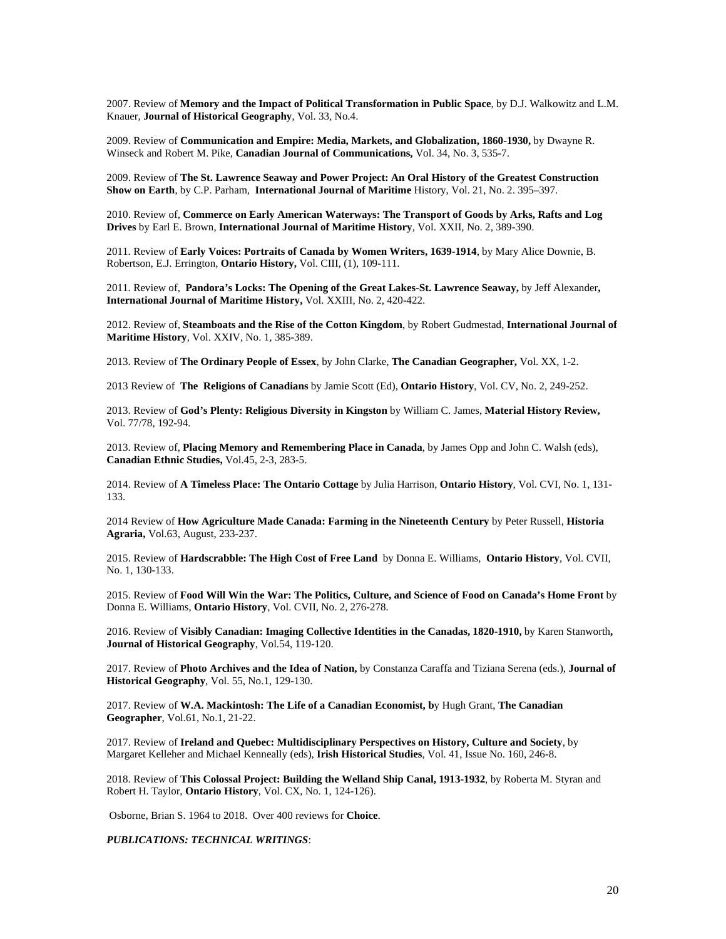2007. Review of **Memory and the Impact of Political Transformation in Public Space**, by D.J. Walkowitz and L.M. Knauer, **Journal of Historical Geography**, Vol. 33, No.4.

2009. Review of **Communication and Empire: Media, Markets, and Globalization, 1860-1930,** by Dwayne R. Winseck and Robert M. Pike, **Canadian Journal of Communications,** Vol. 34, No. 3, 535-7.

2009. Review of **The St. Lawrence Seaway and Power Project: An Oral History of the Greatest Construction Show on Earth**, by C.P. Parham*,* **International Journal of Maritime** History, Vol. 21, No. 2. 395–397.

2010. Review of, **Commerce on Early American Waterways: The Transport of Goods by Arks, Rafts and Log Drives** by Earl E. Brown, **International Journal of Maritime History**, Vol. XXII, No. 2, 389-390.

2011. Review of **Early Voices: Portraits of Canada by Women Writers, 1639-1914**, by Mary Alice Downie, B. Robertson, E.J. Errington, **Ontario History,** Vol. CIII, (1), 109-111.

2011. Review of, **Pandora's Locks: The Opening of the Great Lakes-St. Lawrence Seaway,** by Jeff Alexander**, International Journal of Maritime History,** Vol. XXIII, No. 2, 420-422.

2012. Review of, **Steamboats and the Rise of the Cotton Kingdom**, by Robert Gudmestad, **International Journal of Maritime History**, Vol. XXIV, No. 1, 385-389.

2013. Review of **The Ordinary People of Essex**, by John Clarke, **The Canadian Geographer,** Vol. XX, 1-2.

2013 Review of **The Religions of Canadians** by Jamie Scott (Ed), **Ontario History**, Vol. CV, No. 2, 249-252.

2013. Review of **God's Plenty: Religious Diversity in Kingston** by William C. James, **Material History Review,**  Vol. 77/78, 192-94.

2013. Review of, **Placing Memory and Remembering Place in Canada**, by James Opp and John C. Walsh (eds), **Canadian Ethnic Studies,** Vol.45, 2-3, 283-5.

2014. Review of **A Timeless Place: The Ontario Cottage** by Julia Harrison, **Ontario History**, Vol. CVI, No. 1, 131- 133.

2014 Review of **How Agriculture Made Canada: Farming in the Nineteenth Century** by Peter Russell, **Historia Agraria,** Vol.63, August, 233-237.

2015. Review of **Hardscrabble: The High Cost of Free Land** by Donna E. Williams, **Ontario History**, Vol. CVII, No. 1, 130-133.

2015. Review of **Food Will Win the War: The Politics, Culture, and Science of Food on Canada's Home Front** by Donna E. Williams, **Ontario History**, Vol. CVII, No. 2, 276-278.

2016. Review of **Visibly Canadian: Imaging Collective Identities in the Canadas, 1820-1910,** by Karen Stanworth**, Journal of Historical Geography**, Vol.54, 119-120.

2017. Review of **Photo Archives and the Idea of Nation,** by Constanza Caraffa and Tiziana Serena (eds.), **Journal of Historical Geography**, Vol. 55, No.1, 129-130.

2017. Review of **W.A. Mackintosh: The Life of a Canadian Economist, b**y Hugh Grant, **The Canadian Geographer**, Vol.61, No.1, 21-22.

2017. Review of **Ireland and Quebec: Multidisciplinary Perspectives on History, Culture and Society**, by Margaret Kelleher and Michael Kenneally (eds), **Irish Historical Studies**, Vol. 41, Issue No. 160, 246-8.

2018. Review of **This Colossal Project: Building the Welland Ship Canal, 1913-1932**, by Roberta M. Styran and Robert H. Taylor, **Ontario History**, Vol. CX, No. 1, 124-126).

Osborne, Brian S. 1964 to 2018. Over 400 reviews for **Choice**.

*PUBLICATIONS: TECHNICAL WRITINGS*: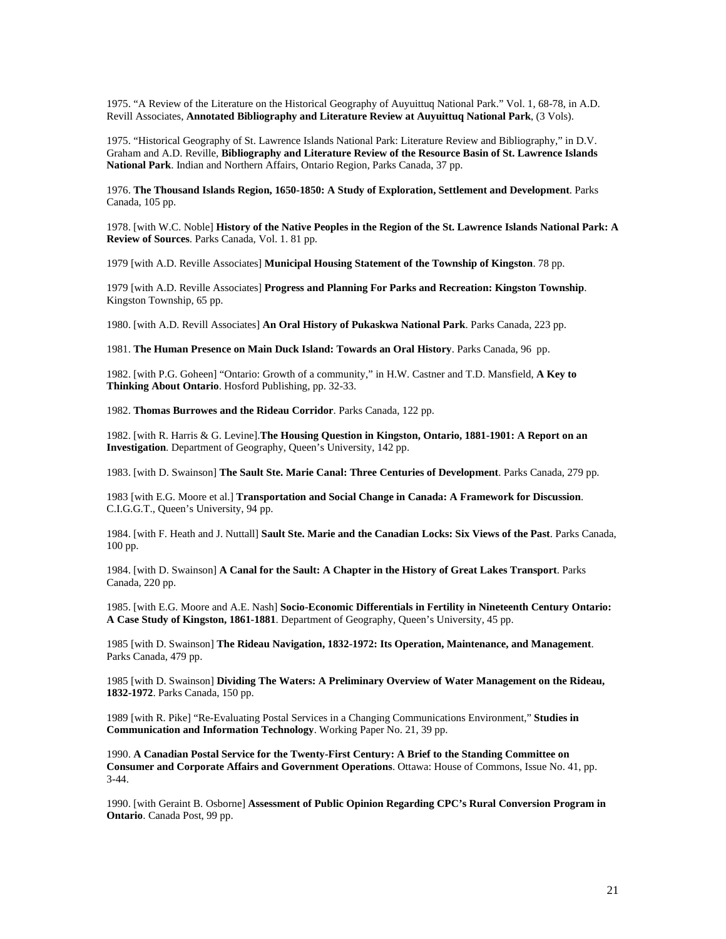1975. "A Review of the Literature on the Historical Geography of Auyuittuq National Park." Vol. 1, 68-78, in A.D. Revill Associates, **Annotated Bibliography and Literature Review at Auyuittuq National Park**, (3 Vols).

1975. "Historical Geography of St. Lawrence Islands National Park: Literature Review and Bibliography," in D.V. Graham and A.D. Reville, **Bibliography and Literature Review of the Resource Basin of St. Lawrence Islands National Park**. Indian and Northern Affairs, Ontario Region, Parks Canada, 37 pp.

1976. **The Thousand Islands Region, 1650-1850: A Study of Exploration, Settlement and Development**. Parks Canada, 105 pp.

1978. [with W.C. Noble] **History of the Native Peoples in the Region of the St. Lawrence Islands National Park: A Review of Sources**. Parks Canada, Vol. 1. 81 pp.

1979 [with A.D. Reville Associates] **Municipal Housing Statement of the Township of Kingston**. 78 pp.

1979 [with A.D. Reville Associates] **Progress and Planning For Parks and Recreation: Kingston Township**. Kingston Township, 65 pp.

1980. [with A.D. Revill Associates] **An Oral History of Pukaskwa National Park**. Parks Canada, 223 pp.

1981. **The Human Presence on Main Duck Island: Towards an Oral History**. Parks Canada, 96 pp.

1982. [with P.G. Goheen] "Ontario: Growth of a community," in H.W. Castner and T.D. Mansfield, **A Key to Thinking About Ontario**. Hosford Publishing, pp. 32-33.

1982. **Thomas Burrowes and the Rideau Corridor**. Parks Canada, 122 pp.

1982. [with R. Harris & G. Levine].**The Housing Question in Kingston, Ontario, 1881-1901: A Report on an Investigation**. Department of Geography, Queen's University, 142 pp.

1983. [with D. Swainson] **The Sault Ste. Marie Canal: Three Centuries of Development**. Parks Canada, 279 pp.

1983 [with E.G. Moore et al.] **Transportation and Social Change in Canada: A Framework for Discussion**. C.I.G.G.T., Queen's University, 94 pp.

1984. [with F. Heath and J. Nuttall] **Sault Ste. Marie and the Canadian Locks: Six Views of the Past**. Parks Canada, 100 pp.

1984. [with D. Swainson] **A Canal for the Sault: A Chapter in the History of Great Lakes Transport**. Parks Canada, 220 pp.

1985. [with E.G. Moore and A.E. Nash] **Socio-Economic Differentials in Fertility in Nineteenth Century Ontario: A Case Study of Kingston, 1861-1881**. Department of Geography, Queen's University, 45 pp.

1985 [with D. Swainson] **The Rideau Navigation, 1832-1972: Its Operation, Maintenance, and Management**. Parks Canada, 479 pp.

1985 [with D. Swainson] **Dividing The Waters: A Preliminary Overview of Water Management on the Rideau, 1832-1972**. Parks Canada, 150 pp.

1989 [with R. Pike] "Re-Evaluating Postal Services in a Changing Communications Environment," **Studies in Communication and Information Technology**. Working Paper No. 21, 39 pp.

1990. **A Canadian Postal Service for the Twenty-First Century: A Brief to the Standing Committee on Consumer and Corporate Affairs and Government Operations**. Ottawa: House of Commons, Issue No. 41, pp. 3-44.

1990. [with Geraint B. Osborne] **Assessment of Public Opinion Regarding CPC's Rural Conversion Program in Ontario**. Canada Post, 99 pp.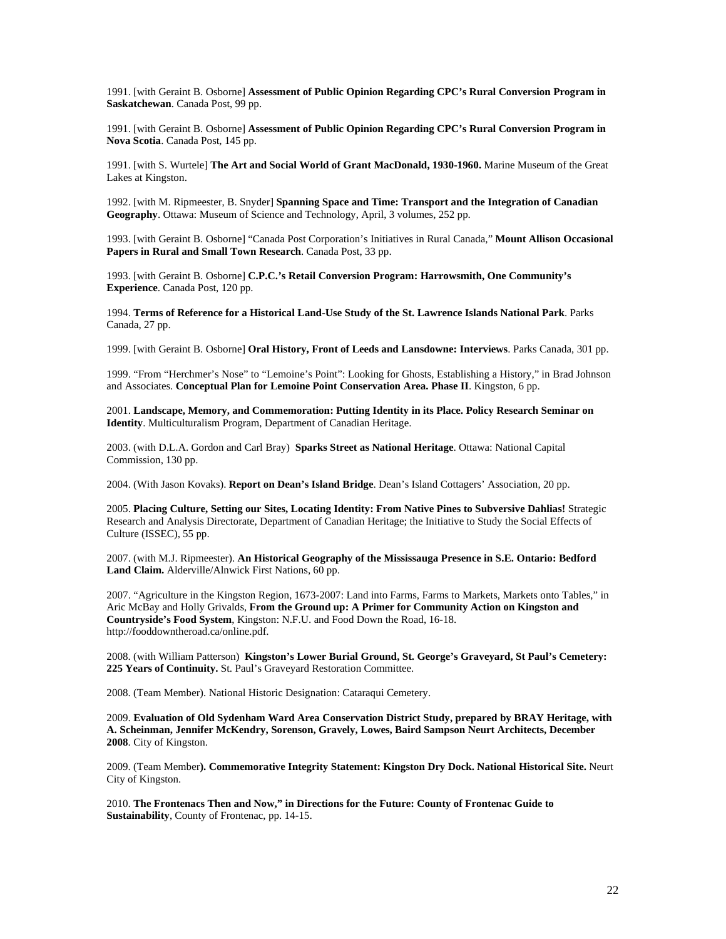1991. [with Geraint B. Osborne] **Assessment of Public Opinion Regarding CPC's Rural Conversion Program in Saskatchewan**. Canada Post, 99 pp.

1991. [with Geraint B. Osborne] **Assessment of Public Opinion Regarding CPC's Rural Conversion Program in Nova Scotia**. Canada Post, 145 pp.

1991. [with S. Wurtele] **The Art and Social World of Grant MacDonald, 1930-1960.** Marine Museum of the Great Lakes at Kingston.

1992. [with M. Ripmeester, B. Snyder] **Spanning Space and Time: Transport and the Integration of Canadian Geography**. Ottawa: Museum of Science and Technology, April, 3 volumes, 252 pp.

1993. [with Geraint B. Osborne] "Canada Post Corporation's Initiatives in Rural Canada," **Mount Allison Occasional Papers in Rural and Small Town Research**. Canada Post, 33 pp.

1993. [with Geraint B. Osborne] **C.P.C.'s Retail Conversion Program: Harrowsmith, One Community's Experience**. Canada Post, 120 pp.

1994. **Terms of Reference for a Historical Land-Use Study of the St. Lawrence Islands National Park**. Parks Canada, 27 pp.

1999. [with Geraint B. Osborne] **Oral History, Front of Leeds and Lansdowne: Interviews**. Parks Canada, 301 pp.

1999. "From "Herchmer's Nose" to "Lemoine's Point": Looking for Ghosts, Establishing a History," in Brad Johnson and Associates. **Conceptual Plan for Lemoine Point Conservation Area. Phase II**. Kingston, 6 pp.

2001. **Landscape, Memory, and Commemoration: Putting Identity in its Place. Policy Research Seminar on Identity**. Multiculturalism Program, Department of Canadian Heritage.

2003. (with D.L.A. Gordon and Carl Bray) **Sparks Street as National Heritage**. Ottawa: National Capital Commission, 130 pp.

2004. (With Jason Kovaks). **Report on Dean's Island Bridge**. Dean's Island Cottagers' Association, 20 pp.

2005. **Placing Culture, Setting our Sites, Locating Identity: From Native Pines to Subversive Dahlias!** Strategic Research and Analysis Directorate, Department of Canadian Heritage; the Initiative to Study the Social Effects of Culture (ISSEC), 55 pp.

2007. (with M.J. Ripmeester). **An Historical Geography of the Mississauga Presence in S.E. Ontario: Bedford Land Claim.** Alderville/Alnwick First Nations, 60 pp.

2007. "Agriculture in the Kingston Region, 1673-2007: Land into Farms, Farms to Markets, Markets onto Tables," in Aric McBay and Holly Grivalds, **From the Ground up: A Primer for Community Action on Kingston and Countryside's Food System**, Kingston: N.F.U. and Food Down the Road, 16-18. http://fooddowntheroad.ca/online.pdf.

2008. (with William Patterson) **Kingston's Lower Burial Ground, St. George's Graveyard, St Paul's Cemetery: 225 Years of Continuity.** St. Paul's Graveyard Restoration Committee.

2008. (Team Member). National Historic Designation: Cataraqui Cemetery.

2009. **Evaluation of Old Sydenham Ward Area Conservation District Study, prepared by BRAY Heritage, with A. Scheinman, Jennifer McKendry, Sorenson, Gravely, Lowes, Baird Sampson Neurt Architects, December 2008**. City of Kingston.

2009. (Team Member**). Commemorative Integrity Statement: Kingston Dry Dock. National Historical Site.** Neurt City of Kingston.

2010. **The Frontenacs Then and Now," in Directions for the Future: County of Frontenac Guide to Sustainability**, County of Frontenac, pp. 14-15.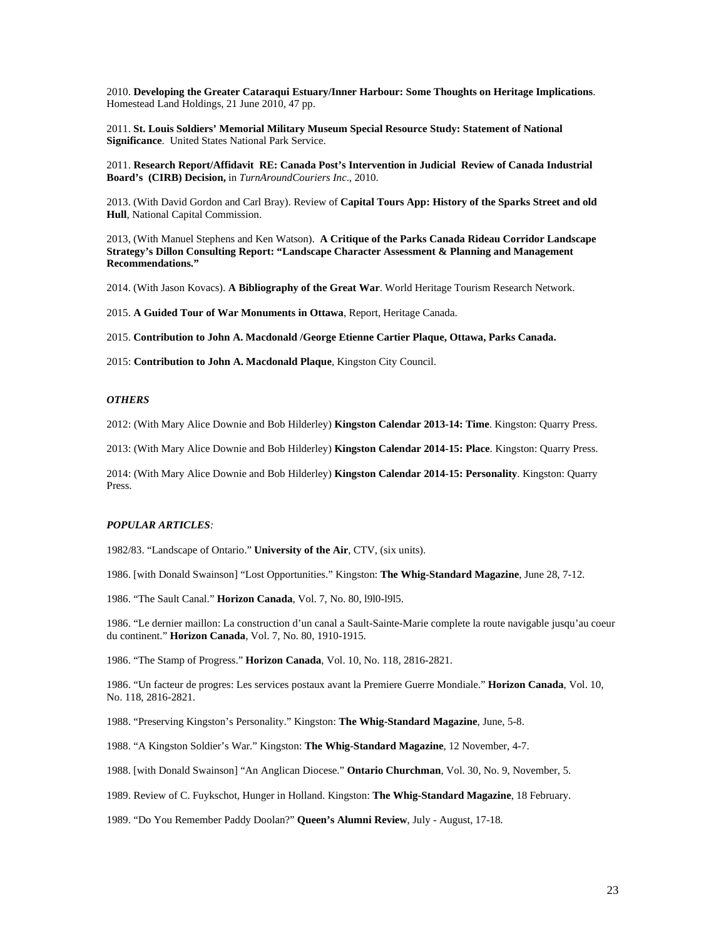2010. **Developing the Greater Cataraqui Estuary/Inner Harbour: Some Thoughts on Heritage Implications**. Homestead Land Holdings, 21 June 2010, 47 pp.

2011. **St. Louis Soldiers' Memorial Military Museum Special Resource Study: Statement of National Significance**. United States National Park Service.

2011. **Research Report/Affidavit RE: Canada Post's Intervention in Judicial Review of Canada Industrial Board's (CIRB) Decision,** in *TurnAroundCouriers Inc*., 2010.

2013. (With David Gordon and Carl Bray). Review of **Capital Tours App: History of the Sparks Street and old Hull**, National Capital Commission.

2013, (With Manuel Stephens and Ken Watson). **A Critique of the Parks Canada Rideau Corridor Landscape Strategy's Dillon Consulting Report: "Landscape Character Assessment & Planning and Management Recommendations."**

2014. (With Jason Kovacs). **A Bibliography of the Great War**. World Heritage Tourism Research Network.

2015. **A Guided Tour of War Monuments in Ottawa**, Report, Heritage Canada.

2015. **Contribution to John A. Macdonald /George Etienne Cartier Plaque, Ottawa, Parks Canada.**

2015: **Contribution to John A. Macdonald Plaque**, Kingston City Council.

### *OTHERS*

2012: (With Mary Alice Downie and Bob Hilderley) **Kingston Calendar 2013-14: Time**. Kingston: Quarry Press.

2013: (With Mary Alice Downie and Bob Hilderley) **Kingston Calendar 2014-15: Place**. Kingston: Quarry Press.

2014: (With Mary Alice Downie and Bob Hilderley) **Kingston Calendar 2014-15: Personality**. Kingston: Quarry Press.

#### *POPULAR ARTICLES:*

1982/83. "Landscape of Ontario." **University of the Air**, CTV, (six units).

1986. [with Donald Swainson] "Lost Opportunities." Kingston: **The Whig-Standard Magazine**, June 28, 7-12.

1986. "The Sault Canal." **Horizon Canada**, Vol. 7, No. 80, l9l0-l9l5.

1986. "Le dernier maillon: La construction d'un canal a Sault-Sainte-Marie complete la route navigable jusqu'au coeur du continent." **Horizon Canada**, Vol. 7, No. 80, 1910-1915.

1986. "The Stamp of Progress." **Horizon Canada**, Vol. 10, No. 118, 2816-2821.

1986. "Un facteur de progres: Les services postaux avant la Premiere Guerre Mondiale." **Horizon Canada**, Vol. 10, No. 118, 2816-2821.

1988. "Preserving Kingston's Personality." Kingston: **The Whig-Standard Magazine**, June, 5-8.

1988. "A Kingston Soldier's War." Kingston: **The Whig-Standard Magazine**, 12 November, 4-7.

1988. [with Donald Swainson] "An Anglican Diocese." **Ontario Churchman**, Vol. 30, No. 9, November, 5.

1989. Review of C. Fuykschot, Hunger in Holland. Kingston: **The Whig-Standard Magazine**, 18 February.

1989. "Do You Remember Paddy Doolan?" **Queen's Alumni Review**, July - August, 17-18.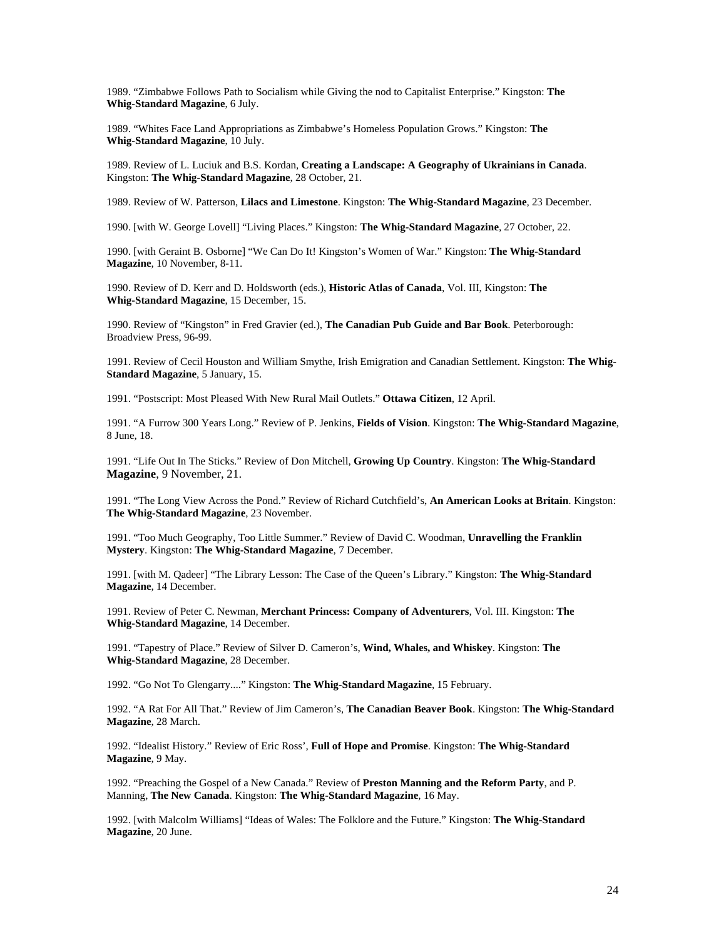1989. "Zimbabwe Follows Path to Socialism while Giving the nod to Capitalist Enterprise." Kingston: **The Whig-Standard Magazine**, 6 July.

1989. "Whites Face Land Appropriations as Zimbabwe's Homeless Population Grows." Kingston: **The Whig-Standard Magazine**, 10 July.

1989. Review of L. Luciuk and B.S. Kordan, **Creating a Landscape: A Geography of Ukrainians in Canada**. Kingston: **The Whig-Standard Magazine**, 28 October, 21.

1989. Review of W. Patterson, **Lilacs and Limestone**. Kingston: **The Whig-Standard Magazine**, 23 December.

1990. [with W. George Lovell] "Living Places." Kingston: **The Whig-Standard Magazine**, 27 October, 22.

1990. [with Geraint B. Osborne] "We Can Do It! Kingston's Women of War." Kingston: **The Whig-Standard Magazine**, 10 November, 8-11.

1990. Review of D. Kerr and D. Holdsworth (eds.), **Historic Atlas of Canada**, Vol. III, Kingston: **The Whig-Standard Magazine**, 15 December, 15.

1990. Review of "Kingston" in Fred Gravier (ed.), **The Canadian Pub Guide and Bar Book**. Peterborough: Broadview Press, 96-99.

1991. Review of Cecil Houston and William Smythe, Irish Emigration and Canadian Settlement. Kingston: **The Whig-Standard Magazine**, 5 January, 15.

1991. "Postscript: Most Pleased With New Rural Mail Outlets." **Ottawa Citizen**, 12 April.

1991. "A Furrow 300 Years Long." Review of P. Jenkins, **Fields of Vision**. Kingston: **The Whig-Standard Magazine**, 8 June, 18.

1991. "Life Out In The Sticks." Review of Don Mitchell, **Growing Up Country**. Kingston: **The Whig-Standard Magazine**, 9 November, 21.

1991. "The Long View Across the Pond." Review of Richard Cutchfield's, **An American Looks at Britain**. Kingston: **The Whig-Standard Magazine**, 23 November.

1991. "Too Much Geography, Too Little Summer." Review of David C. Woodman, **Unravelling the Franklin Mystery**. Kingston: **The Whig-Standard Magazine**, 7 December.

1991. [with M. Qadeer] "The Library Lesson: The Case of the Queen's Library." Kingston: **The Whig-Standard Magazine**, 14 December.

1991. Review of Peter C. Newman, **Merchant Princess: Company of Adventurers**, Vol. III. Kingston: **The Whig-Standard Magazine**, 14 December.

1991. "Tapestry of Place." Review of Silver D. Cameron's, **Wind, Whales, and Whiskey**. Kingston: **The Whig-Standard Magazine**, 28 December.

1992. "Go Not To Glengarry...." Kingston: **The Whig-Standard Magazine**, 15 February.

1992. "A Rat For All That." Review of Jim Cameron's, **The Canadian Beaver Book**. Kingston: **The Whig-Standard Magazine**, 28 March.

1992. "Idealist History." Review of Eric Ross', **Full of Hope and Promise**. Kingston: **The Whig-Standard Magazine**, 9 May.

1992. "Preaching the Gospel of a New Canada." Review of **Preston Manning and the Reform Party**, and P. Manning, **The New Canada**. Kingston: **The Whig-Standard Magazine**, 16 May.

1992. [with Malcolm Williams] "Ideas of Wales: The Folklore and the Future." Kingston: **The Whig-Standard Magazine**, 20 June.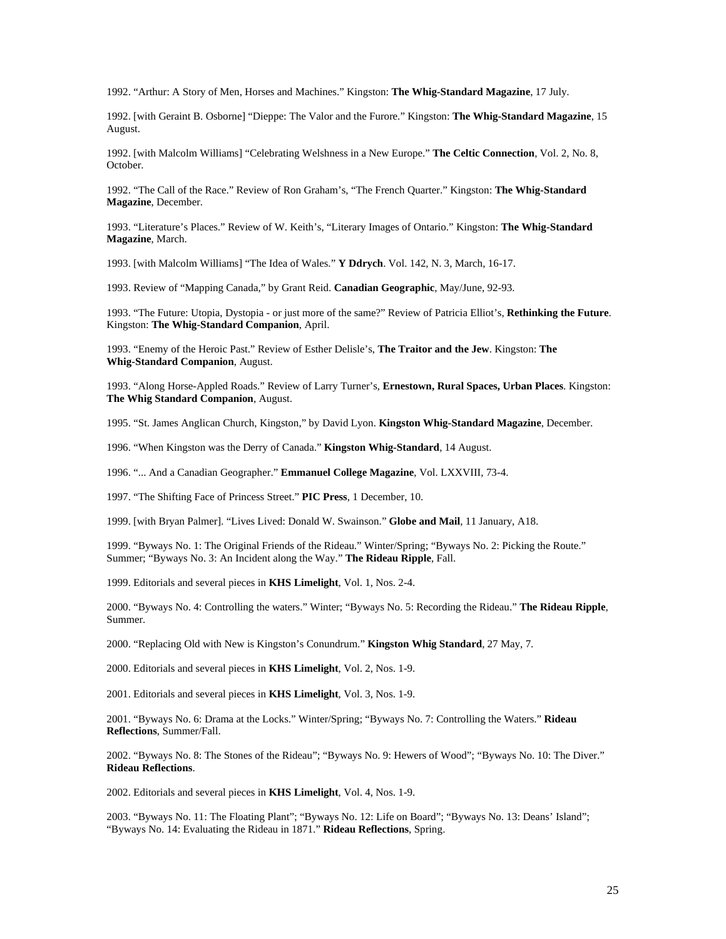1992. "Arthur: A Story of Men, Horses and Machines." Kingston: **The Whig-Standard Magazine**, 17 July.

1992. [with Geraint B. Osborne] "Dieppe: The Valor and the Furore." Kingston: **The Whig-Standard Magazine**, 15 August.

1992. [with Malcolm Williams] "Celebrating Welshness in a New Europe." **The Celtic Connection**, Vol. 2, No. 8, October.

1992. "The Call of the Race." Review of Ron Graham's, "The French Quarter." Kingston: **The Whig-Standard Magazine**, December.

1993. "Literature's Places." Review of W. Keith's, "Literary Images of Ontario." Kingston: **The Whig-Standard Magazine**, March.

1993. [with Malcolm Williams] "The Idea of Wales." **Y Ddrych**. Vol. 142, N. 3, March, 16-17.

1993. Review of "Mapping Canada," by Grant Reid. **Canadian Geographic**, May/June, 92-93.

1993. "The Future: Utopia, Dystopia - or just more of the same?" Review of Patricia Elliot's, **Rethinking the Future**. Kingston: **The Whig-Standard Companion**, April.

1993. "Enemy of the Heroic Past." Review of Esther Delisle's, **The Traitor and the Jew**. Kingston: **The Whig-Standard Companion**, August.

1993. "Along Horse-Appled Roads." Review of Larry Turner's, **Ernestown, Rural Spaces, Urban Places**. Kingston: **The Whig Standard Companion**, August.

1995. "St. James Anglican Church, Kingston," by David Lyon. **Kingston Whig-Standard Magazine**, December.

1996. "When Kingston was the Derry of Canada." **Kingston Whig-Standard**, 14 August.

1996. "... And a Canadian Geographer." **Emmanuel College Magazine**, Vol. LXXVIII, 73-4.

1997. "The Shifting Face of Princess Street." **PIC Press**, 1 December, 10.

1999. [with Bryan Palmer]. "Lives Lived: Donald W. Swainson." **Globe and Mail**, 11 January, A18.

1999. "Byways No. 1: The Original Friends of the Rideau." Winter/Spring; "Byways No. 2: Picking the Route." Summer; "Byways No. 3: An Incident along the Way." **The Rideau Ripple**, Fall.

1999. Editorials and several pieces in **KHS Limelight**, Vol. 1, Nos. 2-4.

2000. "Byways No. 4: Controlling the waters." Winter; "Byways No. 5: Recording the Rideau." **The Rideau Ripple**, Summer.

2000. "Replacing Old with New is Kingston's Conundrum." **Kingston Whig Standard**, 27 May, 7.

2000. Editorials and several pieces in **KHS Limelight**, Vol. 2, Nos. 1-9.

2001. Editorials and several pieces in **KHS Limelight**, Vol. 3, Nos. 1-9.

2001. "Byways No. 6: Drama at the Locks." Winter/Spring; "Byways No. 7: Controlling the Waters." **Rideau Reflections**, Summer/Fall.

2002. "Byways No. 8: The Stones of the Rideau"; "Byways No. 9: Hewers of Wood"; "Byways No. 10: The Diver." **Rideau Reflections**.

2002. Editorials and several pieces in **KHS Limelight**, Vol. 4, Nos. 1-9.

2003. "Byways No. 11: The Floating Plant"; "Byways No. 12: Life on Board"; "Byways No. 13: Deans' Island"; "Byways No. 14: Evaluating the Rideau in 1871." **Rideau Reflections**, Spring.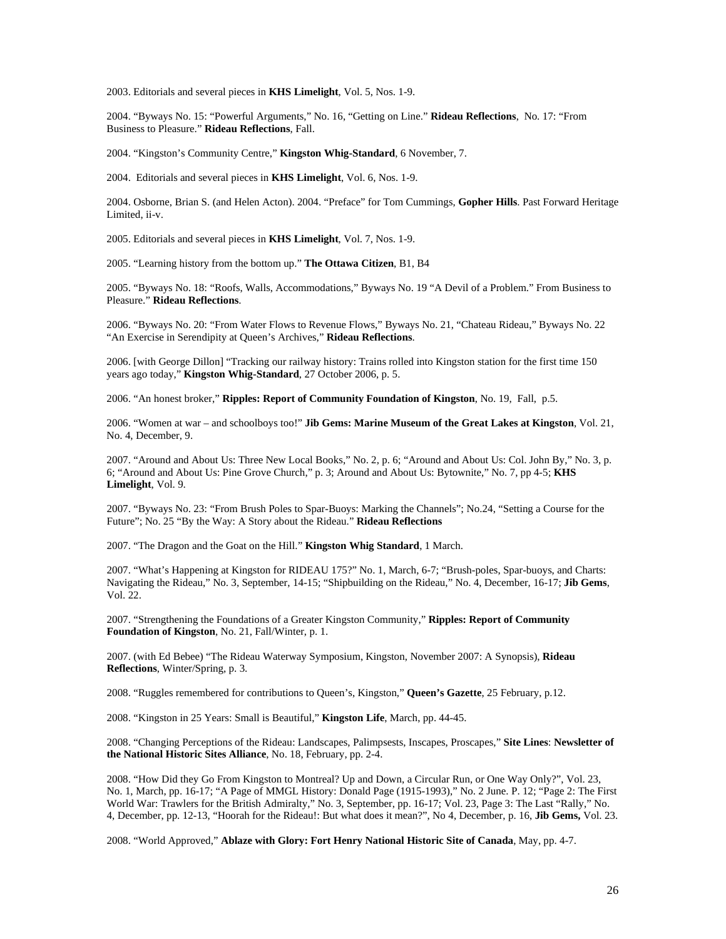2003. Editorials and several pieces in **KHS Limelight**, Vol. 5, Nos. 1-9.

2004. "Byways No. 15: "Powerful Arguments," No. 16, "Getting on Line." **Rideau Reflections**, No. 17: "From Business to Pleasure." **Rideau Reflections**, Fall.

2004. "Kingston's Community Centre," **Kingston Whig-Standard**, 6 November, 7.

2004. Editorials and several pieces in **KHS Limelight**, Vol. 6, Nos. 1-9.

2004. Osborne, Brian S. (and Helen Acton). 2004. "Preface" for Tom Cummings, **Gopher Hills**. Past Forward Heritage Limited, ii-v.

2005. Editorials and several pieces in **KHS Limelight**, Vol. 7, Nos. 1-9.

2005. "Learning history from the bottom up." **The Ottawa Citizen**, B1, B4

2005. "Byways No. 18: "Roofs, Walls, Accommodations," Byways No. 19 "A Devil of a Problem." From Business to Pleasure." **Rideau Reflections**.

2006. "Byways No. 20: "From Water Flows to Revenue Flows," Byways No. 21, "Chateau Rideau," Byways No. 22 "An Exercise in Serendipity at Queen's Archives," **Rideau Reflections**.

2006. [with George Dillon] "Tracking our railway history: Trains rolled into Kingston station for the first time 150 years ago today," **Kingston Whig-Standard**, 27 October 2006, p. 5.

2006. "An honest broker," **Ripples: Report of Community Foundation of Kingston**, No. 19, Fall, p.5.

2006. "Women at war – and schoolboys too!" **Jib Gems: Marine Museum of the Great Lakes at Kingston**, Vol. 21, No. 4, December, 9.

2007. "Around and About Us: Three New Local Books," No. 2, p. 6; "Around and About Us: Col. John By," No. 3, p. 6; "Around and About Us: Pine Grove Church," p. 3; Around and About Us: Bytownite," No. 7, pp 4-5; **KHS Limelight**, Vol. 9.

2007. "Byways No. 23: "From Brush Poles to Spar-Buoys: Marking the Channels"; No.24, "Setting a Course for the Future"; No. 25 "By the Way: A Story about the Rideau." **Rideau Reflections**

2007. "The Dragon and the Goat on the Hill." **Kingston Whig Standard**, 1 March.

2007. "What's Happening at Kingston for RIDEAU 175?" No. 1, March, 6-7; "Brush-poles, Spar-buoys, and Charts: Navigating the Rideau," No. 3, September, 14-15; "Shipbuilding on the Rideau," No. 4, December, 16-17; **Jib Gems**, Vol. 22.

2007. "Strengthening the Foundations of a Greater Kingston Community," **Ripples: Report of Community Foundation of Kingston**, No. 21, Fall/Winter, p. 1.

2007. (with Ed Bebee) "The Rideau Waterway Symposium, Kingston, November 2007: A Synopsis), **Rideau Reflections**, Winter/Spring, p. 3.

2008. "Ruggles remembered for contributions to Queen's, Kingston," **Queen's Gazette**, 25 February, p.12.

2008. "Kingston in 25 Years: Small is Beautiful," **Kingston Life**, March, pp. 44-45.

2008. "Changing Perceptions of the Rideau: Landscapes, Palimpsests, Inscapes, Proscapes," **Site Lines**: **Newsletter of the National Historic Sites Alliance**, No. 18, February, pp. 2-4.

2008. "How Did they Go From Kingston to Montreal? Up and Down, a Circular Run, or One Way Only?", Vol. 23, No. 1, March, pp. 16-17; "A Page of MMGL History: Donald Page (1915-1993)," No. 2 June. P. 12; "Page 2: The First World War: Trawlers for the British Admiralty," No. 3, September, pp. 16-17; Vol. 23, Page 3: The Last "Rally," No. 4, December, pp. 12-13, "Hoorah for the Rideau!: But what does it mean?", No 4, December, p. 16, **Jib Gems,** Vol. 23.

2008. "World Approved," **Ablaze with Glory: Fort Henry National Historic Site of Canada**, May, pp. 4-7.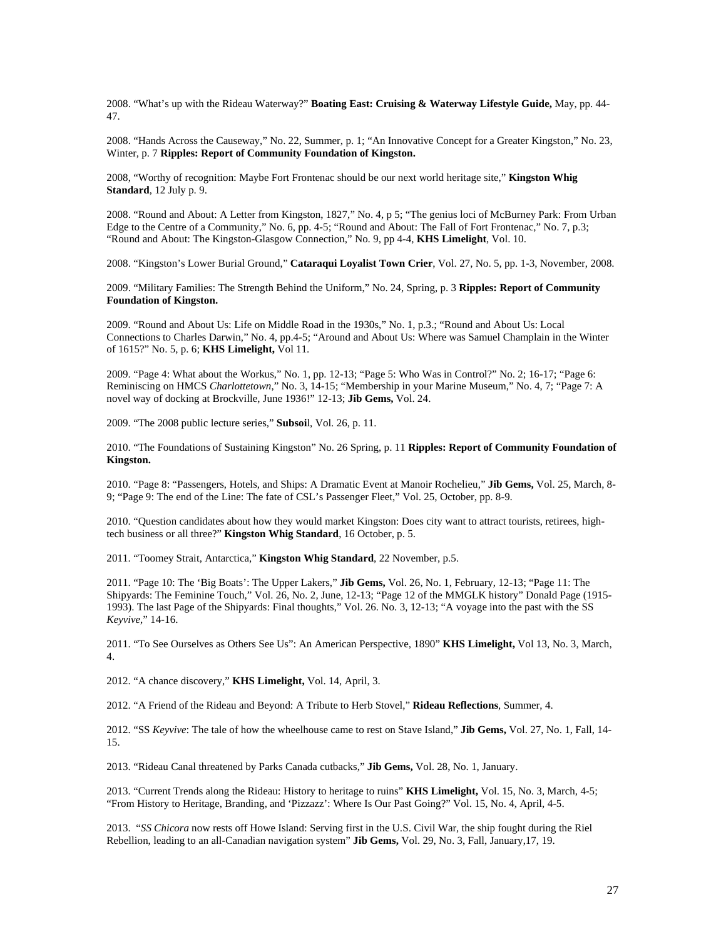2008. "What's up with the Rideau Waterway?" **Boating East: Cruising & Waterway Lifestyle Guide,** May, pp. 44- 47.

2008. "Hands Across the Causeway," No. 22, Summer, p. 1; "An Innovative Concept for a Greater Kingston," No. 23, Winter, p. 7 **Ripples: Report of Community Foundation of Kingston.**

2008, "Worthy of recognition: Maybe Fort Frontenac should be our next world heritage site," **Kingston Whig Standard**, 12 July p. 9.

2008. "Round and About: A Letter from Kingston, 1827," No. 4, p 5; "The genius loci of McBurney Park: From Urban Edge to the Centre of a Community," No. 6, pp. 4-5; "Round and About: The Fall of Fort Frontenac," No. 7, p.3; "Round and About: The Kingston-Glasgow Connection," No. 9, pp 4-4, **KHS Limelight**, Vol. 10.

2008. "Kingston's Lower Burial Ground," **Cataraqui Loyalist Town Crier**, Vol. 27, No. 5, pp. 1-3, November, 2008.

2009. "Military Families: The Strength Behind the Uniform," No. 24, Spring, p. 3 **Ripples: Report of Community Foundation of Kingston.**

2009. "Round and About Us: Life on Middle Road in the 1930s," No. 1, p.3.; "Round and About Us: Local Connections to Charles Darwin," No. 4, pp.4-5; "Around and About Us: Where was Samuel Champlain in the Winter of 1615?" No. 5, p. 6; **KHS Limelight,** Vol 11.

2009. "Page 4: What about the Workus," No. 1, pp. 12-13; "Page 5: Who Was in Control?" No. 2; 16-17; "Page 6: Reminiscing on HMCS *Charlottetown*," No. 3, 14-15; "Membership in your Marine Museum," No. 4, 7; "Page 7: A novel way of docking at Brockville, June 1936!" 12-13; **Jib Gems,** Vol. 24.

2009. "The 2008 public lecture series," **Subsoi**l, Vol. 26, p. 11.

2010. "The Foundations of Sustaining Kingston" No. 26 Spring, p. 11 **Ripples: Report of Community Foundation of Kingston.**

2010. "Page 8: "Passengers, Hotels, and Ships: A Dramatic Event at Manoir Rochelieu," **Jib Gems,** Vol. 25, March, 8- 9; "Page 9: The end of the Line: The fate of CSL's Passenger Fleet," Vol. 25, October, pp. 8-9.

2010. "Question candidates about how they would market Kingston: Does city want to attract tourists, retirees, hightech business or all three?" **Kingston Whig Standard**, 16 October, p. 5.

2011. "Toomey Strait, Antarctica," **Kingston Whig Standard**, 22 November, p.5.

2011. "Page 10: The 'Big Boats': The Upper Lakers," **Jib Gems,** Vol. 26, No. 1, February, 12-13; "Page 11: The Shipyards: The Feminine Touch," Vol. 26, No. 2, June, 12-13; "Page 12 of the MMGLK history" Donald Page (1915- 1993). The last Page of the Shipyards: Final thoughts," Vol. 26. No. 3, 12-13; "A voyage into the past with the SS *Keyvive*," 14-16.

2011. "To See Ourselves as Others See Us": An American Perspective, 1890" **KHS Limelight,** Vol 13, No. 3, March, 4.

2012. "A chance discovery," **KHS Limelight,** Vol. 14, April, 3.

2012. "A Friend of the Rideau and Beyond: A Tribute to Herb Stovel," **Rideau Reflections**, Summer, 4.

2012. "SS *Keyvive*: The tale of how the wheelhouse came to rest on Stave Island," **Jib Gems,** Vol. 27, No. 1, Fall, 14- 15.

2013. "Rideau Canal threatened by Parks Canada cutbacks," **Jib Gems,** Vol. 28, No. 1, January.

2013. "Current Trends along the Rideau: History to heritage to ruins" **KHS Limelight,** Vol. 15, No. 3, March, 4-5; "From History to Heritage, Branding, and 'Pizzazz': Where Is Our Past Going?" Vol. 15, No. 4, April, 4-5.

2013. "*SS Chicora* now rests off Howe Island: Serving first in the U.S. Civil War, the ship fought during the Riel Rebellion, leading to an all-Canadian navigation system" **Jib Gems,** Vol. 29, No. 3, Fall, January,17, 19.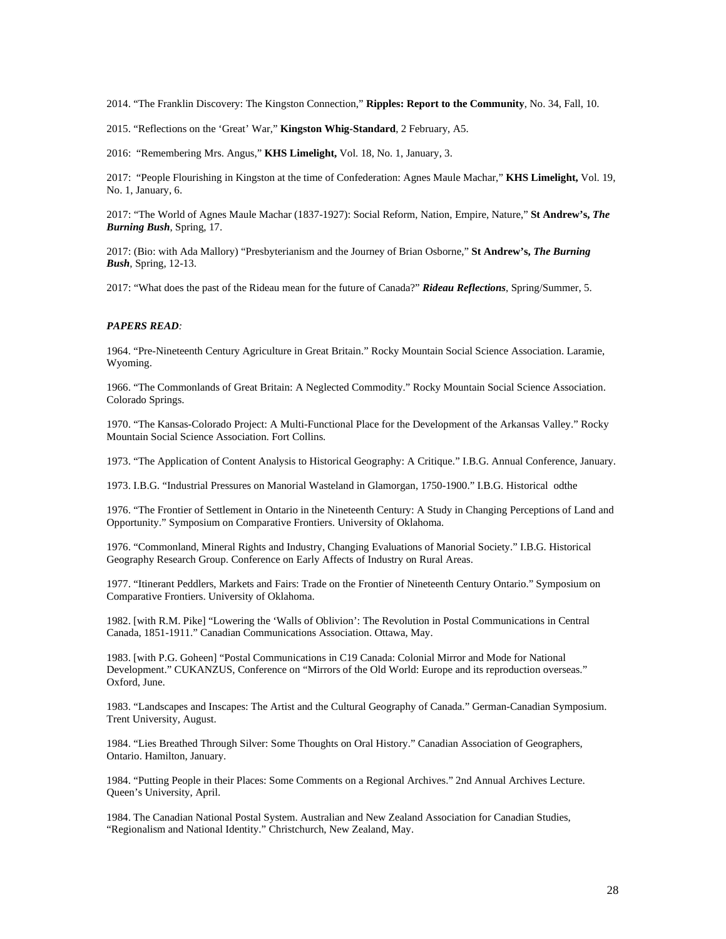2014. "The Franklin Discovery: The Kingston Connection," **Ripples: Report to the Community**, No. 34, Fall, 10.

2015. "Reflections on the 'Great' War," **Kingston Whig-Standard**, 2 February, A5.

2016: "Remembering Mrs. Angus," **KHS Limelight,** Vol. 18, No. 1, January, 3.

2017: "People Flourishing in Kingston at the time of Confederation: Agnes Maule Machar," **KHS Limelight,** Vol. 19, No. 1, January, 6.

2017: "The World of Agnes Maule Machar (1837-1927): Social Reform, Nation, Empire, Nature," **St Andrew's,** *The Burning Bush*, Spring, 17.

2017: (Bio: with Ada Mallory) "Presbyterianism and the Journey of Brian Osborne," **St Andrew's,** *The Burning Bush*, Spring, 12-13.

2017: "What does the past of the Rideau mean for the future of Canada?" *Rideau Reflections*, Spring/Summer, 5.

# *PAPERS READ:*

1964. "Pre-Nineteenth Century Agriculture in Great Britain." Rocky Mountain Social Science Association. Laramie, Wyoming.

1966. "The Commonlands of Great Britain: A Neglected Commodity." Rocky Mountain Social Science Association. Colorado Springs.

1970. "The Kansas-Colorado Project: A Multi-Functional Place for the Development of the Arkansas Valley." Rocky Mountain Social Science Association. Fort Collins.

1973. "The Application of Content Analysis to Historical Geography: A Critique." I.B.G. Annual Conference, January.

1973. I.B.G. "Industrial Pressures on Manorial Wasteland in Glamorgan, 1750-1900." I.B.G. Historical odthe

1976. "The Frontier of Settlement in Ontario in the Nineteenth Century: A Study in Changing Perceptions of Land and Opportunity." Symposium on Comparative Frontiers. University of Oklahoma.

1976. "Commonland, Mineral Rights and Industry, Changing Evaluations of Manorial Society." I.B.G. Historical Geography Research Group. Conference on Early Affects of Industry on Rural Areas.

1977. "Itinerant Peddlers, Markets and Fairs: Trade on the Frontier of Nineteenth Century Ontario." Symposium on Comparative Frontiers. University of Oklahoma.

1982. [with R.M. Pike] "Lowering the 'Walls of Oblivion': The Revolution in Postal Communications in Central Canada, 1851-1911." Canadian Communications Association. Ottawa, May.

1983. [with P.G. Goheen] "Postal Communications in C19 Canada: Colonial Mirror and Mode for National Development." CUKANZUS, Conference on "Mirrors of the Old World: Europe and its reproduction overseas." Oxford, June.

1983. "Landscapes and Inscapes: The Artist and the Cultural Geography of Canada." German-Canadian Symposium. Trent University, August.

1984. "Lies Breathed Through Silver: Some Thoughts on Oral History." Canadian Association of Geographers, Ontario. Hamilton, January.

1984. "Putting People in their Places: Some Comments on a Regional Archives." 2nd Annual Archives Lecture. Queen's University, April.

1984. The Canadian National Postal System. Australian and New Zealand Association for Canadian Studies, "Regionalism and National Identity." Christchurch, New Zealand, May.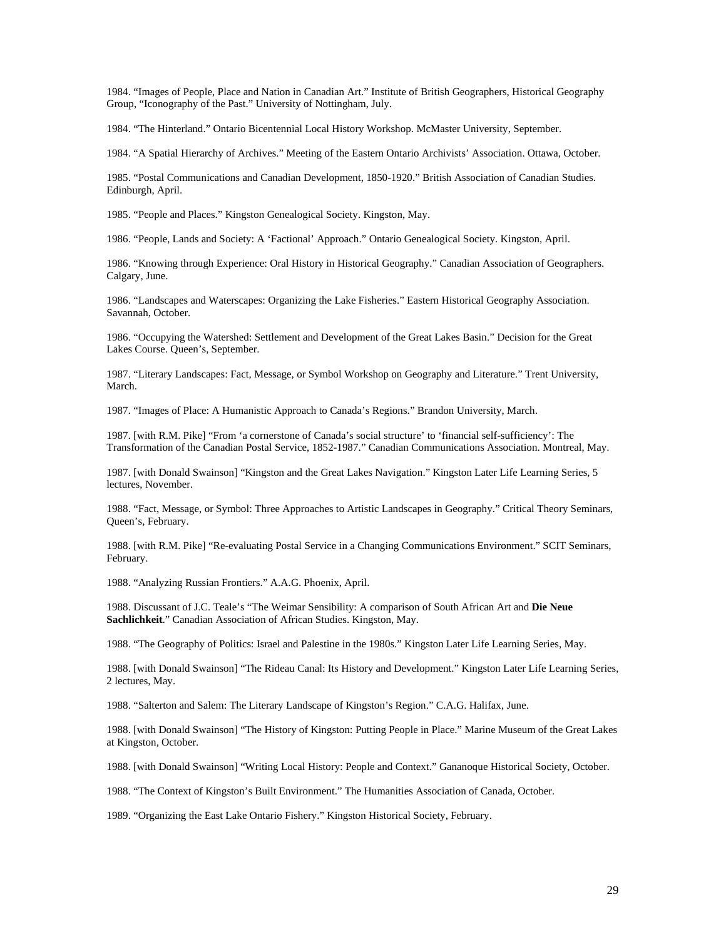1984. "Images of People, Place and Nation in Canadian Art." Institute of British Geographers, Historical Geography Group, "Iconography of the Past." University of Nottingham, July.

1984. "The Hinterland." Ontario Bicentennial Local History Workshop. McMaster University, September.

1984. "A Spatial Hierarchy of Archives." Meeting of the Eastern Ontario Archivists' Association. Ottawa, October.

1985. "Postal Communications and Canadian Development, 1850-1920." British Association of Canadian Studies. Edinburgh, April.

1985. "People and Places." Kingston Genealogical Society. Kingston, May.

1986. "People, Lands and Society: A 'Factional' Approach." Ontario Genealogical Society. Kingston, April.

1986. "Knowing through Experience: Oral History in Historical Geography." Canadian Association of Geographers. Calgary, June.

1986. "Landscapes and Waterscapes: Organizing the Lake Fisheries." Eastern Historical Geography Association. Savannah, October.

1986. "Occupying the Watershed: Settlement and Development of the Great Lakes Basin." Decision for the Great Lakes Course. Queen's, September.

1987. "Literary Landscapes: Fact, Message, or Symbol Workshop on Geography and Literature." Trent University, March.

1987. "Images of Place: A Humanistic Approach to Canada's Regions." Brandon University, March.

1987. [with R.M. Pike] "From 'a cornerstone of Canada's social structure' to 'financial self-sufficiency': The Transformation of the Canadian Postal Service, 1852-1987." Canadian Communications Association. Montreal, May.

1987. [with Donald Swainson] "Kingston and the Great Lakes Navigation." Kingston Later Life Learning Series, 5 lectures, November.

1988. "Fact, Message, or Symbol: Three Approaches to Artistic Landscapes in Geography." Critical Theory Seminars, Queen's, February.

1988. [with R.M. Pike] "Re-evaluating Postal Service in a Changing Communications Environment." SCIT Seminars, February.

1988. "Analyzing Russian Frontiers." A.A.G. Phoenix, April.

1988. Discussant of J.C. Teale's "The Weimar Sensibility: A comparison of South African Art and **Die Neue Sachlichkeit**." Canadian Association of African Studies. Kingston, May.

1988. "The Geography of Politics: Israel and Palestine in the 1980s." Kingston Later Life Learning Series, May.

1988. [with Donald Swainson] "The Rideau Canal: Its History and Development." Kingston Later Life Learning Series, 2 lectures, May.

1988. "Salterton and Salem: The Literary Landscape of Kingston's Region." C.A.G. Halifax, June.

1988. [with Donald Swainson] "The History of Kingston: Putting People in Place." Marine Museum of the Great Lakes at Kingston, October.

1988. [with Donald Swainson] "Writing Local History: People and Context." Gananoque Historical Society, October.

1988. "The Context of Kingston's Built Environment." The Humanities Association of Canada, October.

1989. "Organizing the East Lake Ontario Fishery." Kingston Historical Society, February.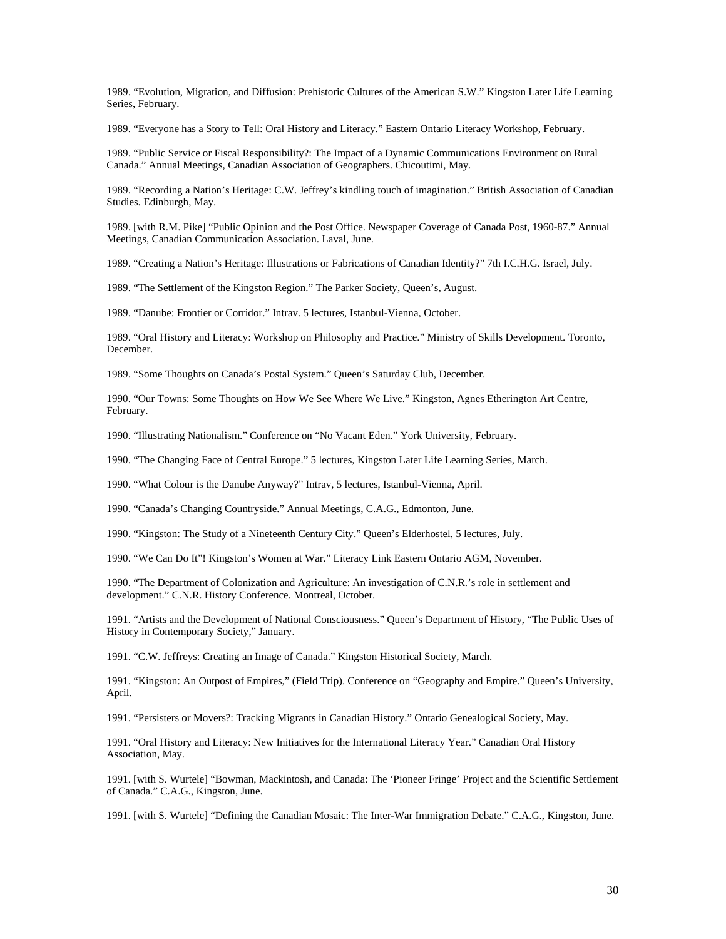1989. "Evolution, Migration, and Diffusion: Prehistoric Cultures of the American S.W." Kingston Later Life Learning Series, February.

1989. "Everyone has a Story to Tell: Oral History and Literacy." Eastern Ontario Literacy Workshop, February.

1989. "Public Service or Fiscal Responsibility?: The Impact of a Dynamic Communications Environment on Rural Canada." Annual Meetings, Canadian Association of Geographers. Chicoutimi, May.

1989. "Recording a Nation's Heritage: C.W. Jeffrey's kindling touch of imagination." British Association of Canadian Studies. Edinburgh, May.

1989. [with R.M. Pike] "Public Opinion and the Post Office. Newspaper Coverage of Canada Post, 1960-87." Annual Meetings, Canadian Communication Association. Laval, June.

1989. "Creating a Nation's Heritage: Illustrations or Fabrications of Canadian Identity?" 7th I.C.H.G. Israel, July.

1989. "The Settlement of the Kingston Region." The Parker Society, Queen's, August.

1989. "Danube: Frontier or Corridor." Intrav. 5 lectures, Istanbul-Vienna, October.

1989. "Oral History and Literacy: Workshop on Philosophy and Practice." Ministry of Skills Development. Toronto, December.

1989. "Some Thoughts on Canada's Postal System." Queen's Saturday Club, December.

1990. "Our Towns: Some Thoughts on How We See Where We Live." Kingston, Agnes Etherington Art Centre, February.

1990. "Illustrating Nationalism." Conference on "No Vacant Eden." York University, February.

1990. "The Changing Face of Central Europe." 5 lectures, Kingston Later Life Learning Series, March.

1990. "What Colour is the Danube Anyway?" Intrav, 5 lectures, Istanbul-Vienna, April.

1990. "Canada's Changing Countryside." Annual Meetings, C.A.G., Edmonton, June.

1990. "Kingston: The Study of a Nineteenth Century City." Queen's Elderhostel, 5 lectures, July.

1990. "We Can Do It"! Kingston's Women at War." Literacy Link Eastern Ontario AGM, November.

1990. "The Department of Colonization and Agriculture: An investigation of C.N.R.'s role in settlement and development." C.N.R. History Conference. Montreal, October.

1991. "Artists and the Development of National Consciousness." Queen's Department of History, "The Public Uses of History in Contemporary Society," January.

1991. "C.W. Jeffreys: Creating an Image of Canada." Kingston Historical Society, March.

1991. "Kingston: An Outpost of Empires," (Field Trip). Conference on "Geography and Empire." Queen's University, April.

1991. "Persisters or Movers?: Tracking Migrants in Canadian History." Ontario Genealogical Society, May.

1991. "Oral History and Literacy: New Initiatives for the International Literacy Year." Canadian Oral History Association, May.

1991. [with S. Wurtele] "Bowman, Mackintosh, and Canada: The 'Pioneer Fringe' Project and the Scientific Settlement of Canada." C.A.G., Kingston, June.

1991. [with S. Wurtele] "Defining the Canadian Mosaic: The Inter-War Immigration Debate." C.A.G., Kingston, June.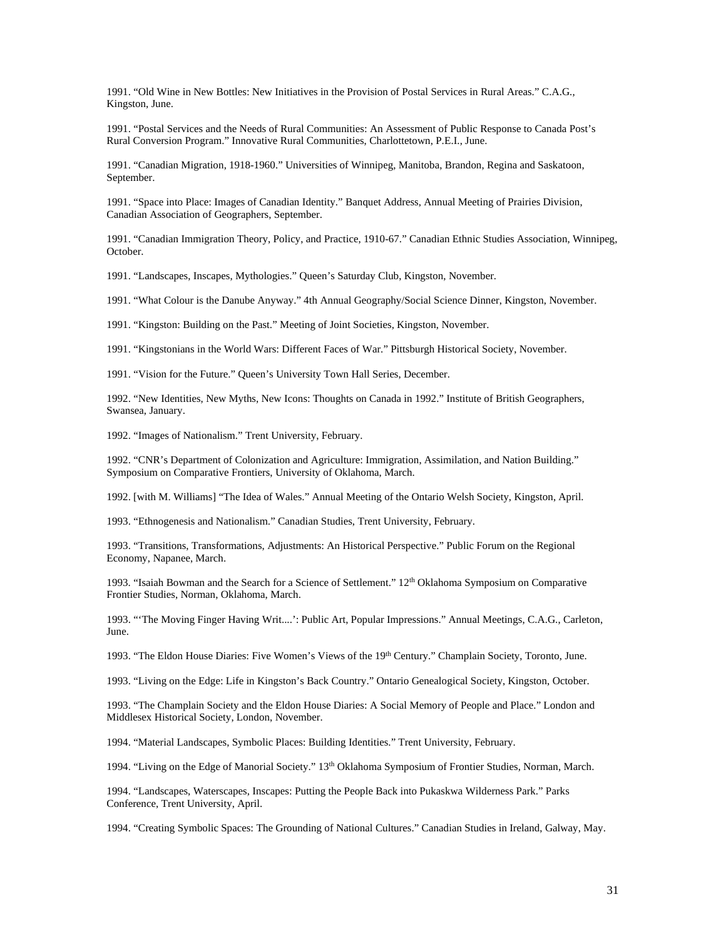1991. "Old Wine in New Bottles: New Initiatives in the Provision of Postal Services in Rural Areas." C.A.G., Kingston, June.

1991. "Postal Services and the Needs of Rural Communities: An Assessment of Public Response to Canada Post's Rural Conversion Program." Innovative Rural Communities, Charlottetown, P.E.I., June.

1991. "Canadian Migration, 1918-1960." Universities of Winnipeg, Manitoba, Brandon, Regina and Saskatoon, September.

1991. "Space into Place: Images of Canadian Identity." Banquet Address, Annual Meeting of Prairies Division, Canadian Association of Geographers, September.

1991. "Canadian Immigration Theory, Policy, and Practice, 1910-67." Canadian Ethnic Studies Association, Winnipeg, October.

1991. "Landscapes, Inscapes, Mythologies." Queen's Saturday Club, Kingston, November.

1991. "What Colour is the Danube Anyway." 4th Annual Geography/Social Science Dinner, Kingston, November.

1991. "Kingston: Building on the Past." Meeting of Joint Societies, Kingston, November.

1991. "Kingstonians in the World Wars: Different Faces of War." Pittsburgh Historical Society, November.

1991. "Vision for the Future." Queen's University Town Hall Series, December.

1992. "New Identities, New Myths, New Icons: Thoughts on Canada in 1992." Institute of British Geographers, Swansea, January.

1992. "Images of Nationalism." Trent University, February.

1992. "CNR's Department of Colonization and Agriculture: Immigration, Assimilation, and Nation Building." Symposium on Comparative Frontiers, University of Oklahoma, March.

1992. [with M. Williams] "The Idea of Wales." Annual Meeting of the Ontario Welsh Society, Kingston, April.

1993. "Ethnogenesis and Nationalism." Canadian Studies, Trent University, February.

1993. "Transitions, Transformations, Adjustments: An Historical Perspective." Public Forum on the Regional Economy, Napanee, March.

1993. "Isaiah Bowman and the Search for a Science of Settlement."  $12<sup>th</sup>$  Oklahoma Symposium on Comparative Frontier Studies, Norman, Oklahoma, March.

1993. "'The Moving Finger Having Writ....': Public Art, Popular Impressions." Annual Meetings, C.A.G., Carleton, June.

1993. "The Eldon House Diaries: Five Women's Views of the 19<sup>th</sup> Century." Champlain Society, Toronto, June.

1993. "Living on the Edge: Life in Kingston's Back Country." Ontario Genealogical Society, Kingston, October.

1993. "The Champlain Society and the Eldon House Diaries: A Social Memory of People and Place." London and Middlesex Historical Society, London, November.

1994. "Material Landscapes, Symbolic Places: Building Identities." Trent University, February.

1994. "Living on the Edge of Manorial Society." 13th Oklahoma Symposium of Frontier Studies, Norman, March.

1994. "Landscapes, Waterscapes, Inscapes: Putting the People Back into Pukaskwa Wilderness Park." Parks Conference, Trent University, April.

1994. "Creating Symbolic Spaces: The Grounding of National Cultures." Canadian Studies in Ireland, Galway, May.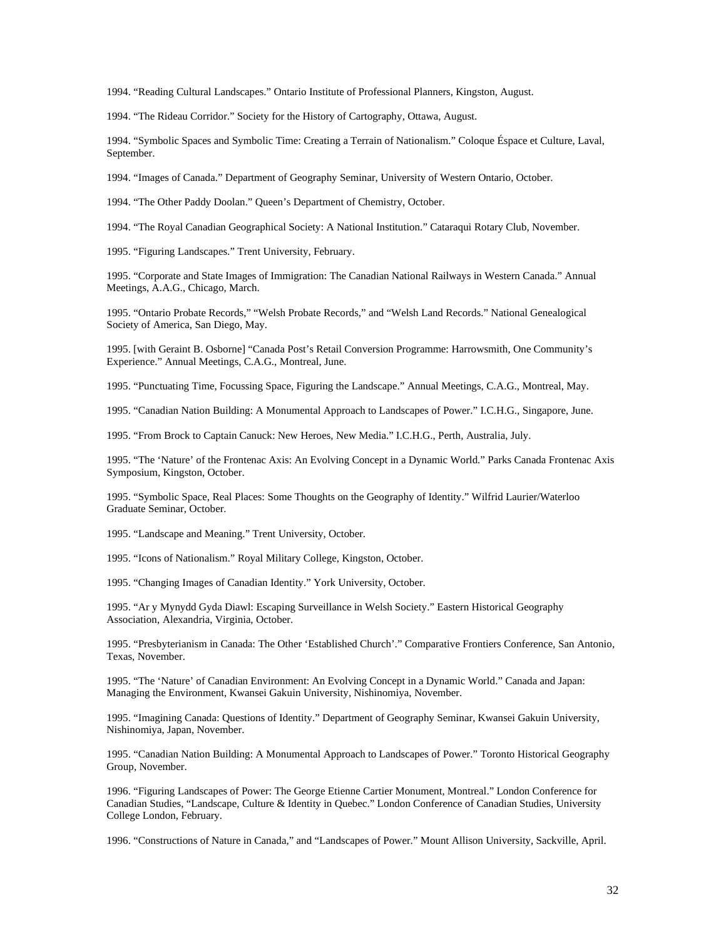1994. "Reading Cultural Landscapes." Ontario Institute of Professional Planners, Kingston, August.

1994. "The Rideau Corridor." Society for the History of Cartography, Ottawa, August.

1994. "Symbolic Spaces and Symbolic Time: Creating a Terrain of Nationalism." Coloque Éspace et Culture, Laval, September.

1994. "Images of Canada." Department of Geography Seminar, University of Western Ontario, October.

1994. "The Other Paddy Doolan." Queen's Department of Chemistry, October.

1994. "The Royal Canadian Geographical Society: A National Institution." Cataraqui Rotary Club, November.

1995. "Figuring Landscapes." Trent University, February.

1995. "Corporate and State Images of Immigration: The Canadian National Railways in Western Canada." Annual Meetings, A.A.G., Chicago, March.

1995. "Ontario Probate Records," "Welsh Probate Records," and "Welsh Land Records." National Genealogical Society of America, San Diego, May.

1995. [with Geraint B. Osborne] "Canada Post's Retail Conversion Programme: Harrowsmith, One Community's Experience." Annual Meetings, C.A.G., Montreal, June.

1995. "Punctuating Time, Focussing Space, Figuring the Landscape." Annual Meetings, C.A.G., Montreal, May.

1995. "Canadian Nation Building: A Monumental Approach to Landscapes of Power." I.C.H.G., Singapore, June.

1995. "From Brock to Captain Canuck: New Heroes, New Media." I.C.H.G., Perth, Australia, July.

1995. "The 'Nature' of the Frontenac Axis: An Evolving Concept in a Dynamic World." Parks Canada Frontenac Axis Symposium, Kingston, October.

1995. "Symbolic Space, Real Places: Some Thoughts on the Geography of Identity." Wilfrid Laurier/Waterloo Graduate Seminar, October.

1995. "Landscape and Meaning." Trent University, October.

1995. "Icons of Nationalism." Royal Military College, Kingston, October.

1995. "Changing Images of Canadian Identity." York University, October.

1995. "Ar y Mynydd Gyda Diawl: Escaping Surveillance in Welsh Society." Eastern Historical Geography Association, Alexandria, Virginia, October.

1995. "Presbyterianism in Canada: The Other 'Established Church'." Comparative Frontiers Conference, San Antonio, Texas, November.

1995. "The 'Nature' of Canadian Environment: An Evolving Concept in a Dynamic World." Canada and Japan: Managing the Environment, Kwansei Gakuin University, Nishinomiya, November.

1995. "Imagining Canada: Questions of Identity." Department of Geography Seminar, Kwansei Gakuin University, Nishinomiya, Japan, November.

1995. "Canadian Nation Building: A Monumental Approach to Landscapes of Power." Toronto Historical Geography Group, November.

1996. "Figuring Landscapes of Power: The George Etienne Cartier Monument, Montreal." London Conference for Canadian Studies, "Landscape, Culture & Identity in Quebec." London Conference of Canadian Studies, University College London, February.

1996. "Constructions of Nature in Canada," and "Landscapes of Power." Mount Allison University, Sackville, April.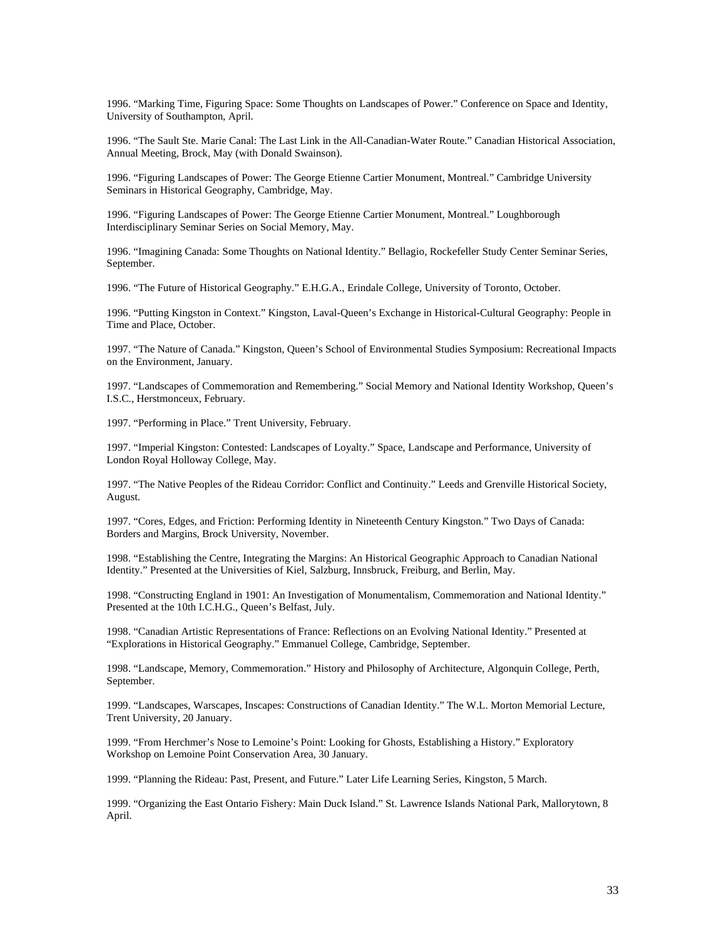1996. "Marking Time, Figuring Space: Some Thoughts on Landscapes of Power." Conference on Space and Identity, University of Southampton, April.

1996. "The Sault Ste. Marie Canal: The Last Link in the All-Canadian-Water Route." Canadian Historical Association, Annual Meeting, Brock, May (with Donald Swainson).

1996. "Figuring Landscapes of Power: The George Etienne Cartier Monument, Montreal." Cambridge University Seminars in Historical Geography, Cambridge, May.

1996. "Figuring Landscapes of Power: The George Etienne Cartier Monument, Montreal." Loughborough Interdisciplinary Seminar Series on Social Memory, May.

1996. "Imagining Canada: Some Thoughts on National Identity." Bellagio, Rockefeller Study Center Seminar Series, September.

1996. "The Future of Historical Geography." E.H.G.A., Erindale College, University of Toronto, October.

1996. "Putting Kingston in Context." Kingston, Laval-Queen's Exchange in Historical-Cultural Geography: People in Time and Place, October.

1997. "The Nature of Canada." Kingston, Queen's School of Environmental Studies Symposium: Recreational Impacts on the Environment, January.

1997. "Landscapes of Commemoration and Remembering." Social Memory and National Identity Workshop, Queen's I.S.C., Herstmonceux, February.

1997. "Performing in Place." Trent University, February.

1997. "Imperial Kingston: Contested: Landscapes of Loyalty." Space, Landscape and Performance, University of London Royal Holloway College, May.

1997. "The Native Peoples of the Rideau Corridor: Conflict and Continuity." Leeds and Grenville Historical Society, August.

1997. "Cores, Edges, and Friction: Performing Identity in Nineteenth Century Kingston." Two Days of Canada: Borders and Margins, Brock University, November.

1998. "Establishing the Centre, Integrating the Margins: An Historical Geographic Approach to Canadian National Identity." Presented at the Universities of Kiel, Salzburg, Innsbruck, Freiburg, and Berlin, May.

1998. "Constructing England in 1901: An Investigation of Monumentalism, Commemoration and National Identity." Presented at the 10th I.C.H.G., Queen's Belfast, July.

1998. "Canadian Artistic Representations of France: Reflections on an Evolving National Identity." Presented at "Explorations in Historical Geography." Emmanuel College, Cambridge, September.

1998. "Landscape, Memory, Commemoration." History and Philosophy of Architecture, Algonquin College, Perth, September.

1999. "Landscapes, Warscapes, Inscapes: Constructions of Canadian Identity." The W.L. Morton Memorial Lecture, Trent University, 20 January.

1999. "From Herchmer's Nose to Lemoine's Point: Looking for Ghosts, Establishing a History." Exploratory Workshop on Lemoine Point Conservation Area, 30 January.

1999. "Planning the Rideau: Past, Present, and Future." Later Life Learning Series, Kingston, 5 March.

1999. "Organizing the East Ontario Fishery: Main Duck Island." St. Lawrence Islands National Park, Mallorytown, 8 April.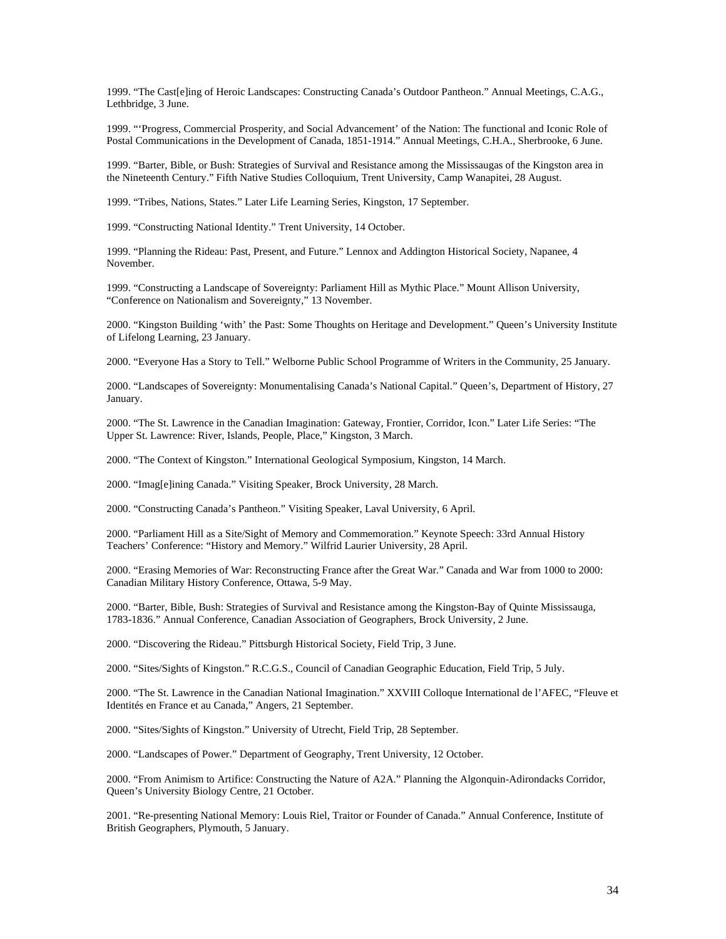1999. "The Cast[e]ing of Heroic Landscapes: Constructing Canada's Outdoor Pantheon." Annual Meetings, C.A.G., Lethbridge, 3 June.

1999. "'Progress, Commercial Prosperity, and Social Advancement' of the Nation: The functional and Iconic Role of Postal Communications in the Development of Canada, 1851-1914." Annual Meetings, C.H.A., Sherbrooke, 6 June.

1999. "Barter, Bible, or Bush: Strategies of Survival and Resistance among the Mississaugas of the Kingston area in the Nineteenth Century." Fifth Native Studies Colloquium, Trent University, Camp Wanapitei, 28 August.

1999. "Tribes, Nations, States." Later Life Learning Series, Kingston, 17 September.

1999. "Constructing National Identity." Trent University, 14 October.

1999. "Planning the Rideau: Past, Present, and Future." Lennox and Addington Historical Society, Napanee, 4 November.

1999. "Constructing a Landscape of Sovereignty: Parliament Hill as Mythic Place." Mount Allison University, "Conference on Nationalism and Sovereignty," 13 November.

2000. "Kingston Building 'with' the Past: Some Thoughts on Heritage and Development." Queen's University Institute of Lifelong Learning, 23 January.

2000. "Everyone Has a Story to Tell." Welborne Public School Programme of Writers in the Community, 25 January.

2000. "Landscapes of Sovereignty: Monumentalising Canada's National Capital." Queen's, Department of History, 27 January.

2000. "The St. Lawrence in the Canadian Imagination: Gateway, Frontier, Corridor, Icon." Later Life Series: "The Upper St. Lawrence: River, Islands, People, Place," Kingston, 3 March.

2000. "The Context of Kingston." International Geological Symposium, Kingston, 14 March.

2000. "Imag[e]ining Canada." Visiting Speaker, Brock University, 28 March.

2000. "Constructing Canada's Pantheon." Visiting Speaker, Laval University, 6 April.

2000. "Parliament Hill as a Site/Sight of Memory and Commemoration." Keynote Speech: 33rd Annual History Teachers' Conference: "History and Memory." Wilfrid Laurier University, 28 April.

2000. "Erasing Memories of War: Reconstructing France after the Great War." Canada and War from 1000 to 2000: Canadian Military History Conference, Ottawa, 5-9 May.

2000. "Barter, Bible, Bush: Strategies of Survival and Resistance among the Kingston-Bay of Quinte Mississauga, 1783-1836." Annual Conference, Canadian Association of Geographers, Brock University, 2 June.

2000. "Discovering the Rideau." Pittsburgh Historical Society, Field Trip, 3 June.

2000. "Sites/Sights of Kingston." R.C.G.S., Council of Canadian Geographic Education, Field Trip, 5 July.

2000. "The St. Lawrence in the Canadian National Imagination." XXVIII Colloque International de l'AFEC, "Fleuve et Identités en France et au Canada," Angers, 21 September.

2000. "Sites/Sights of Kingston." University of Utrecht, Field Trip, 28 September.

2000. "Landscapes of Power." Department of Geography, Trent University, 12 October.

2000. "From Animism to Artifice: Constructing the Nature of A2A." Planning the Algonquin-Adirondacks Corridor, Queen's University Biology Centre, 21 October.

2001. "Re-presenting National Memory: Louis Riel, Traitor or Founder of Canada." Annual Conference, Institute of British Geographers, Plymouth, 5 January.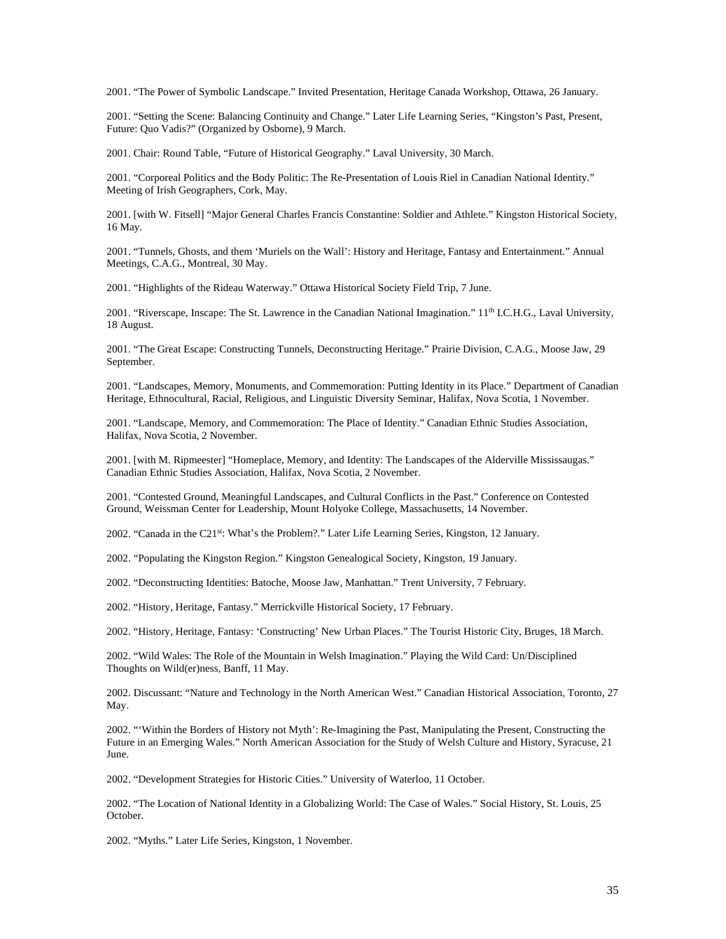2001. "The Power of Symbolic Landscape." Invited Presentation, Heritage Canada Workshop, Ottawa, 26 January.

2001. "Setting the Scene: Balancing Continuity and Change." Later Life Learning Series, "Kingston's Past, Present, Future: Quo Vadis?" (Organized by Osborne), 9 March.

2001. Chair: Round Table, "Future of Historical Geography." Laval University, 30 March.

2001. "Corporeal Politics and the Body Politic: The Re-Presentation of Louis Riel in Canadian National Identity." Meeting of Irish Geographers, Cork, May.

2001. [with W. Fitsell] "Major General Charles Francis Constantine: Soldier and Athlete." Kingston Historical Society, 16 May.

2001. "Tunnels, Ghosts, and them 'Muriels on the Wall': History and Heritage, Fantasy and Entertainment." Annual Meetings, C.A.G., Montreal, 30 May.

2001. "Highlights of the Rideau Waterway." Ottawa Historical Society Field Trip, 7 June.

2001. "Riverscape, Inscape: The St. Lawrence in the Canadian National Imagination." 11<sup>th</sup> I.C.H.G., Laval University, 18 August.

2001. "The Great Escape: Constructing Tunnels, Deconstructing Heritage." Prairie Division, C.A.G., Moose Jaw, 29 September.

2001. "Landscapes, Memory, Monuments, and Commemoration: Putting Identity in its Place." Department of Canadian Heritage, Ethnocultural, Racial, Religious, and Linguistic Diversity Seminar, Halifax, Nova Scotia, 1 November.

2001. "Landscape, Memory, and Commemoration: The Place of Identity." Canadian Ethnic Studies Association, Halifax, Nova Scotia, 2 November.

2001. [with M. Ripmeester] "Homeplace, Memory, and Identity: The Landscapes of the Alderville Mississaugas." Canadian Ethnic Studies Association, Halifax, Nova Scotia, 2 November.

2001. "Contested Ground, Meaningful Landscapes, and Cultural Conflicts in the Past." Conference on Contested Ground, Weissman Center for Leadership, Mount Holyoke College, Massachusetts, 14 November.

2002. "Canada in the C21<sup>st</sup>: What's the Problem?." Later Life Learning Series, Kingston, 12 January.

2002. "Populating the Kingston Region." Kingston Genealogical Society, Kingston, 19 January.

2002. "Deconstructing Identities: Batoche, Moose Jaw, Manhattan." Trent University, 7 February.

2002. "History, Heritage, Fantasy." Merrickville Historical Society, 17 February.

2002. "History, Heritage, Fantasy: 'Constructing' New Urban Places." The Tourist Historic City, Bruges, 18 March.

2002. "Wild Wales: The Role of the Mountain in Welsh Imagination." Playing the Wild Card: Un/Disciplined Thoughts on Wild(er)ness, Banff, 11 May.

2002. Discussant: "Nature and Technology in the North American West." Canadian Historical Association, Toronto, 27 May.

2002. "'Within the Borders of History not Myth': Re-Imagining the Past, Manipulating the Present, Constructing the Future in an Emerging Wales." North American Association for the Study of Welsh Culture and History, Syracuse, 21 June.

2002. "Development Strategies for Historic Cities." University of Waterloo, 11 October.

2002. "The Location of National Identity in a Globalizing World: The Case of Wales." Social History, St. Louis, 25 October.

2002. "Myths." Later Life Series, Kingston, 1 November.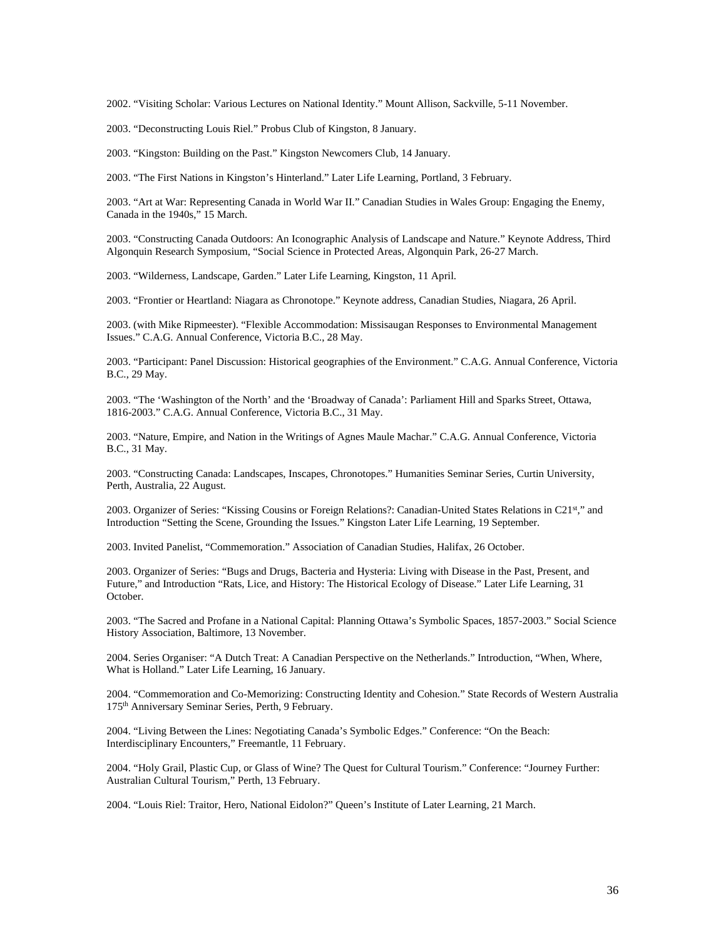2002. "Visiting Scholar: Various Lectures on National Identity." Mount Allison, Sackville, 5-11 November.

2003. "Deconstructing Louis Riel." Probus Club of Kingston, 8 January.

2003. "Kingston: Building on the Past." Kingston Newcomers Club, 14 January.

2003. "The First Nations in Kingston's Hinterland." Later Life Learning, Portland, 3 February.

2003. "Art at War: Representing Canada in World War II." Canadian Studies in Wales Group: Engaging the Enemy, Canada in the 1940s," 15 March.

2003. "Constructing Canada Outdoors: An Iconographic Analysis of Landscape and Nature." Keynote Address, Third Algonquin Research Symposium, "Social Science in Protected Areas, Algonquin Park, 26-27 March.

2003. "Wilderness, Landscape, Garden." Later Life Learning, Kingston, 11 April.

2003. "Frontier or Heartland: Niagara as Chronotope." Keynote address, Canadian Studies, Niagara, 26 April.

2003. (with Mike Ripmeester). "Flexible Accommodation: Missisaugan Responses to Environmental Management Issues." C.A.G. Annual Conference, Victoria B.C., 28 May.

2003. "Participant: Panel Discussion: Historical geographies of the Environment." C.A.G. Annual Conference, Victoria B.C., 29 May.

2003. "The 'Washington of the North' and the 'Broadway of Canada': Parliament Hill and Sparks Street, Ottawa, 1816-2003." C.A.G. Annual Conference, Victoria B.C., 31 May.

2003. "Nature, Empire, and Nation in the Writings of Agnes Maule Machar." C.A.G. Annual Conference, Victoria B.C., 31 May.

2003. "Constructing Canada: Landscapes, Inscapes, Chronotopes." Humanities Seminar Series, Curtin University, Perth, Australia, 22 August.

2003. Organizer of Series: "Kissing Cousins or Foreign Relations?: Canadian-United States Relations in C21st," and Introduction "Setting the Scene, Grounding the Issues." Kingston Later Life Learning, 19 September.

2003. Invited Panelist, "Commemoration." Association of Canadian Studies, Halifax, 26 October.

2003. Organizer of Series: "Bugs and Drugs, Bacteria and Hysteria: Living with Disease in the Past, Present, and Future," and Introduction "Rats, Lice, and History: The Historical Ecology of Disease." Later Life Learning, 31 October.

2003. "The Sacred and Profane in a National Capital: Planning Ottawa's Symbolic Spaces, 1857-2003." Social Science History Association, Baltimore, 13 November.

2004. Series Organiser: "A Dutch Treat: A Canadian Perspective on the Netherlands." Introduction, "When, Where, What is Holland." Later Life Learning, 16 January.

2004. "Commemoration and Co-Memorizing: Constructing Identity and Cohesion." State Records of Western Australia 175th Anniversary Seminar Series, Perth, 9 February.

2004. "Living Between the Lines: Negotiating Canada's Symbolic Edges." Conference: "On the Beach: Interdisciplinary Encounters," Freemantle, 11 February.

2004. "Holy Grail, Plastic Cup, or Glass of Wine? The Quest for Cultural Tourism." Conference: "Journey Further: Australian Cultural Tourism," Perth, 13 February.

2004. "Louis Riel: Traitor, Hero, National Eidolon?" Queen's Institute of Later Learning, 21 March.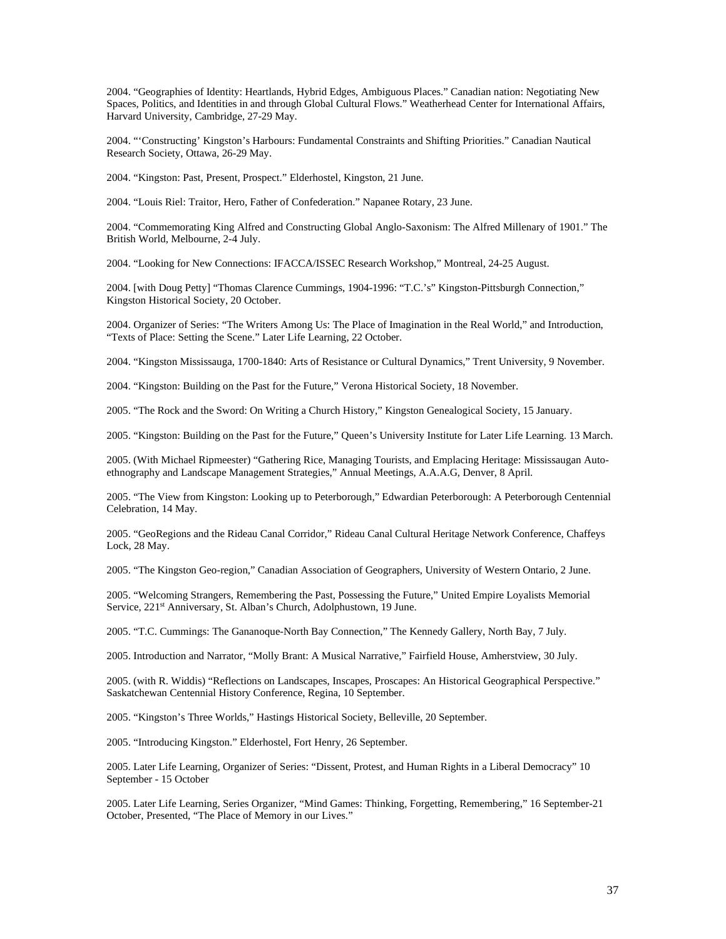2004. "Geographies of Identity: Heartlands, Hybrid Edges, Ambiguous Places." Canadian nation: Negotiating New Spaces, Politics, and Identities in and through Global Cultural Flows." Weatherhead Center for International Affairs, Harvard University, Cambridge, 27-29 May.

2004. "'Constructing' Kingston's Harbours: Fundamental Constraints and Shifting Priorities." Canadian Nautical Research Society, Ottawa, 26-29 May.

2004. "Kingston: Past, Present, Prospect." Elderhostel, Kingston, 21 June.

2004. "Louis Riel: Traitor, Hero, Father of Confederation." Napanee Rotary, 23 June.

2004. "Commemorating King Alfred and Constructing Global Anglo-Saxonism: The Alfred Millenary of 1901." The British World, Melbourne, 2-4 July.

2004. "Looking for New Connections: IFACCA/ISSEC Research Workshop," Montreal, 24-25 August.

2004. [with Doug Petty] "Thomas Clarence Cummings, 1904-1996: "T.C.'s" Kingston-Pittsburgh Connection," Kingston Historical Society, 20 October.

2004. Organizer of Series: "The Writers Among Us: The Place of Imagination in the Real World," and Introduction, "Texts of Place: Setting the Scene." Later Life Learning, 22 October.

2004. "Kingston Mississauga, 1700-1840: Arts of Resistance or Cultural Dynamics," Trent University, 9 November.

2004. "Kingston: Building on the Past for the Future," Verona Historical Society, 18 November.

2005. "The Rock and the Sword: On Writing a Church History," Kingston Genealogical Society, 15 January.

2005. "Kingston: Building on the Past for the Future," Queen's University Institute for Later Life Learning. 13 March.

2005. (With Michael Ripmeester) "Gathering Rice, Managing Tourists, and Emplacing Heritage: Mississaugan Autoethnography and Landscape Management Strategies," Annual Meetings, A.A.A.G, Denver, 8 April.

2005. "The View from Kingston: Looking up to Peterborough," Edwardian Peterborough: A Peterborough Centennial Celebration, 14 May.

2005. "GeoRegions and the Rideau Canal Corridor," Rideau Canal Cultural Heritage Network Conference, Chaffeys Lock, 28 May.

2005. "The Kingston Geo-region," Canadian Association of Geographers, University of Western Ontario, 2 June.

2005. "Welcoming Strangers, Remembering the Past, Possessing the Future," United Empire Loyalists Memorial Service, 221<sup>st</sup> Anniversary, St. Alban's Church, Adolphustown, 19 June.

2005. "T.C. Cummings: The Gananoque-North Bay Connection," The Kennedy Gallery, North Bay, 7 July.

2005. Introduction and Narrator, "Molly Brant: A Musical Narrative," Fairfield House, Amherstview, 30 July.

2005. (with R. Widdis) "Reflections on Landscapes, Inscapes, Proscapes: An Historical Geographical Perspective." Saskatchewan Centennial History Conference, Regina, 10 September.

2005. "Kingston's Three Worlds," Hastings Historical Society, Belleville, 20 September.

2005. "Introducing Kingston." Elderhostel, Fort Henry, 26 September.

2005. Later Life Learning, Organizer of Series: "Dissent, Protest, and Human Rights in a Liberal Democracy" 10 September - 15 October

2005. Later Life Learning, Series Organizer, "Mind Games: Thinking, Forgetting, Remembering," 16 September-21 October, Presented, "The Place of Memory in our Lives."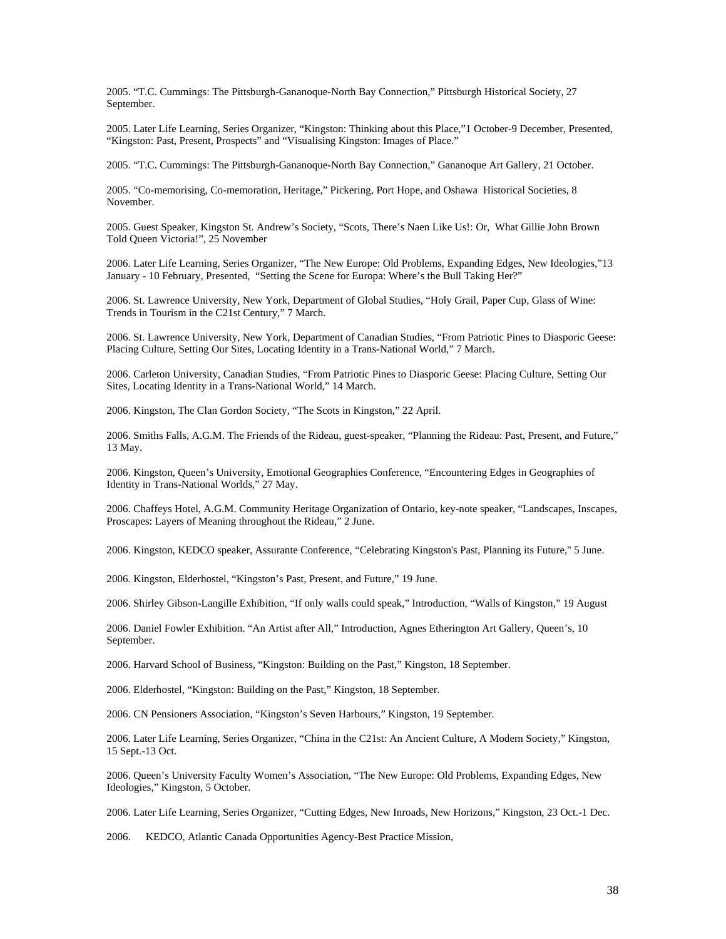2005. "T.C. Cummings: The Pittsburgh-Gananoque-North Bay Connection," Pittsburgh Historical Society, 27 September.

2005. Later Life Learning, Series Organizer, "Kingston: Thinking about this Place,"1 October-9 December, Presented, "Kingston: Past, Present, Prospects" and "Visualising Kingston: Images of Place."

2005. "T.C. Cummings: The Pittsburgh-Gananoque-North Bay Connection," Gananoque Art Gallery, 21 October.

2005. "Co-memorising, Co-memoration, Heritage," Pickering, Port Hope, and Oshawa Historical Societies, 8 November.

2005. Guest Speaker, Kingston St. Andrew's Society, "Scots, There's Naen Like Us!: Or, What Gillie John Brown Told Queen Victoria!", 25 November

2006. Later Life Learning, Series Organizer, "The New Europe: Old Problems, Expanding Edges, New Ideologies,"13 January - 10 February, Presented, "Setting the Scene for Europa: Where's the Bull Taking Her?"

2006. St. Lawrence University, New York, Department of Global Studies, "Holy Grail, Paper Cup, Glass of Wine: Trends in Tourism in the C21st Century," 7 March.

2006. St. Lawrence University, New York, Department of Canadian Studies, "From Patriotic Pines to Diasporic Geese: Placing Culture, Setting Our Sites, Locating Identity in a Trans-National World," 7 March.

2006. Carleton University, Canadian Studies, "From Patriotic Pines to Diasporic Geese: Placing Culture, Setting Our Sites, Locating Identity in a Trans-National World," 14 March.

2006. Kingston, The Clan Gordon Society, "The Scots in Kingston," 22 April.

2006. Smiths Falls, A.G.M. The Friends of the Rideau, guest-speaker, "Planning the Rideau: Past, Present, and Future," 13 May.

2006. Kingston, Queen's University, Emotional Geographies Conference, "Encountering Edges in Geographies of Identity in Trans-National Worlds," 27 May.

2006. Chaffeys Hotel, A.G.M. Community Heritage Organization of Ontario, key-note speaker, "Landscapes, Inscapes, Proscapes: Layers of Meaning throughout the Rideau," 2 June.

2006. Kingston, KEDCO speaker, Assurante Conference, "Celebrating Kingston's Past, Planning its Future," 5 June.

2006. Kingston, Elderhostel, "Kingston's Past, Present, and Future," 19 June.

2006. Shirley Gibson-Langille Exhibition, "If only walls could speak," Introduction, "Walls of Kingston," 19 August

2006. Daniel Fowler Exhibition. "An Artist after All," Introduction, Agnes Etherington Art Gallery, Queen's, 10 September.

2006. Harvard School of Business, "Kingston: Building on the Past," Kingston, 18 September.

2006. Elderhostel, "Kingston: Building on the Past," Kingston, 18 September.

2006. CN Pensioners Association, "Kingston's Seven Harbours," Kingston, 19 September.

2006. Later Life Learning, Series Organizer, "China in the C21st: An Ancient Culture, A Modern Society," Kingston, 15 Sept.-13 Oct.

2006. Queen's University Faculty Women's Association, "The New Europe: Old Problems, Expanding Edges, New Ideologies," Kingston, 5 October.

2006. Later Life Learning, Series Organizer, "Cutting Edges, New Inroads, New Horizons," Kingston, 23 Oct.-1 Dec.

2006. KEDCO, Atlantic Canada Opportunities Agency-Best Practice Mission,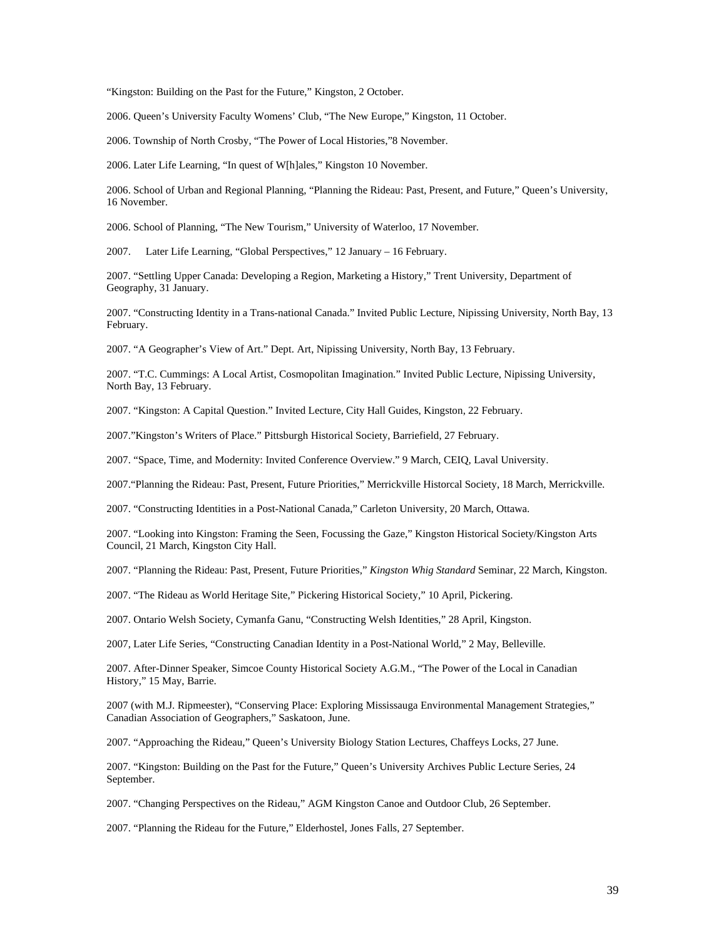"Kingston: Building on the Past for the Future," Kingston, 2 October.

2006. Queen's University Faculty Womens' Club, "The New Europe," Kingston, 11 October.

2006. Township of North Crosby, "The Power of Local Histories,"8 November.

2006. Later Life Learning, "In quest of W[h]ales," Kingston 10 November.

2006. School of Urban and Regional Planning, "Planning the Rideau: Past, Present, and Future," Queen's University, 16 November.

2006. School of Planning, "The New Tourism," University of Waterloo, 17 November.

2007. Later Life Learning, "Global Perspectives," 12 January – 16 February.

2007. "Settling Upper Canada: Developing a Region, Marketing a History," Trent University, Department of Geography, 31 January.

2007. "Constructing Identity in a Trans-national Canada." Invited Public Lecture, Nipissing University, North Bay, 13 February.

2007. "A Geographer's View of Art." Dept. Art, Nipissing University, North Bay, 13 February.

2007. "T.C. Cummings: A Local Artist, Cosmopolitan Imagination." Invited Public Lecture, Nipissing University, North Bay, 13 February.

2007. "Kingston: A Capital Question." Invited Lecture, City Hall Guides, Kingston, 22 February.

2007."Kingston's Writers of Place." Pittsburgh Historical Society, Barriefield, 27 February.

2007. "Space, Time, and Modernity: Invited Conference Overview." 9 March, CEIQ, Laval University.

2007."Planning the Rideau: Past, Present, Future Priorities," Merrickville Historcal Society, 18 March, Merrickville.

2007. "Constructing Identities in a Post-National Canada," Carleton University, 20 March, Ottawa.

2007. "Looking into Kingston: Framing the Seen, Focussing the Gaze," Kingston Historical Society/Kingston Arts Council, 21 March, Kingston City Hall.

2007. "Planning the Rideau: Past, Present, Future Priorities," *Kingston Whig Standard* Seminar, 22 March, Kingston.

2007. "The Rideau as World Heritage Site," Pickering Historical Society," 10 April, Pickering.

2007. Ontario Welsh Society, Cymanfa Ganu, "Constructing Welsh Identities," 28 April, Kingston.

2007, Later Life Series, "Constructing Canadian Identity in a Post-National World," 2 May, Belleville.

2007. After-Dinner Speaker, Simcoe County Historical Society A.G.M., "The Power of the Local in Canadian History," 15 May, Barrie.

2007 (with M.J. Ripmeester), "Conserving Place: Exploring Mississauga Environmental Management Strategies," Canadian Association of Geographers," Saskatoon, June.

2007. "Approaching the Rideau," Queen's University Biology Station Lectures, Chaffeys Locks, 27 June.

2007. "Kingston: Building on the Past for the Future," Queen's University Archives Public Lecture Series, 24 September.

2007. "Changing Perspectives on the Rideau," AGM Kingston Canoe and Outdoor Club, 26 September.

2007. "Planning the Rideau for the Future," Elderhostel, Jones Falls, 27 September.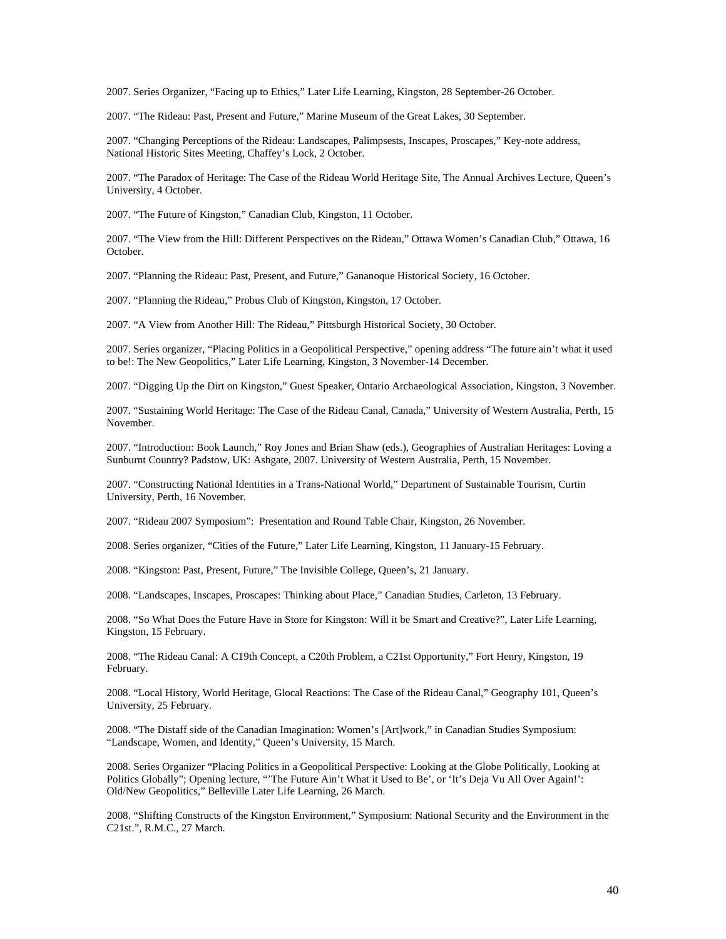2007. Series Organizer, "Facing up to Ethics," Later Life Learning, Kingston, 28 September-26 October.

2007. "The Rideau: Past, Present and Future," Marine Museum of the Great Lakes, 30 September.

2007. "Changing Perceptions of the Rideau: Landscapes, Palimpsests, Inscapes, Proscapes," Key-note address, National Historic Sites Meeting, Chaffey's Lock, 2 October.

2007. "The Paradox of Heritage: The Case of the Rideau World Heritage Site, The Annual Archives Lecture, Queen's University, 4 October.

2007. "The Future of Kingston," Canadian Club, Kingston, 11 October.

2007. "The View from the Hill: Different Perspectives on the Rideau," Ottawa Women's Canadian Club," Ottawa, 16 October.

2007. "Planning the Rideau: Past, Present, and Future," Gananoque Historical Society, 16 October.

2007. "Planning the Rideau," Probus Club of Kingston, Kingston, 17 October.

2007. "A View from Another Hill: The Rideau," Pittsburgh Historical Society, 30 October.

2007. Series organizer, "Placing Politics in a Geopolitical Perspective," opening address "The future ain't what it used to be!: The New Geopolitics," Later Life Learning, Kingston, 3 November-14 December.

2007. "Digging Up the Dirt on Kingston," Guest Speaker, Ontario Archaeological Association, Kingston, 3 November.

2007. "Sustaining World Heritage: The Case of the Rideau Canal, Canada," University of Western Australia, Perth, 15 November.

2007. "Introduction: Book Launch," Roy Jones and Brian Shaw (eds.), Geographies of Australian Heritages: Loving a Sunburnt Country? Padstow, UK: Ashgate, 2007. University of Western Australia, Perth, 15 November.

2007. "Constructing National Identities in a Trans-National World," Department of Sustainable Tourism, Curtin University, Perth, 16 November.

2007. "Rideau 2007 Symposium": Presentation and Round Table Chair, Kingston, 26 November.

2008. Series organizer, "Cities of the Future," Later Life Learning, Kingston, 11 January-15 February.

2008. "Kingston: Past, Present, Future," The Invisible College, Queen's, 21 January.

2008. "Landscapes, Inscapes, Proscapes: Thinking about Place," Canadian Studies, Carleton, 13 February.

2008. "So What Does the Future Have in Store for Kingston: Will it be Smart and Creative?", Later Life Learning, Kingston, 15 February.

2008. "The Rideau Canal: A C19th Concept, a C20th Problem, a C21st Opportunity," Fort Henry, Kingston, 19 February.

2008. "Local History, World Heritage, Glocal Reactions: The Case of the Rideau Canal," Geography 101, Queen's University, 25 February.

2008. "The Distaff side of the Canadian Imagination: Women's [Art]work," in Canadian Studies Symposium: "Landscape, Women, and Identity," Queen's University, 15 March.

2008. Series Organizer "Placing Politics in a Geopolitical Perspective: Looking at the Globe Politically, Looking at Politics Globally"; Opening lecture, "'The Future Ain't What it Used to Be', or 'It's Deja Vu All Over Again!': Old/New Geopolitics," Belleville Later Life Learning, 26 March.

2008. "Shifting Constructs of the Kingston Environment," Symposium: National Security and the Environment in the C21st.", R.M.C., 27 March.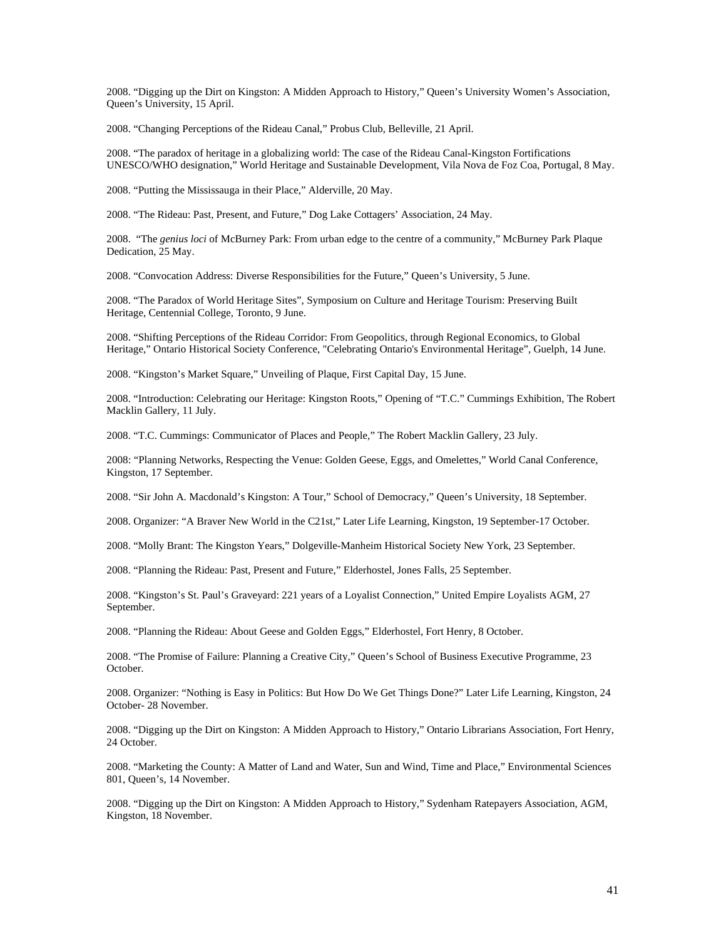2008. "Digging up the Dirt on Kingston: A Midden Approach to History," Queen's University Women's Association, Queen's University, 15 April.

2008. "Changing Perceptions of the Rideau Canal," Probus Club, Belleville, 21 April.

2008. "The paradox of heritage in a globalizing world: The case of the Rideau Canal-Kingston Fortifications UNESCO/WHO designation," World Heritage and Sustainable Development, Vila Nova de Foz Coa, Portugal, 8 May.

2008. "Putting the Mississauga in their Place," Alderville, 20 May.

2008. "The Rideau: Past, Present, and Future," Dog Lake Cottagers' Association, 24 May.

2008. "The *genius loci* of McBurney Park: From urban edge to the centre of a community," McBurney Park Plaque Dedication, 25 May.

2008. "Convocation Address: Diverse Responsibilities for the Future," Queen's University, 5 June.

2008. "The Paradox of World Heritage Sites", Symposium on Culture and Heritage Tourism: Preserving Built Heritage, Centennial College, Toronto, 9 June.

2008. "Shifting Perceptions of the Rideau Corridor: From Geopolitics, through Regional Economics, to Global Heritage," Ontario Historical Society Conference, "Celebrating Ontario's Environmental Heritage", Guelph, 14 June.

2008. "Kingston's Market Square," Unveiling of Plaque, First Capital Day, 15 June.

2008. "Introduction: Celebrating our Heritage: Kingston Roots," Opening of "T.C." Cummings Exhibition, The Robert Macklin Gallery, 11 July.

2008. "T.C. Cummings: Communicator of Places and People," The Robert Macklin Gallery, 23 July.

2008: "Planning Networks, Respecting the Venue: Golden Geese, Eggs, and Omelettes," World Canal Conference, Kingston, 17 September.

2008. "Sir John A. Macdonald's Kingston: A Tour," School of Democracy," Queen's University, 18 September.

2008. Organizer: "A Braver New World in the C21st," Later Life Learning, Kingston, 19 September-17 October.

2008. "Molly Brant: The Kingston Years," Dolgeville-Manheim Historical Society New York, 23 September.

2008. "Planning the Rideau: Past, Present and Future," Elderhostel, Jones Falls, 25 September.

2008. "Kingston's St. Paul's Graveyard: 221 years of a Loyalist Connection," United Empire Loyalists AGM, 27 September.

2008. "Planning the Rideau: About Geese and Golden Eggs," Elderhostel, Fort Henry, 8 October.

2008. "The Promise of Failure: Planning a Creative City," Queen's School of Business Executive Programme, 23 October.

2008. Organizer: "Nothing is Easy in Politics: But How Do We Get Things Done?" Later Life Learning, Kingston, 24 October- 28 November.

2008. "Digging up the Dirt on Kingston: A Midden Approach to History," Ontario Librarians Association, Fort Henry, 24 October.

2008. "Marketing the County: A Matter of Land and Water, Sun and Wind, Time and Place," Environmental Sciences 801, Queen's, 14 November.

2008. "Digging up the Dirt on Kingston: A Midden Approach to History," Sydenham Ratepayers Association, AGM, Kingston, 18 November.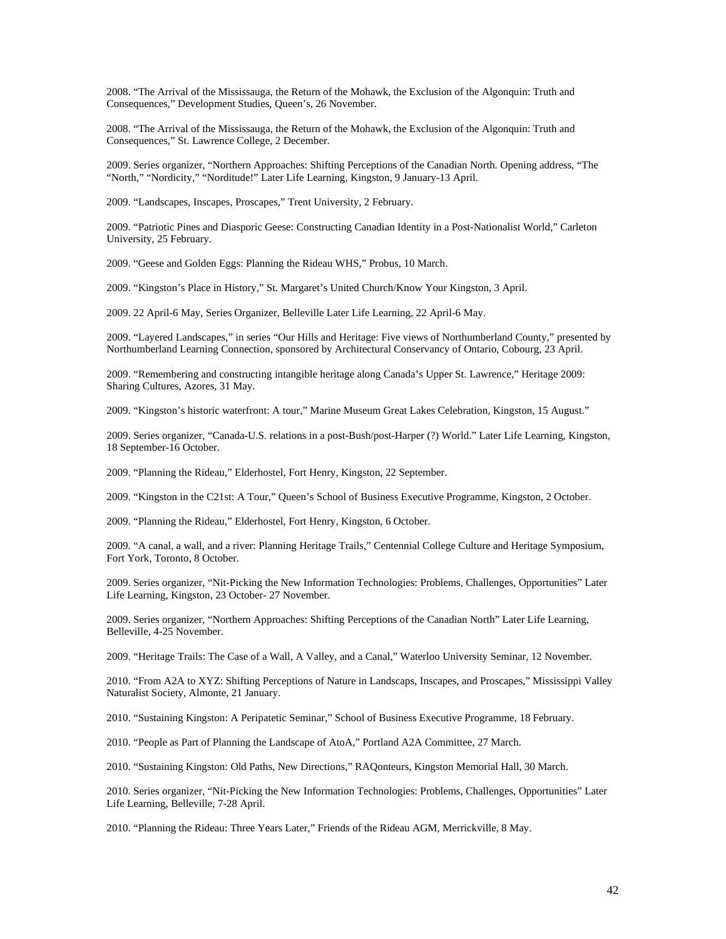2008. "The Arrival of the Mississauga, the Return of the Mohawk, the Exclusion of the Algonquin: Truth and Consequences," Development Studies, Queen's, 26 November.

2008. "The Arrival of the Mississauga, the Return of the Mohawk, the Exclusion of the Algonquin: Truth and Consequences," St. Lawrence College, 2 December.

2009. Series organizer, "Northern Approaches: Shifting Perceptions of the Canadian North. Opening address, "The "North," "Nordicity," "Norditude!" Later Life Learning, Kingston, 9 January-13 April.

2009. "Landscapes, Inscapes, Proscapes," Trent University, 2 February.

2009. "Patriotic Pines and Diasporic Geese: Constructing Canadian Identity in a Post-Nationalist World," Carleton University, 25 February.

2009. "Geese and Golden Eggs: Planning the Rideau WHS," Probus, 10 March.

2009. "Kingston's Place in History," St. Margaret's United Church/Know Your Kingston, 3 April.

2009. 22 April-6 May, Series Organizer, Belleville Later Life Learning, 22 April-6 May.

2009. "Layered Landscapes," in series "Our Hills and Heritage: Five views of Northumberland County," presented by Northumberland Learning Connection, sponsored by Architectural Conservancy of Ontario, Cobourg, 23 April.

2009. "Remembering and constructing intangible heritage along Canada's Upper St. Lawrence," Heritage 2009: Sharing Cultures, Azores, 31 May.

2009. "Kingston's historic waterfront: A tour," Marine Museum Great Lakes Celebration, Kingston, 15 August."

2009. Series organizer, "Canada-U.S. relations in a post-Bush/post-Harper (?) World." Later Life Learning, Kingston, 18 September-16 October.

2009. "Planning the Rideau," Elderhostel, Fort Henry, Kingston, 22 September.

2009. "Kingston in the C21st: A Tour," Queen's School of Business Executive Programme, Kingston, 2 October.

2009. "Planning the Rideau," Elderhostel, Fort Henry, Kingston, 6 October.

2009. "A canal, a wall, and a river: Planning Heritage Trails," Centennial College Culture and Heritage Symposium, Fort York, Toronto, 8 October.

2009. Series organizer, "Nit-Picking the New Information Technologies: Problems, Challenges, Opportunities" Later Life Learning, Kingston, 23 October- 27 November.

2009. Series organizer, "Northern Approaches: Shifting Perceptions of the Canadian North" Later Life Learning, Belleville, 4-25 November.

2009. "Heritage Trails: The Case of a Wall, A Valley, and a Canal," Waterloo University Seminar, 12 November.

2010. "From A2A to XYZ: Shifting Perceptions of Nature in Landscaps, Inscapes, and Proscapes," Mississippi Valley Naturalist Society, Almonte, 21 January.

2010. "Sustaining Kingston: A Peripatetic Seminar," School of Business Executive Programme, 18 February.

2010. "People as Part of Planning the Landscape of AtoA," Portland A2A Committee, 27 March.

2010. "Sustaining Kingston: Old Paths, New Directions," RAQonteurs, Kingston Memorial Hall, 30 March.

2010. Series organizer, "Nit-Picking the New Information Technologies: Problems, Challenges, Opportunities" Later Life Learning, Belleville, 7-28 April.

2010. "Planning the Rideau: Three Years Later," Friends of the Rideau AGM, Merrickville, 8 May.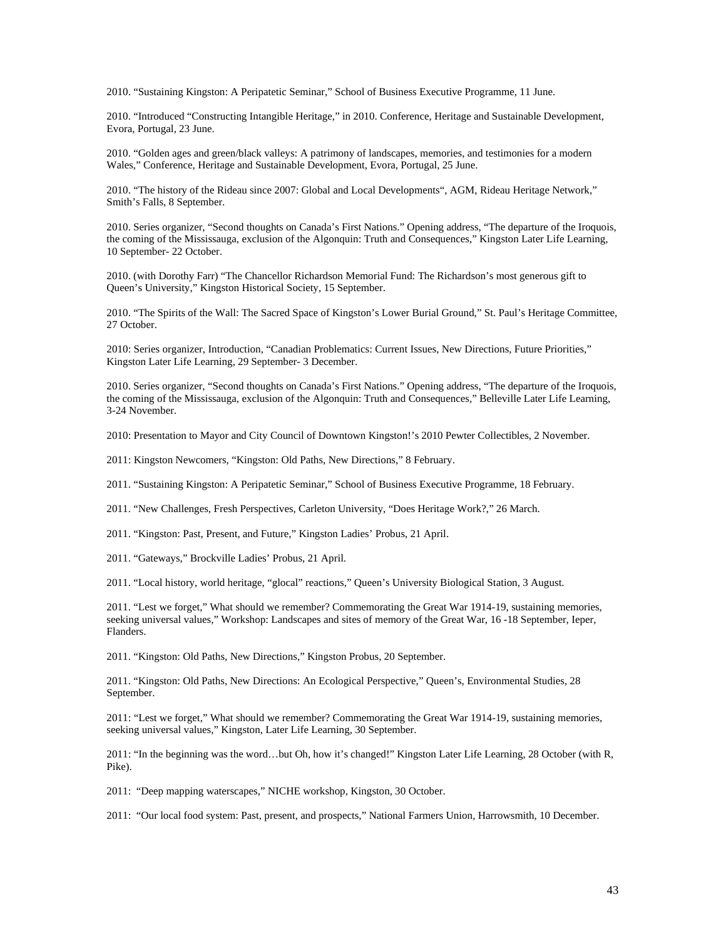2010. "Sustaining Kingston: A Peripatetic Seminar," School of Business Executive Programme, 11 June.

2010. "Introduced "Constructing Intangible Heritage," in 2010. Conference, Heritage and Sustainable Development, Evora, Portugal, 23 June.

2010. "Golden ages and green/black valleys: A patrimony of landscapes, memories, and testimonies for a modern Wales," Conference, Heritage and Sustainable Development, Evora, Portugal, 25 June.

2010. "The history of the Rideau since 2007: Global and Local Developments", AGM, Rideau Heritage Network," Smith's Falls, 8 September.

2010. Series organizer, "Second thoughts on Canada's First Nations." Opening address, "The departure of the Iroquois, the coming of the Mississauga, exclusion of the Algonquin: Truth and Consequences," Kingston Later Life Learning, 10 September- 22 October.

2010. (with Dorothy Farr) "The Chancellor Richardson Memorial Fund: The Richardson's most generous gift to Queen's University," Kingston Historical Society, 15 September.

2010. "The Spirits of the Wall: The Sacred Space of Kingston's Lower Burial Ground," St. Paul's Heritage Committee, 27 October.

2010: Series organizer, Introduction, "Canadian Problematics: Current Issues, New Directions, Future Priorities," Kingston Later Life Learning, 29 September- 3 December.

2010. Series organizer, "Second thoughts on Canada's First Nations." Opening address, "The departure of the Iroquois, the coming of the Mississauga, exclusion of the Algonquin: Truth and Consequences," Belleville Later Life Learning, 3-24 November.

2010: Presentation to Mayor and City Council of Downtown Kingston!'s 2010 Pewter Collectibles, 2 November.

2011: Kingston Newcomers, "Kingston: Old Paths, New Directions," 8 February.

2011. "Sustaining Kingston: A Peripatetic Seminar," School of Business Executive Programme, 18 February.

2011. "New Challenges, Fresh Perspectives, Carleton University, "Does Heritage Work?," 26 March.

2011. "Kingston: Past, Present, and Future," Kingston Ladies' Probus, 21 April.

2011. "Gateways," Brockville Ladies' Probus, 21 April.

2011. "Local history, world heritage, "glocal" reactions," Queen's University Biological Station, 3 August.

2011. "Lest we forget," What should we remember? Commemorating the Great War 1914-19, sustaining memories, seeking universal values," Workshop: Landscapes and sites of memory of the Great War, 16 -18 September, Ieper, Flanders.

2011. "Kingston: Old Paths, New Directions," Kingston Probus, 20 September.

2011. "Kingston: Old Paths, New Directions: An Ecological Perspective," Queen's, Environmental Studies, 28 September.

2011: "Lest we forget," What should we remember? Commemorating the Great War 1914-19, sustaining memories, seeking universal values," Kingston, Later Life Learning, 30 September.

2011: "In the beginning was the word…but Oh, how it's changed!" Kingston Later Life Learning, 28 October (with R, Pike).

2011: "Deep mapping waterscapes," NICHE workshop, Kingston, 30 October.

2011: "Our local food system: Past, present, and prospects," National Farmers Union, Harrowsmith, 10 December.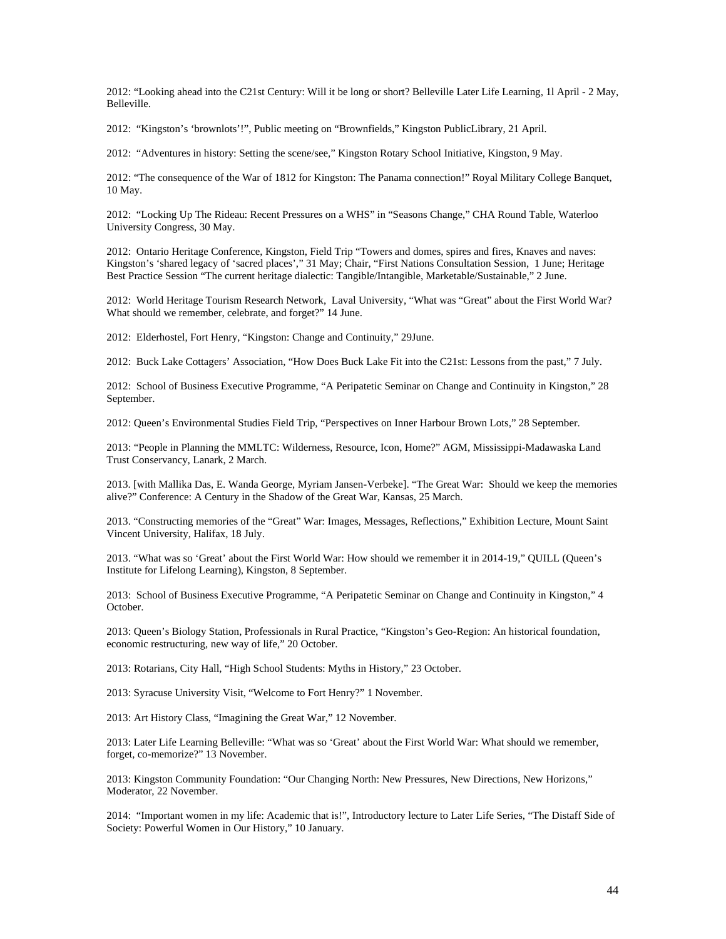2012: "Looking ahead into the C21st Century: Will it be long or short? Belleville Later Life Learning, 1l April - 2 May, Belleville.

2012: "Kingston's 'brownlots'!", Public meeting on "Brownfields," Kingston PublicLibrary, 21 April.

2012: "Adventures in history: Setting the scene/see," Kingston Rotary School Initiative, Kingston, 9 May.

2012: "The consequence of the War of 1812 for Kingston: The Panama connection!" Royal Military College Banquet, 10 May.

2012: "Locking Up The Rideau: Recent Pressures on a WHS" in "Seasons Change," CHA Round Table, Waterloo University Congress, 30 May.

2012: Ontario Heritage Conference, Kingston, Field Trip "Towers and domes, spires and fires, Knaves and naves: Kingston's 'shared legacy of 'sacred places'," 31 May; Chair, "First Nations Consultation Session, 1 June; Heritage Best Practice Session "The current heritage dialectic: Tangible/Intangible, Marketable/Sustainable," 2 June.

2012: World Heritage Tourism Research Network, Laval University, "What was "Great" about the First World War? What should we remember, celebrate, and forget?" 14 June.

2012: Elderhostel, Fort Henry, "Kingston: Change and Continuity," 29June.

2012: Buck Lake Cottagers' Association, "How Does Buck Lake Fit into the C21st: Lessons from the past," 7 July.

2012: School of Business Executive Programme, "A Peripatetic Seminar on Change and Continuity in Kingston," 28 September.

2012: Queen's Environmental Studies Field Trip, "Perspectives on Inner Harbour Brown Lots," 28 September.

2013: "People in Planning the MMLTC: Wilderness, Resource, Icon, Home?" AGM, Mississippi-Madawaska Land Trust Conservancy, Lanark, 2 March.

2013. [with Mallika Das, E. Wanda George, Myriam Jansen-Verbeke]. "The Great War: Should we keep the memories alive?" Conference: A Century in the Shadow of the Great War, Kansas, 25 March.

2013. "Constructing memories of the "Great" War: Images, Messages, Reflections," Exhibition Lecture, Mount Saint Vincent University, Halifax, 18 July.

2013. "What was so 'Great' about the First World War: How should we remember it in 2014-19," QUILL (Queen's Institute for Lifelong Learning), Kingston, 8 September.

2013: School of Business Executive Programme, "A Peripatetic Seminar on Change and Continuity in Kingston," 4 October.

2013: Queen's Biology Station, Professionals in Rural Practice, "Kingston's Geo-Region: An historical foundation, economic restructuring, new way of life," 20 October.

2013: Rotarians, City Hall, "High School Students: Myths in History," 23 October.

2013: Syracuse University Visit, "Welcome to Fort Henry?" 1 November.

2013: Art History Class, "Imagining the Great War," 12 November.

2013: Later Life Learning Belleville: "What was so 'Great' about the First World War: What should we remember, forget, co-memorize?" 13 November.

2013: Kingston Community Foundation: "Our Changing North: New Pressures, New Directions, New Horizons," Moderator, 22 November.

2014: "Important women in my life: Academic that is!", Introductory lecture to Later Life Series, "The Distaff Side of Society: Powerful Women in Our History," 10 January.